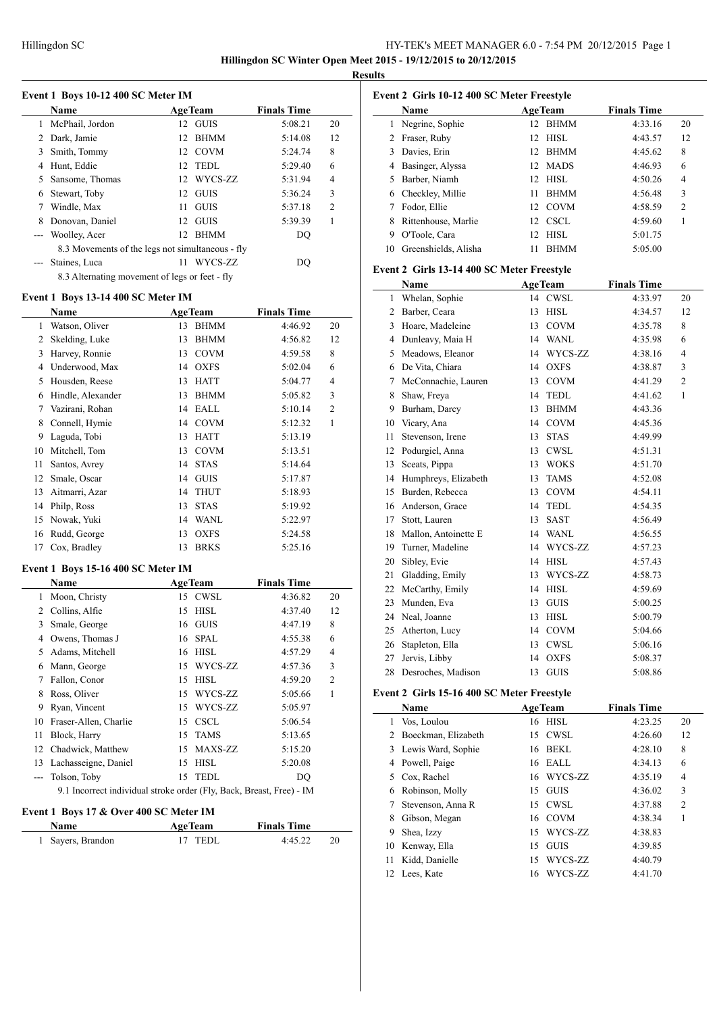# HY-TEK's MEET MANAGER 6.0 - 7:54 PM 20/12/2015 Page 1 **Hillingdon SC Winter Open Meet 2015 - 19/12/2015 to 20/12/2015**

**Results**

|  |  |  | Event 1 Boys 10-12 400 SC Meter IM |
|--|--|--|------------------------------------|
|--|--|--|------------------------------------|

|    | <b>Name</b>                                      |     | <b>AgeTeam</b> | <b>Finals Time</b> |    |  |  |  |
|----|--------------------------------------------------|-----|----------------|--------------------|----|--|--|--|
|    | McPhail, Jordon                                  |     | 12 GUIS        | 5:08.21            | 20 |  |  |  |
| 2  | Dark, Jamie                                      | 12  | <b>BHMM</b>    | 5:14.08            | 12 |  |  |  |
| 3  | Smith, Tommy                                     |     | 12 COVM        | 5:24.74            | 8  |  |  |  |
| 4  | Hunt, Eddie                                      |     | 12 TEDL        | 5:29.40            | 6  |  |  |  |
| 5. | Sansome, Thomas                                  |     | 12 WYCS-ZZ     | 5:31.94            | 4  |  |  |  |
| 6  | Stewart, Toby                                    |     | 12 GUIS        | 5:36.24            | 3  |  |  |  |
|    | Windle, Max                                      | 11. | <b>GUIS</b>    | 5:37.18            | 2  |  |  |  |
| 8  | Donovan, Daniel                                  |     | 12 GUIS        | 5:39.39            |    |  |  |  |
|    | --- Woolley, Acer                                | 12  | <b>BHMM</b>    | DO                 |    |  |  |  |
|    | 8.3 Movements of the legs not simultaneous - fly |     |                |                    |    |  |  |  |
|    | Staines, Luca                                    | 11  | WYCS-ZZ        | DO                 |    |  |  |  |
|    | 8.3 Alternating movement of legs or feet - fly   |     |                |                    |    |  |  |  |

#### **Event 1 Boys 13-14 400 SC Meter IM**

|    | Name              |    | <b>AgeTeam</b> | <b>Finals Time</b> |                |
|----|-------------------|----|----------------|--------------------|----------------|
| 1  | Watson, Oliver    | 13 | <b>BHMM</b>    | 4:46.92            | 20             |
| 2  | Skelding, Luke    | 13 | <b>BHMM</b>    | 4:56.82            | 12             |
| 3  | Harvey, Ronnie    | 13 | <b>COVM</b>    | 4:59.58            | 8              |
| 4  | Underwood, Max    | 14 | <b>OXFS</b>    | 5:02.04            | 6              |
| 5  | Housden, Reese    | 13 | <b>HATT</b>    | 5:04.77            | 4              |
| 6  | Hindle, Alexander | 13 | <b>BHMM</b>    | 5:05.82            | 3              |
| 7  | Vazirani, Rohan   | 14 | EALL           | 5:10.14            | $\overline{2}$ |
| 8  | Connell, Hymie    |    | 14 COVM        | 5:12.32            | 1              |
| 9  | Laguda, Tobi      | 13 | <b>HATT</b>    | 5:13.19            |                |
| 10 | Mitchell, Tom     | 13 | <b>COVM</b>    | 5:13.51            |                |
| 11 | Santos, Avrey     | 14 | <b>STAS</b>    | 5:14.64            |                |
| 12 | Smale, Oscar      | 14 | <b>GUIS</b>    | 5:17.87            |                |
| 13 | Aitmarri, Azar    | 14 | <b>THUT</b>    | 5:18.93            |                |
| 14 | Philp, Ross       | 13 | <b>STAS</b>    | 5:19.92            |                |
| 15 | Nowak, Yuki       | 14 | <b>WANL</b>    | 5:22.97            |                |
| 16 | Rudd, George      | 13 | <b>OXFS</b>    | 5:24.58            |                |
| 17 | Cox, Bradley      | 13 | <b>BRKS</b>    | 5:25.16            |                |

### **Event 1 Boys 15-16 400 SC Meter IM**

| <b>Name</b> |                       |    | <b>AgeTeam</b> | <b>Finals Time</b> |                |
|-------------|-----------------------|----|----------------|--------------------|----------------|
| 1           | Moon, Christy         |    | 15 CWSL        | 4:36.82            | 20             |
| 2           | Collins, Alfie        |    | 15 HISL        | 4:37.40            | 12             |
| 3           | Smale, George         |    | 16 GUIS        | 4:47.19            | 8              |
| 4           | Owens, Thomas J       | 16 | <b>SPAL</b>    | 4:55.38            | 6              |
| 5           | Adams, Mitchell       |    | 16 HISL        | 4:57.29            | $\overline{4}$ |
| 6           | Mann, George          | 15 | WYCS-ZZ        | 4:57.36            | 3              |
| 7           | Fallon, Conor         | 15 | HISL           | 4:59.20            | $\overline{2}$ |
| 8           | Ross, Oliver          |    | 15 WYCS-ZZ     | 5:05.66            | 1              |
| 9           | Ryan, Vincent         |    | 15 WYCS-ZZ     | 5:05.97            |                |
| 10          | Fraser-Allen, Charlie |    | 15 CSCL        | 5:06.54            |                |
| 11          | Block, Harry          | 15 | <b>TAMS</b>    | 5:13.65            |                |
| 12          | Chadwick, Matthew     | 15 | MAXS-ZZ        | 5:15.20            |                |
| 13          | Lachasseigne, Daniel  | 15 | <b>HISL</b>    | 5:20.08            |                |
|             | Tolson, Toby          | 15 | TEDL           | DO                 |                |
|             | .                     |    | come was a way |                    |                |

9.1 Incorrect individual stroke order (Fly, Back, Breast, Free) - IM

# **Event 1 Boys 17 & Over 400 SC Meter IM**

| <b>Name</b>       | AgeTeam | <b>Finals Time</b> |     |
|-------------------|---------|--------------------|-----|
| 1 Sayers, Brandon | 17 TEDL | 4:45.22            | -20 |

| Event 2 Girls 10-12 400 SC Meter Freestyle |                      |                    |                    |                |  |  |  |
|--------------------------------------------|----------------------|--------------------|--------------------|----------------|--|--|--|
|                                            | Name                 | <b>AgeTeam</b>     | <b>Finals Time</b> |                |  |  |  |
| 1                                          | Negrine, Sophie      | <b>BHMM</b><br>12. | 4:33.16            | 20             |  |  |  |
| 2                                          | Fraser, Ruby         | HISL<br>12.        | 4:43.57            | 12             |  |  |  |
| 3                                          | Davies, Erin         | <b>BHMM</b><br>12. | 4:45.62            | 8              |  |  |  |
| 4                                          | Basinger, Alyssa     | 12 MADS            | 4:46.93            | 6              |  |  |  |
| 5.                                         | Barber, Niamh        | 12 HISL            | 4:50.26            | 4              |  |  |  |
| 6                                          | Checkley, Millie     | <b>BHMM</b><br>11  | 4:56.48            | 3              |  |  |  |
|                                            | Fodor, Ellie         | <b>COVM</b><br>12. | 4:58.59            | $\overline{c}$ |  |  |  |
| 8                                          | Rittenhouse, Marlie  | CSCL<br>12.        | 4:59.60            |                |  |  |  |
| 9                                          | O'Toole, Cara        | HISL<br>12.        | 5:01.75            |                |  |  |  |
| 10                                         | Greenshields, Alisha | <b>BHMM</b>        | 5:05.00            |                |  |  |  |

#### **Event 2 Girls 13-14 400 SC Meter Freestyle**

| Name |                      | <b>AgeTeam</b> |             | <b>Finals Time</b> |                |
|------|----------------------|----------------|-------------|--------------------|----------------|
| 1    | Whelan, Sophie       |                | 14 CWSL     | 4:33.97            | 20             |
| 2    | Barber, Ceara        | 13             | <b>HISL</b> | 4:34.57            | 12             |
| 3    | Hoare, Madeleine     | 13             | <b>COVM</b> | 4:35.78            | 8              |
| 4    | Dunleavy, Maia H     | 14             | WANL        | 4:35.98            | 6              |
| 5    | Meadows, Eleanor     | 14             | WYCS-ZZ     | 4:38.16            | 4              |
| 6    | De Vita, Chiara      | 14             | <b>OXFS</b> | 4:38.87            | 3              |
| 7    | McConnachie, Lauren  | 13             | COVM        | 4:41.29            | $\overline{c}$ |
| 8    | Shaw, Freya          | 14             | <b>TEDL</b> | 4:41.62            | $\mathbf{1}$   |
| 9    | Burham, Darcy        | 13             | <b>BHMM</b> | 4:43.36            |                |
| 10   | Vicary, Ana          | 14             | <b>COVM</b> | 4:45.36            |                |
| 11   | Stevenson, Irene     | 13             | <b>STAS</b> | 4:49.99            |                |
| 12   | Podurgiel, Anna      | 13             | <b>CWSL</b> | 4:51.31            |                |
| 13   | Sceats, Pippa        | 13             | <b>WOKS</b> | 4:51.70            |                |
| 14   | Humphreys, Elizabeth | 13             | <b>TAMS</b> | 4:52.08            |                |
| 15   | Burden, Rebecca      | 13             | <b>COVM</b> | 4:54.11            |                |
| 16   | Anderson, Grace      | 14             | <b>TEDL</b> | 4:54.35            |                |
| 17   | Stott, Lauren        | 13             | SAST        | 4:56.49            |                |
| 18   | Mallon, Antoinette E | 14             | <b>WANL</b> | 4:56.55            |                |
| 19   | Turner, Madeline     | 14             | WYCS-ZZ     | 4:57.23            |                |
| 20   | Sibley, Evie         | 14             | <b>HISL</b> | 4:57.43            |                |
| 21   | Gladding, Emily      | 13             | WYCS-ZZ     | 4:58.73            |                |
| 22   | McCarthy, Emily      | 14             | <b>HISL</b> | 4:59.69            |                |
| 23   | Munden, Eva          | 13             | <b>GUIS</b> | 5:00.25            |                |
| 24   | Neal, Joanne         | 13             | <b>HISL</b> | 5:00.79            |                |
| 25   | Atherton, Lucy       | 14             | <b>COVM</b> | 5:04.66            |                |
| 26   | Stapleton, Ella      | 13             | <b>CWSL</b> | 5:06.16            |                |
| 27   | Jervis, Libby        | 14             | <b>OXFS</b> | 5:08.37            |                |
| 28   | Desroches, Madison   | 13             | <b>GUIS</b> | 5:08.86            |                |

# **Event 2 Girls 15-16 400 SC Meter Freestyle**

| Name |                       |     | <b>AgeTeam</b> | <b>Finals Time</b> |                |
|------|-----------------------|-----|----------------|--------------------|----------------|
| 1    | Vos, Loulou           |     | 16 HISL        | 4:23.25            | 20             |
|      | 2 Boeckman, Elizabeth | 15  | CWSL           | 4:26.60            | 12             |
|      | 3 Lewis Ward, Sophie  | 16  | BEKL           | 4:28.10            | 8              |
| 4    | Powell, Paige         | 16  | EALL           | 4:34.13            | 6              |
| 5.   | Cox, Rachel           |     | 16 WYCS-ZZ     | 4:35.19            | 4              |
| 6    | Robinson, Molly       | 15  | GUIS           | 4:36.02            | 3              |
|      | Stevenson, Anna R     | 15. | CWSL           | 4:37.88            | $\overline{c}$ |
| 8    | Gibson, Megan         |     | 16 COVM        | 4:38.34            |                |
| 9    | Shea, Izzy            | 15  | WYCS-ZZ        | 4:38.83            |                |
|      | 10 Kenway, Ella       | 15  | <b>GUIS</b>    | 4:39.85            |                |
| 11   | Kidd, Danielle        | 15  | WYCS-ZZ        | 4:40.79            |                |
|      | 12 Lees, Kate         | 16  | WYCS-ZZ        | 4:41.70            |                |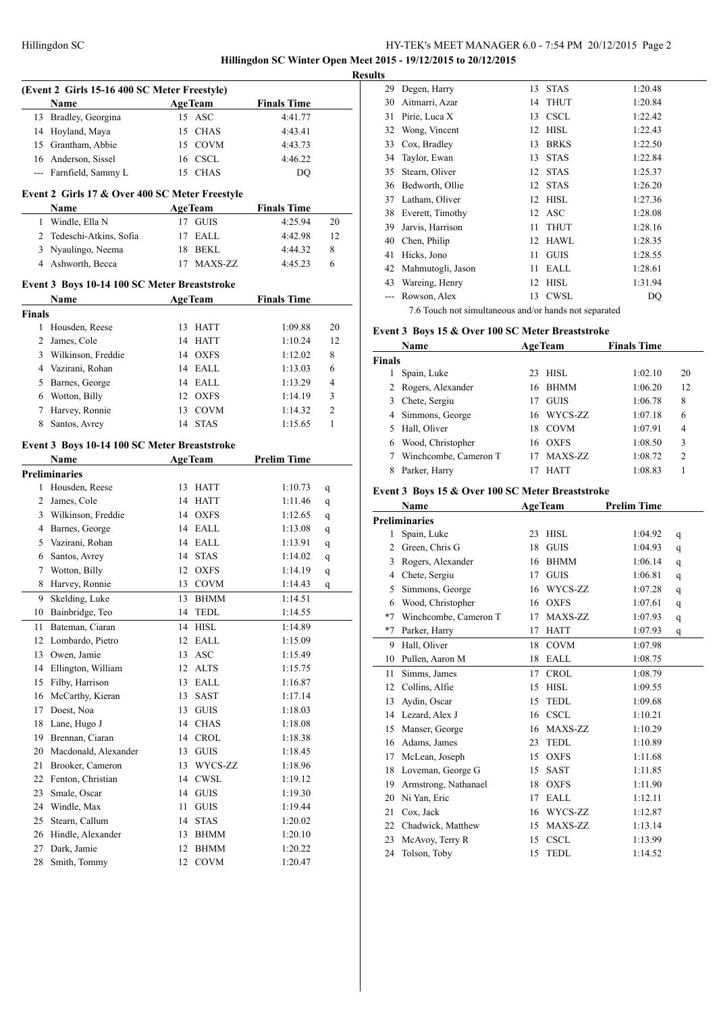# HY-TEK's MEET MANAGER 6.0 - 7:54 PM 20/12/2015 Page 2 **Hillingdon SC Winter Open Meet 2015 - 19/12/2015 to 20/12/2015**

| (Event 2 Girls 15-16 400 SC Meter Freestyle) |                                                |          |                            |                    |    |  |  |
|----------------------------------------------|------------------------------------------------|----------|----------------------------|--------------------|----|--|--|
|                                              | Name                                           |          | <b>AgeTeam</b>             | <b>Finals Time</b> |    |  |  |
| 13                                           | Bradley, Georgina                              |          | 15 ASC                     | 4:41.77            |    |  |  |
| 14                                           |                                                |          |                            |                    |    |  |  |
|                                              | Hoyland, Maya                                  |          | 15 CHAS                    | 4:43.41            |    |  |  |
|                                              | 15 Grantham, Abbie                             |          | 15 COVM                    | 4:43.73            |    |  |  |
| 16                                           | Anderson, Sissel                               |          | 16 CSCL                    | 4:46.22            |    |  |  |
|                                              | --- Farnfield, Sammy L                         |          | 15 CHAS                    | DQ                 |    |  |  |
|                                              | Event 2 Girls 17 & Over 400 SC Meter Freestyle |          |                            |                    |    |  |  |
|                                              | Name                                           |          | <b>AgeTeam</b>             | <b>Finals Time</b> |    |  |  |
| 1                                            | Windle, Ella N                                 | 17       | <b>GUIS</b>                | 4:25.94            | 20 |  |  |
| 2                                            | Tedeschi-Atkins, Sofia                         | 17       | EALL                       | 4:42.98            | 12 |  |  |
| 3                                            | Nyaulingo, Neema                               |          | 18 BEKL                    | 4:44.32            | 8  |  |  |
| 4                                            | Ashworth, Becca                                | 17       | MAXS-ZZ                    | 4:45.23            | 6  |  |  |
|                                              | Event 3 Boys 10-14 100 SC Meter Breaststroke   |          |                            |                    |    |  |  |
|                                              |                                                |          |                            | <b>Finals Time</b> |    |  |  |
|                                              | Name                                           |          | <b>AgeTeam</b>             |                    |    |  |  |
| <b>Finals</b><br>1                           |                                                | 13       |                            |                    |    |  |  |
|                                              | Housden, Reese                                 |          | HATT                       | 1:09.88            | 20 |  |  |
| 2                                            | James, Cole                                    |          | 14 HATT                    | 1:10.24            | 12 |  |  |
| 3                                            | Wilkinson, Freddie                             |          | 14 OXFS                    | 1:12.02            | 8  |  |  |
| 4                                            | Vazirani, Rohan                                |          | 14 EALL                    | 1:13.03            | 6  |  |  |
| 5                                            | Barnes, George                                 |          | 14 EALL                    | 1:13.29            | 4  |  |  |
| 6                                            | Wotton, Billy                                  |          | 12 OXFS                    | 1:14.19            | 3  |  |  |
| 7                                            | Harvey, Ronnie                                 | 13       | <b>COVM</b>                | 1:14.32            | 2  |  |  |
| 8                                            | Santos, Avrey                                  | 14       | <b>STAS</b>                | 1:15.65            | 1  |  |  |
|                                              | Event 3 Boys 10-14 100 SC Meter Breaststroke   |          |                            |                    |    |  |  |
|                                              | Name                                           |          | <b>AgeTeam</b>             | <b>Prelim Time</b> |    |  |  |
|                                              | <b>Preliminaries</b>                           |          |                            |                    |    |  |  |
| 1                                            | Housden, Reese                                 |          | 13 HATT                    | 1:10.73            | q  |  |  |
| 2                                            | James, Cole                                    |          | 14 HATT                    | 1:11.46            | q  |  |  |
| 3                                            | Wilkinson, Freddie                             |          | 14 OXFS                    | 1:12.65            | q  |  |  |
| 4                                            | Barnes, George                                 |          | 14 EALL                    | 1:13.08            | q  |  |  |
| 5                                            | Vazirani, Rohan                                | 14       | EALL                       | 1:13.91            | q  |  |  |
| 6                                            | Santos, Avrey                                  |          | 14 STAS                    | 1:14.02            | q  |  |  |
| 7                                            | Wotton, Billy                                  |          | 12 OXFS                    | 1:14.19            | q  |  |  |
| 8                                            | Harvey, Ronnie                                 |          | 13 COVM                    | 1:14.43            | q  |  |  |
| 9                                            | Skelding, Luke                                 | 13       | <b>BHMM</b>                | 1:14.51            |    |  |  |
| 10                                           | Bainbridge, Teo                                | 14       | <b>TEDL</b>                | 1:14.55            |    |  |  |
| 11                                           | Bateman, Ciaran                                | 14       | <b>HISL</b>                | 1:14.89            |    |  |  |
| 12                                           | Lombardo, Pietro                               | 12       | EALL                       | 1:15.09            |    |  |  |
| 13                                           | Owen, Jamie                                    | 13       | ASC                        | 1:15.49            |    |  |  |
| 14                                           | Ellington, William                             | 12       | <b>ALTS</b>                | 1:15.75            |    |  |  |
| 15                                           | Filby, Harrison                                | 13       | EALL                       | 1:16.87            |    |  |  |
| 16                                           | McCarthy, Kieran                               | 13       | SAST                       | 1:17.14            |    |  |  |
| 17                                           | Doest, Noa                                     | 13       | <b>GUIS</b>                | 1:18.03            |    |  |  |
| 18                                           | Lane, Hugo J                                   | 14       | CHAS                       |                    |    |  |  |
| 19                                           | Brennan, Ciaran                                | 14       | <b>CROL</b>                | 1:18.08<br>1:18.38 |    |  |  |
|                                              |                                                |          | <b>GUIS</b>                |                    |    |  |  |
| 20                                           |                                                |          |                            |                    |    |  |  |
|                                              | Macdonald, Alexander                           | 13       |                            | 1:18.45            |    |  |  |
| 21                                           | Brooker, Cameron                               | 13       | WYCS-ZZ                    | 1:18.96            |    |  |  |
| 22                                           | Fenton, Christian                              | 14       | <b>CWSL</b>                | 1:19.12            |    |  |  |
| 23                                           | Smale, Oscar                                   | 14       | <b>GUIS</b>                | 1:19.30            |    |  |  |
| 24                                           | Windle, Max                                    | 11       | <b>GUIS</b>                | 1:19.44            |    |  |  |
| 25                                           | Stearn, Callum                                 | 14       | <b>STAS</b>                | 1:20.02            |    |  |  |
| 26                                           | Hindle, Alexander                              | 13       | BHMM                       | 1:20.10            |    |  |  |
| 27<br>28                                     | Dark, Jamie<br>Smith, Tommy                    | 12<br>12 | <b>BHMM</b><br><b>COVM</b> | 1:20.22<br>1:20.47 |    |  |  |

| <b>Results</b> |                   |          |             |         |
|----------------|-------------------|----------|-------------|---------|
| 29             | Degen, Harry      | 13       | <b>STAS</b> | 1:20.48 |
| 30             | Aitmarri, Azar    | 14       | <b>THUT</b> | 1:20.84 |
| 31             | Pirie, Luca X     | 13       | <b>CSCL</b> | 1:22.42 |
| 32             | Wong, Vincent     | 12       | <b>HISL</b> | 1:22.43 |
| 33             | Cox, Bradley      | 13       | <b>BRKS</b> | 1:22.50 |
| 34             | Taylor, Ewan      | 13       | <b>STAS</b> | 1:22.84 |
| 35             | Stearn, Oliver    | 12       | <b>STAS</b> | 1:25.37 |
| 36             | Bedworth, Ollie   | 12       | <b>STAS</b> | 1:26.20 |
| 37             | Latham, Oliver    | 12       | <b>HISL</b> | 1:27.36 |
| 38             | Everett, Timothy  |          | 12 ASC      | 1:28.08 |
| 39             | Jarvis, Harrison  | 11       | <b>THUT</b> | 1:28.16 |
| 40             | Chen, Philip      | 12       | HAWL        | 1:28.35 |
| 41             | Hicks, Jono       | 11       | <b>GUIS</b> | 1:28.55 |
| 42             | Mahmutogli, Jason | 11       | EALL        | 1:28.61 |
| 43             | Wareing, Henry    | 12       | HISL        | 1:31.94 |
|                | Rowson, Alex      | 13       | CWSL        | DQ      |
|                | $\mathbf{1}$      | $\cdots$ |             |         |

#### 7.6 Touch not simultaneous and/or hands not separated

# **Event 3 Boys 15 & Over 100 SC Meter Breaststroke**

| <b>Name</b>   |                       |    | <b>AgeTeam</b> | <b>Finals Time</b> |               |
|---------------|-----------------------|----|----------------|--------------------|---------------|
| <b>Finals</b> |                       |    |                |                    |               |
|               | Spain, Luke           | 23 | HISL           | 1:02.10            | 20            |
|               | 2 Rogers, Alexander   |    | 16 BHMM        | 1:06.20            | 12            |
| 3.            | Chete, Sergiu         | 17 | <b>GUIS</b>    | 1:06.78            | 8             |
|               | 4 Simmons, George     |    | 16 WYCS-ZZ     | 1:07.18            | 6             |
|               | Hall, Oliver          | 18 | <b>COVM</b>    | 1:07.91            | 4             |
| 6             | Wood, Christopher     | 16 | <b>OXFS</b>    | 1:08.50            | 3             |
|               | Winchcombe, Cameron T |    | MAXS-ZZ        | 1:08.72            | $\mathcal{D}$ |
|               | Parker, Harry         |    | <b>HATT</b>    | 1:08.83            |               |

# **Event 3 Boys 15 & Over 100 SC Meter Breaststroke**

|      | Name                  | <b>AgeTeam</b>    | <b>Prelim Time</b> |   |
|------|-----------------------|-------------------|--------------------|---|
|      | <b>Preliminaries</b>  |                   |                    |   |
| 1    | Spain, Luke           | <b>HISL</b><br>23 | 1:04.92            | q |
| 2    | Green, Chris G        | <b>GUIS</b><br>18 | 1:04.93            | q |
| 3    | Rogers, Alexander     | <b>BHMM</b><br>16 | 1:06.14            | q |
| 4    | Chete, Sergiu         | <b>GUIS</b><br>17 | 1:06.81            | q |
| 5    | Simmons, George       | WYCS-ZZ<br>16     | 1:07.28            | q |
| 6    | Wood, Christopher     | <b>OXFS</b><br>16 | 1:07.61            | q |
| $*7$ | Winchcombe, Cameron T | MAXS-ZZ<br>17     | 1:07.93            | q |
| $*7$ | Parker, Harry         | <b>HATT</b><br>17 | 1:07.93            | q |
| 9    | Hall, Oliver          | <b>COVM</b><br>18 | 1:07.98            |   |
| 10   | Pullen, Aaron M       | <b>EALL</b><br>18 | 1:08.75            |   |
| 11   | Simms, James          | <b>CROL</b><br>17 | 1:08.79            |   |
| 12   | Collins, Alfie        | <b>HISL</b><br>15 | 1:09.55            |   |
| 13   | Aydin, Oscar          | <b>TEDL</b><br>15 | 1:09.68            |   |
| 14   | Lezard, Alex J        | <b>CSCL</b><br>16 | 1:10.21            |   |
| 15   | Manser, George        | MAXS-ZZ<br>16     | 1:10.29            |   |
| 16   | Adams, James          | <b>TEDL</b><br>23 | 1:10.89            |   |
| 17   | McLean, Joseph        | <b>OXFS</b><br>15 | 1:11.68            |   |
| 18   | Loveman, George G     | <b>SAST</b><br>15 | 1:11.85            |   |
| 19   | Armstrong, Nathanael  | <b>OXFS</b><br>18 | 1:11.90            |   |
| 20   | Ni Yan, Eric          | <b>EALL</b><br>17 | 1:12.11            |   |
| 21   | Cox, Jack             | WYCS-ZZ<br>16     | 1:12.87            |   |
| 22   | Chadwick, Matthew     | MAXS-ZZ<br>15     | 1:13.14            |   |
| 23   | McAvoy, Terry R       | <b>CSCL</b><br>15 | 1:13.99            |   |
| 24   | Tolson, Toby          | <b>TEDL</b><br>15 | 1:14.52            |   |
|      |                       |                   |                    |   |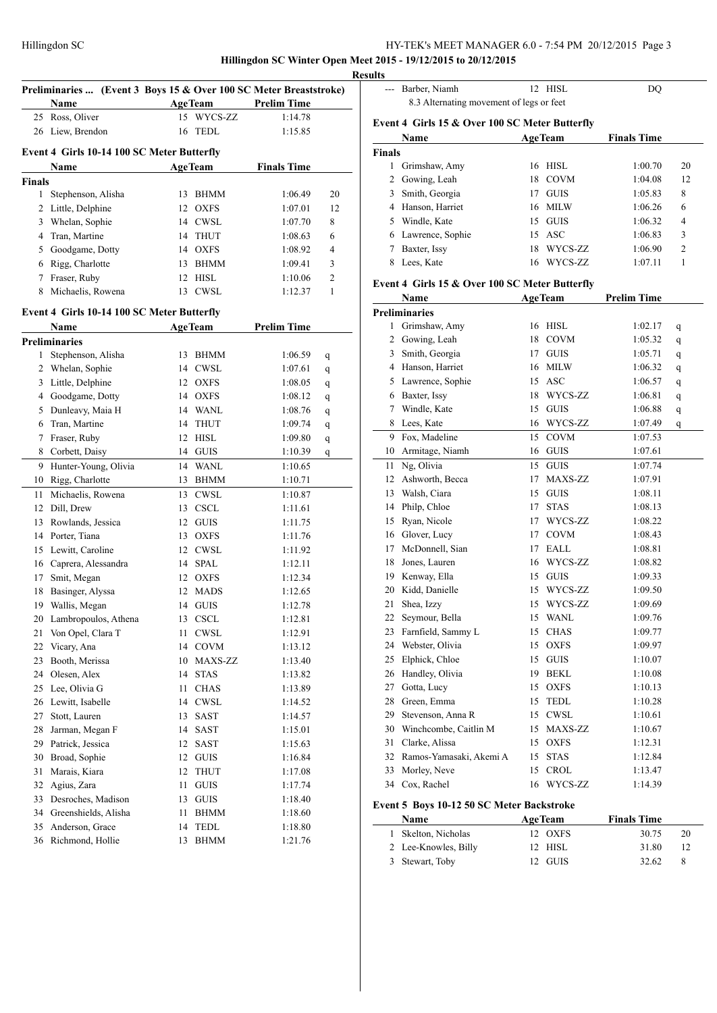**Hillingdon SC Winter Open Meet 2015 - 19/12/2015 to 20/12/2015**

|               | Preliminaries  (Event 3 Boys 15 & Over 100 SC Meter Breaststroke) |          |                            |                    |    |
|---------------|-------------------------------------------------------------------|----------|----------------------------|--------------------|----|
|               | Name                                                              |          | <b>AgeTeam</b>             | <b>Prelim Time</b> |    |
| 25            | Ross, Oliver                                                      |          | 15 WYCS-ZZ                 | 1:14.78            |    |
| 26            | Liew, Brendon                                                     | 16       | <b>TEDL</b>                | 1:15.85            |    |
|               |                                                                   |          |                            |                    |    |
|               | Event 4 Girls 10-14 100 SC Meter Butterfly                        |          |                            |                    |    |
|               | Name                                                              |          | <b>AgeTeam</b>             | <b>Finals Time</b> |    |
| <b>Finals</b> |                                                                   |          |                            |                    |    |
| 1             | Stephenson, Alisha                                                | 13       | <b>BHMM</b>                | 1:06.49            | 20 |
| 2             | Little, Delphine                                                  | 12       | <b>OXFS</b>                | 1:07.01            | 12 |
| 3             | Whelan, Sophie                                                    |          | 14 CWSL                    | 1:07.70            | 8  |
| 4             | Tran, Martine                                                     | 14       | <b>THUT</b>                | 1:08.63            | 6  |
| 5             | Goodgame, Dotty                                                   |          | 14 OXFS                    | 1:08.92            | 4  |
| 6             | Rigg, Charlotte                                                   | 13       | BHMM                       | 1:09.41            | 3  |
| 7             | Fraser, Ruby                                                      | 12       | HISL                       | 1:10.06            | 2  |
| 8             | Michaelis, Rowena                                                 | 13       | CWSL                       | 1:12.37            | 1  |
|               | Event 4 Girls 10-14 100 SC Meter Butterfly                        |          |                            |                    |    |
|               | Name                                                              |          | <b>AgeTeam</b>             | <b>Prelim Time</b> |    |
|               | <b>Preliminaries</b>                                              |          |                            |                    |    |
| 1             | Stephenson, Alisha                                                | 13       | <b>BHMM</b>                | 1:06.59            |    |
| 2             | Whelan, Sophie                                                    |          | 14 CWSL                    | 1:07.61            | q  |
| 3             | Little, Delphine                                                  | 12       | <b>OXFS</b>                | 1:08.05            | q  |
| 4             | Goodgame, Dotty                                                   |          | 14 OXFS                    | 1:08.12            | q  |
| 5             | Dunleavy, Maia H                                                  |          | 14 WANL                    |                    | q  |
| 6             | Tran, Martine                                                     | 14       | THUT                       | 1:08.76<br>1:09.74 | q  |
| 7             |                                                                   | 12       | HISL                       |                    | q  |
| 8             | Fraser, Ruby<br>Corbett, Daisy                                    |          |                            | 1:09.80            | q  |
|               |                                                                   |          | 14 GUIS                    | 1:10.39            | q  |
| 9             | Hunter-Young, Olivia                                              |          | 14 WANL                    | 1:10.65            |    |
| 10            | Rigg, Charlotte                                                   | 13       | <b>BHMM</b>                | 1:10.71            |    |
| 11            | Michaelis, Rowena                                                 |          | 13 CWSL                    | 1:10.87            |    |
| 12            | Dill, Drew                                                        | 13       | <b>CSCL</b>                | 1:11.61            |    |
| 13            | Rowlands, Jessica                                                 |          | 12 GUIS                    | 1:11.75            |    |
| 14            | Porter, Tiana                                                     | 13       | <b>OXFS</b>                | 1:11.76            |    |
| 15            | Lewitt, Caroline                                                  |          | 12 CWSL                    | 1:11.92            |    |
| 16            | Caprera, Alessandra                                               | 14       | SPAL                       | 1:12.11            |    |
| 17            | Smit, Megan                                                       | 12       | OXFS                       | 1:12.34            |    |
| 18            | Basinger, Alyssa                                                  | 12       | <b>MADS</b>                | 1:12.65            |    |
|               | 19 Wallis, Megan                                                  |          | 14 GUIS                    | 1:12.78            |    |
| 20<br>21      | Lambropoulos, Athena<br>Von Opel, Clara T                         | 13<br>11 | CSCL<br>CWSL               | 1:12.81            |    |
| 22            | Vicary, Ana                                                       | 14       | $\rm COVM$                 | 1:12.91<br>1:13.12 |    |
| 23            | Booth, Merissa                                                    | 10       | MAXS-ZZ                    | 1:13.40            |    |
| 24            | Olesen, Alex                                                      | 14       | <b>STAS</b>                | 1:13.82            |    |
| 25            | Lee, Olivia G                                                     | 11       | CHAS                       | 1:13.89            |    |
| 26            | Lewitt, Isabelle                                                  | 14       | <b>CWSL</b>                | 1:14.52            |    |
| 27            | Stott, Lauren                                                     | 13       | SAST                       | 1:14.57            |    |
| 28            | Jarman, Megan F                                                   | 14       | SAST                       | 1:15.01            |    |
| 29            | Patrick, Jessica                                                  | 12       | SAST                       | 1:15.63            |    |
| 30            | Broad, Sophie                                                     | 12       | <b>GUIS</b>                | 1:16.84            |    |
| 31            | Marais, Kiara                                                     | 12       |                            |                    |    |
| 32            | Agius, Zara                                                       | 11       | THUT<br><b>GUIS</b>        | 1:17.08<br>1:17.74 |    |
| 33            | Desroches, Madison                                                | 13       | <b>GUIS</b>                | 1:18.40            |    |
| 34            | Greenshields, Alisha                                              |          |                            |                    |    |
| 35            | Anderson, Grace                                                   | 11<br>14 | <b>BHMM</b><br><b>TEDL</b> | 1:18.60            |    |
|               | Richmond, Hollie                                                  |          |                            | 1:18.80            |    |
| 36            |                                                                   | 13       | BHMM                       | 1:21.76            |    |

| <b>Results</b> |                                                |    |                |                    |                |
|----------------|------------------------------------------------|----|----------------|--------------------|----------------|
|                | Barber, Niamh                                  |    | 12 HISL        | DO                 |                |
|                | 8.3 Alternating movement of legs or feet       |    |                |                    |                |
|                | Event 4 Girls 15 & Over 100 SC Meter Butterfly |    |                |                    |                |
|                | Name                                           |    | <b>AgeTeam</b> | <b>Finals Time</b> |                |
| <b>Finals</b>  |                                                |    |                |                    |                |
| 1              | Grimshaw, Amy                                  |    | 16 HISL        | 1:00.70            | 20             |
| 2              | Gowing, Leah                                   |    | 18 COVM        | 1:04.08            | 12             |
| 3              | Smith, Georgia                                 | 17 | <b>GUIS</b>    | 1:05.83            | 8              |
| 4              | Hanson, Harriet                                |    | 16 MILW        | 1:06.26            | 6              |
| 5              | Windle, Kate                                   | 15 | GUIS           | 1:06.32            | $\overline{4}$ |
| 6              | Lawrence, Sophie                               |    | 15 ASC         | 1:06.83            | 3              |
|                | Baxter, Issy                                   |    | 18 WYCS-ZZ     | 1:06.90            | $\mathfrak{D}$ |
| 8              | Lees, Kate                                     | 16 | WYCS-ZZ        | 1:07.11            | 1              |
|                | Event 4 Girls 15 & Over 100 SC Meter Butterfly |    |                |                    |                |
|                | Name                                           |    | <b>AgeTeam</b> | <b>Prelim Time</b> |                |

|    | <b>Preliminaries</b>    |    |             |         |   |
|----|-------------------------|----|-------------|---------|---|
|    | 1 Grimshaw, Amy         |    | 16 HISL     | 1:02.17 | q |
|    | 2 Gowing, Leah          |    | 18 COVM     | 1:05.32 | q |
| 3  | Smith, Georgia          |    | 17 GUIS     | 1:05.71 | q |
|    | 4 Hanson, Harriet       |    | 16 MILW     | 1:06.32 | q |
| 5  | Lawrence, Sophie        |    | 15 ASC      | 1:06.57 | q |
| 6  | Baxter, Issy            |    | 18 WYCS-ZZ  | 1:06.81 | q |
| 7  | Windle, Kate            | 15 | <b>GUIS</b> | 1:06.88 | q |
| 8  | Lees, Kate              | 16 | WYCS-ZZ     | 1:07.49 | q |
| 9  | Fox, Madeline           | 15 | <b>COVM</b> | 1:07.53 |   |
| 10 | Armitage, Niamh         | 16 | <b>GUIS</b> | 1:07.61 |   |
| 11 | Ng, Olivia              | 15 | <b>GUIS</b> | 1:07.74 |   |
| 12 | Ashworth, Becca         | 17 | MAXS-ZZ     | 1:07.91 |   |
| 13 | Walsh, Ciara            |    | 15 GUIS     | 1:08.11 |   |
| 14 | Philp, Chloe            | 17 | <b>STAS</b> | 1:08.13 |   |
| 15 | Ryan, Nicole            |    | 17 WYCS-ZZ  | 1:08.22 |   |
| 16 | Glover, Lucy            | 17 | <b>COVM</b> | 1:08.43 |   |
| 17 | McDonnell, Sian         | 17 | <b>EALL</b> | 1:08.81 |   |
| 18 | Jones, Lauren           |    | 16 WYCS-ZZ  | 1:08.82 |   |
| 19 | Kenway, Ella            | 15 | <b>GUIS</b> | 1:09.33 |   |
| 20 | Kidd, Danielle          |    | 15 WYCS-ZZ  | 1:09.50 |   |
| 21 | Shea, Izzy              |    | 15 WYCS-ZZ  | 1:09.69 |   |
| 22 | Seymour, Bella          |    | 15 WANL     | 1:09.76 |   |
| 23 | Farnfield, Sammy L      |    | 15 CHAS     | 1:09.77 |   |
| 24 | Webster, Olivia         |    | 15 OXFS     | 1:09.97 |   |
| 25 | Elphick, Chloe          |    | 15 GUIS     | 1:10.07 |   |
| 26 | Handley, Olivia         |    | 19 BEKL     | 1:10.08 |   |
| 27 | Gotta, Lucy             |    | 15 OXFS     | 1:10.13 |   |
| 28 | Green, Emma             |    | 15 TEDL     | 1:10.28 |   |
| 29 | Stevenson, Anna R       |    | 15 CWSL     | 1:10.61 |   |
| 30 | Winchcombe, Caitlin M   |    | 15 MAXS-ZZ  | 1:10.67 |   |
| 31 | Clarke, Alissa          | 15 | <b>OXFS</b> | 1:12.31 |   |
| 32 | Ramos-Yamasaki, Akemi A | 15 | <b>STAS</b> | 1:12.84 |   |
| 33 | Morley, Neve            | 15 | <b>CROL</b> | 1:13.47 |   |
| 34 | Cox, Rachel             | 16 | WYCS-ZZ     | 1:14.39 |   |
|    |                         |    |             |         |   |

# **Event 5 Boys 10-12 50 SC Meter Backstroke**

| <b>Name</b>          | <b>AgeTeam</b> | <b>Finals Time</b> |    |
|----------------------|----------------|--------------------|----|
| 1 Skelton, Nicholas  | 12 OXFS        | 30.75              | 20 |
| 2 Lee-Knowles, Billy | $12$ HISL      | 31.80              |    |
| 3 Stewart, Toby      | 12 GUIS        | 32.62              |    |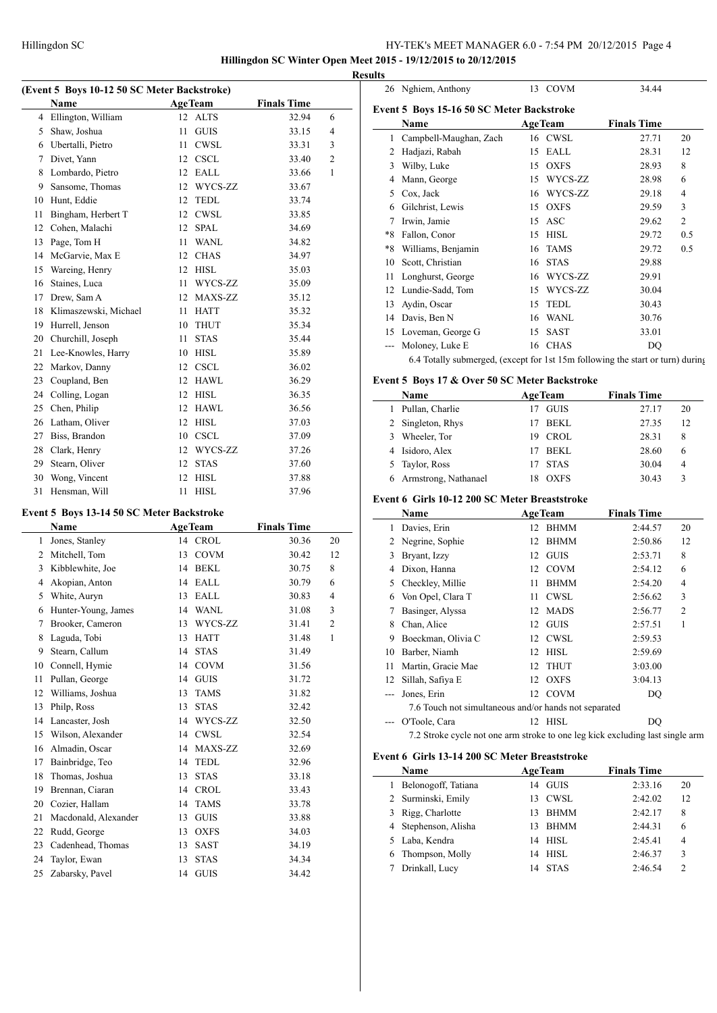**Hillingdon SC Winter Open Meet 2015 - 19/12/2015 to 20/12/2015 Results**

| (Event 5 Boys 10-12 50 SC Meter Backstroke) |  |
|---------------------------------------------|--|
|                                             |  |

|              | Name                  | <b>AgeTeam</b> |             | <b>Finals Time</b> |              |
|--------------|-----------------------|----------------|-------------|--------------------|--------------|
| 4            | Ellington, William    | 12             | <b>ALTS</b> | 32.94              | 6            |
| 5            | Shaw, Joshua          | 11             | <b>GUIS</b> | 33.15              | 4            |
| 6            | Ubertalli, Pietro     | 11             | <b>CWSL</b> | 33.31              | 3            |
| 7            | Divet, Yann           | 12             | <b>CSCL</b> | 33.40              | 2            |
| 8            | Lombardo, Pietro      | 12             | EALL        | 33.66              | $\mathbf{1}$ |
| 9            | Sansome, Thomas       | 12             | WYCS-ZZ     | 33.67              |              |
| 10           | Hunt, Eddie           | 12             | <b>TEDL</b> | 33.74              |              |
| 11           | Bingham, Herbert T    | 12             | <b>CWSL</b> | 33.85              |              |
| $12^{\circ}$ | Cohen, Malachi        | 12             | <b>SPAL</b> | 34.69              |              |
| 13           | Page, Tom H           | 11             | <b>WANL</b> | 34.82              |              |
| 14           | McGarvie, Max E       | 12             | <b>CHAS</b> | 34.97              |              |
| 15           | Wareing, Henry        | 12             | <b>HISL</b> | 35.03              |              |
| 16           | Staines, Luca         | 11             | WYCS-ZZ     | 35.09              |              |
| 17           | Drew, Sam A           | 12             | MAXS-ZZ     | 35.12              |              |
| 18           | Klimaszewski, Michael | 11             | <b>HATT</b> | 35.32              |              |
| 19           | Hurrell, Jenson       | 10             | <b>THUT</b> | 35.34              |              |
| 20           | Churchill, Joseph     | 11             | <b>STAS</b> | 35.44              |              |
| 21           | Lee-Knowles, Harry    | 10             | <b>HISL</b> | 35.89              |              |
| 22           | Markov, Danny         | 12             | <b>CSCL</b> | 36.02              |              |
| 23           | Coupland, Ben         | 12             | <b>HAWL</b> | 36.29              |              |
| 24           | Colling, Logan        | 12             | <b>HISL</b> | 36.35              |              |
| 25           | Chen, Philip          | 12             | <b>HAWL</b> | 36.56              |              |
| 26           | Latham, Oliver        | 12             | <b>HISL</b> | 37.03              |              |
| 27           | Biss, Brandon         | 10             | <b>CSCL</b> | 37.09              |              |
| 28           | Clark, Henry          | 12             | WYCS-ZZ     | 37.26              |              |
| 29           | Stearn, Oliver        | 12             | <b>STAS</b> | 37.60              |              |
| 30           | Wong, Vincent         | 12             | <b>HISL</b> | 37.88              |              |
| 31           | Hensman, Will         | 11             | <b>HISL</b> | 37.96              |              |
|              |                       |                |             |                    |              |

# **Event 5 Boys 13-14 50 SC Meter Backstroke**

|    | Name                 | <b>AgeTeam</b> |             | <b>Finals Time</b> |                |
|----|----------------------|----------------|-------------|--------------------|----------------|
| 1  | Jones, Stanley       | 14             | <b>CROL</b> | 30.36              | 20             |
| 2  | Mitchell, Tom        | 13             | <b>COVM</b> | 30.42              | 12             |
| 3  | Kibblewhite, Joe     | 14             | <b>BEKL</b> | 30.75              | 8              |
| 4  | Akopian, Anton       | 14             | EALL        | 30.79              | 6              |
| 5  | White, Auryn         | 13             | EALL        | 30.83              | 4              |
| 6  | Hunter-Young, James  | 14             | <b>WANL</b> | 31.08              | 3              |
| 7  | Brooker, Cameron     | 13             | WYCS-ZZ     | 31.41              | $\overline{2}$ |
| 8  | Laguda, Tobi         | 13             | <b>HATT</b> | 31.48              | 1              |
| 9  | Stearn, Callum       | 14             | <b>STAS</b> | 31.49              |                |
| 10 | Connell, Hymie       | 14             | <b>COVM</b> | 31.56              |                |
| 11 | Pullan, George       | 14             | <b>GUIS</b> | 31.72              |                |
| 12 | Williams, Joshua     | 13             | <b>TAMS</b> | 31.82              |                |
| 13 | Philp, Ross          | 13             | <b>STAS</b> | 32.42              |                |
| 14 | Lancaster, Josh      | 14             | WYCS-ZZ     | 32.50              |                |
| 15 | Wilson, Alexander    | 14             | <b>CWSL</b> | 32.54              |                |
| 16 | Almadin, Oscar       | 14             | MAXS-ZZ     | 32.69              |                |
| 17 | Bainbridge, Teo      | 14             | <b>TEDL</b> | 32.96              |                |
| 18 | Thomas, Joshua       | 13             | <b>STAS</b> | 33.18              |                |
| 19 | Brennan, Ciaran      | 14             | <b>CROL</b> | 33.43              |                |
| 20 | Cozier, Hallam       | 14             | <b>TAMS</b> | 33.78              |                |
| 21 | Macdonald, Alexander | 13             | <b>GUIS</b> | 33.88              |                |
| 22 | Rudd, George         | 13             | <b>OXFS</b> | 34.03              |                |
| 23 | Cadenhead, Thomas    | 13             | <b>SAST</b> | 34.19              |                |
| 24 | Taylor, Ewan         | 13             | <b>STAS</b> | 34.34              |                |
| 25 | Zabarsky, Pavel      | 14             | <b>GUIS</b> | 34.42              |                |

|      | 26 Nghiem, Anthony                                                             | 13<br><b>COVM</b> |         | 34.44              |                |
|------|--------------------------------------------------------------------------------|-------------------|---------|--------------------|----------------|
|      | Event 5 Boys 15-16 50 SC Meter Backstroke                                      |                   |         |                    |                |
|      | Name                                                                           | <b>AgeTeam</b>    |         | <b>Finals Time</b> |                |
| 1    | Campbell-Maughan, Zach                                                         | 16 CWSL           |         | 27.71              | 20             |
| 2    | Hadjazi, Rabah                                                                 | EALL<br>15        |         | 28.31              | 12             |
| 3    | Wilby, Luke                                                                    | <b>OXFS</b><br>15 |         | 28.93              | 8              |
| 4    | Mann, George                                                                   | 15                | WYCS-ZZ | 28.98              | 6              |
| 5    | Cox, Jack                                                                      | 16                | WYCS-ZZ | 29.18              | 4              |
| 6    | Gilchrist, Lewis                                                               | <b>OXFS</b><br>15 |         | 29.59              | 3              |
| 7    | Irwin, Jamie                                                                   | ASC<br>15         |         | 29.62              | $\overline{2}$ |
| *8   | Fallon, Conor                                                                  | HISL<br>15        |         | 29.72              | 0.5            |
| $*8$ | Williams, Benjamin                                                             | <b>TAMS</b><br>16 |         | 29.72              | 0.5            |
| 10   | Scott, Christian                                                               | <b>STAS</b><br>16 |         | 29.88              |                |
| 11   | Longhurst, George                                                              | 16                | WYCS-ZZ | 29.91              |                |
| 12   | Lundie-Sadd, Tom                                                               | 15                | WYCS-ZZ | 30.04              |                |
| 13   | Aydin, Oscar                                                                   | <b>TEDL</b><br>15 |         | 30.43              |                |
| 14   | Davis, Ben N                                                                   | <b>WANL</b><br>16 |         | 30.76              |                |
| 15   | Loveman, George G                                                              | <b>SAST</b><br>15 |         | 33.01              |                |
| ---  | Moloney, Luke E                                                                | <b>CHAS</b><br>16 |         | DQ                 |                |
|      | 6.4 Totally submerged, (except for 1st 15m following the start or turn) during |                   |         |                    |                |

### **Event 5 Boys 17 & Over 50 SC Meter Backstroke**

|   | Name                   |     | <b>AgeTeam</b> | <b>Finals Time</b> |    |
|---|------------------------|-----|----------------|--------------------|----|
| L | Pullan, Charlie        |     | <b>GUIS</b>    | 27.17              | 20 |
|   | 2 Singleton, Rhys      |     | <b>BEKL</b>    | 27.35              | 12 |
|   | 3 Wheeler, Tor         | 19. | - CROL         | 28.31              | 8  |
|   | 4 Isidoro, Alex        |     | <b>BEKL</b>    | 28.60              | 6  |
|   | 5 Taylor, Ross         |     | <b>STAS</b>    | 30.04              | 4  |
|   | 6 Armstrong, Nathanael | 18  | <b>OXFS</b>    | 30.43              | ٦  |

#### **Event 6 Girls 10-12 200 SC Meter Breaststroke**

|    | Name                                                                          |    | <b>AgeTeam</b> | <b>Finals Time</b> |                |
|----|-------------------------------------------------------------------------------|----|----------------|--------------------|----------------|
| 1  | Davies, Erin                                                                  | 12 | <b>BHMM</b>    | 2:44.57            | 20             |
| 2  | Negrine, Sophie                                                               | 12 | <b>BHMM</b>    | 2:50.86            | 12             |
| 3  | Bryant, Izzy                                                                  |    | 12 GUIS        | 2:53.71            | 8              |
| 4  | Dixon, Hanna                                                                  |    | 12 COVM        | 2:54.12            | 6              |
| 5  | Checkley, Millie                                                              | 11 | <b>BHMM</b>    | 2:54.20            | 4              |
| 6  | Von Opel, Clara T                                                             | 11 | <b>CWSL</b>    | 2:56.62            | 3              |
| 7  | Basinger, Alyssa                                                              | 12 | <b>MADS</b>    | 2:56.77            | $\overline{2}$ |
| 8  | Chan, Alice                                                                   |    | 12 GUIS        | 2:57.51            | 1              |
| 9  | Boeckman, Olivia C                                                            |    | 12 CWSL        | 2:59.53            |                |
| 10 | Barber, Niamh                                                                 | 12 | <b>HISL</b>    | 2:59.69            |                |
| 11 | Martin, Gracie Mae                                                            | 12 | <b>THUT</b>    | 3:03.00            |                |
| 12 | Sillah, Safiya E                                                              |    | 12 OXFS        | 3:04.13            |                |
|    | Jones, Erin                                                                   |    | 12 COVM        | DQ                 |                |
|    | 7.6 Touch not simultaneous and/or hands not separated                         |    |                |                    |                |
|    | O'Toole, Cara                                                                 | 12 | HISL           | DQ                 |                |
|    | 7.2 Stroke cycle not one arm stroke to one leg kick excluding last single arm |    |                |                    |                |

#### **Event 6 Girls 13-14 200 SC Meter Breaststroke**

|   | Name                 |     | <b>AgeTeam</b> | <b>Finals Time</b> |               |
|---|----------------------|-----|----------------|--------------------|---------------|
| 1 | Belonogoff, Tatiana  | 14  | <b>GUIS</b>    | 2:33.16            | 20            |
|   | 2 Surminski, Emily   | 13. | CWSL           | 2:42.02            | 12            |
|   | 3 Rigg, Charlotte    | 13  | <b>BHMM</b>    | 2:42.17            | 8             |
|   | 4 Stephenson, Alisha | 13  | <b>BHMM</b>    | 2:44.31            | 6             |
|   | 5 Laba, Kendra       | 14  | HISL           | 2:45.41            | 4             |
|   | 6 Thompson, Molly    |     | 14 HISL        | 2:46.37            | 3             |
|   | Drinkall, Lucy       | 14  | <b>STAS</b>    | 2:46.54            | $\mathcal{D}$ |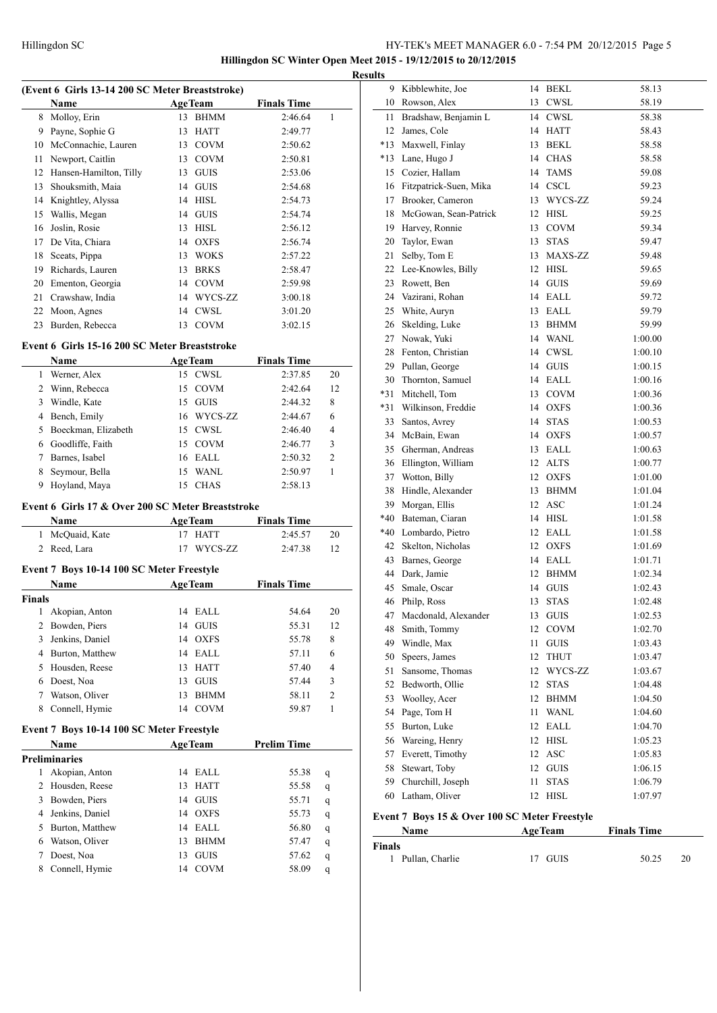# HY-TEK's MEET MANAGER 6.0 - 7:54 PM 20/12/2015 Page 5 **Hillingdon SC Winter Open Meet 2015 - 19/12/2015 to 20/12/2015**

# **(Event 6 Girls 13-14 200 SC Meter Breaststroke) Name Age Team Finals Time** 8 Molloy, Erin 13 BHMM 2:46.64 1 Payne, Sophie G 13 HATT 2:49.77 McConnachie, Lauren 13 COVM 2:50.62 Newport, Caitlin 13 COVM 2:50.81 12 Hansen-Hamilton, Tilly 13 GUIS 2:53.06 Shouksmith, Maia 14 GUIS 2:54.68 Knightley, Alyssa 14 HISL 2:54.73 Wallis, Megan 14 GUIS 2:54.74 Joslin, Rosie 13 HISL 2:56.12 De Vita, Chiara 14 OXFS 2:56.74 Sceats, Pippa 13 WOKS 2:57.22 Richards, Lauren 13 BRKS 2:58.47 Ementon, Georgia 14 COVM 2:59.98 Crawshaw, India 14 WYCS-ZZ 3:00.18 Moon, Agnes 14 CWSL 3:01.20 Burden, Rebecca 13 COVM 3:02.15

#### **Event 6 Girls 15-16 200 SC Meter Breaststroke**

|    | <b>Name</b>         | <b>AgeTeam</b> |             | <b>Finals Time</b> |         |                |
|----|---------------------|----------------|-------------|--------------------|---------|----------------|
|    | Werner, Alex        | 15 CWSL        |             |                    | 2:37.85 | 20             |
| 2  | Winn, Rebecca       | 15 COVM        |             |                    | 2:42.64 | 12             |
| 3  | Windle, Kate        | 15 GUIS        |             |                    | 2:44.32 | 8              |
| 4  | Bench, Emily        |                | 16 WYCS-ZZ  |                    | 2:44.67 | 6              |
| 5. | Boeckman, Elizabeth | 15 CWSL        |             |                    | 2:46.40 | 4              |
| 6  | Goodliffe, Faith    | 15 COVM        |             |                    | 2:46.77 | 3              |
|    | Barnes, Isabel      | $16$ EALL      |             |                    | 2:50.32 | $\overline{c}$ |
| 8  | Seymour, Bella      | 15             | <b>WANL</b> |                    | 2:50.97 |                |
| 9  | Hoyland, Maya       | 15             | <b>CHAS</b> |                    | 2:58.13 |                |

#### **Event 6 Girls 17 & Over 200 SC Meter Breaststroke**

| <b>Name</b>     | AgeTeam    | <b>Finals Time</b> |    |
|-----------------|------------|--------------------|----|
| 1 McQuaid, Kate | 17 HATT    | 2:45.57            | 20 |
| 2 Reed, Lara    | 17 WYCS-ZZ | 2:47.38            |    |

#### **Event 7 Boys 10-14 100 SC Meter Freestyle**

|        | <b>Name</b>     |    | <b>AgeTeam</b> | <b>Finals Time</b> |                |
|--------|-----------------|----|----------------|--------------------|----------------|
| Finals |                 |    |                |                    |                |
| 1      | Akopian, Anton  | 14 | EALL           | 54.64              | 20             |
| 2      | Bowden, Piers   | 14 | GUIS           | 55.31              | 12             |
| 3      | Jenkins, Daniel |    | 14 OXFS        | 55.78              | 8              |
| 4      | Burton, Matthew |    | 14 EALL        | 57.11              | 6              |
| 5.     | Housden, Reese  | 13 | HATT           | 57.40              | 4              |
| 6      | Doest, Noa      | 13 | <b>GUIS</b>    | 57.44              | 3              |
| 7      | Watson, Oliver  | 13 | <b>BHMM</b>    | 58.11              | $\overline{c}$ |
| 8      | Connell, Hymie  | 14 | COVM           | 59.87              |                |
|        |                 |    |                |                    |                |

#### **Event 7 Boys 10-14 100 SC Meter Freestyle**

|    | <b>Name</b>     |    | <b>AgeTeam</b> | <b>Prelim Time</b> |   |
|----|-----------------|----|----------------|--------------------|---|
|    | Preliminaries   |    |                |                    |   |
| 1  | Akopian, Anton  | 14 | EALL           | 55.38              | q |
| 2  | Housden, Reese  | 13 | <b>HATT</b>    | 55.58              | q |
| 3  | Bowden, Piers   | 14 | <b>GUIS</b>    | 55.71              | q |
| 4  | Jenkins, Daniel | 14 | OXFS           | 55.73              | q |
| 5. | Burton, Matthew | 14 | EALL           | 56.80              | q |
| 6  | Watson, Oliver  | 13 | <b>BHMM</b>    | 57.47              | q |
|    | Doest, Noa      | 13 | <b>GUIS</b>    | 57.62              | q |
| 8  | Connell, Hymie  | 14 | <b>COVM</b>    | 58.09              | q |

| <b>Results</b> |                           |    |             |         |
|----------------|---------------------------|----|-------------|---------|
| 9              | Kibblewhite, Joe          |    | 14 BEKL     | 58.13   |
|                | 10 Rowson, Alex           |    | 13 CWSL     | 58.19   |
| 11             | Bradshaw, Benjamin L      |    | 14 CWSL     | 58.38   |
| 12             | James, Cole               |    | 14 HATT     | 58.43   |
| *13            | Maxwell, Finlay           | 13 | <b>BEKL</b> | 58.58   |
| *13            | Lane, Hugo J              |    | 14 CHAS     | 58.58   |
| 15             | Cozier, Hallam            | 14 | TAMS        | 59.08   |
|                | 16 Fitzpatrick-Suen, Mika |    | 14 CSCL     | 59.23   |
|                | 17 Brooker, Cameron       |    | 13 WYCS-ZZ  | 59.24   |
| 18             | McGowan, Sean-Patrick     |    | 12 HISL     | 59.25   |
|                | 19 Harvey, Ronnie         |    | 13 COVM     | 59.34   |
| 20             | Taylor, Ewan              | 13 | <b>STAS</b> | 59.47   |
| 21             | Selby, Tom E              |    | 13 MAXS-ZZ  | 59.48   |
|                | 22 Lee-Knowles, Billy     |    | 12 HISL     | 59.65   |
|                | 23 Rowett, Ben            |    | 14 GUIS     | 59.69   |
|                | 24 Vazirani, Rohan        |    | 14 EALL     | 59.72   |
| 25             | White, Auryn              |    | 13 EALL     | 59.79   |
| 26             | Skelding, Luke            |    | 13 BHMM     | 59.99   |
|                | 27 Nowak, Yuki            |    | 14 WANL     | 1:00.00 |
|                | 28 Fenton, Christian      |    | 14 CWSL     | 1:00.10 |
|                | 29 Pullan, George         |    | 14 GUIS     | 1:00.15 |
| 30             | Thornton, Samuel          | 14 | EALL        | 1:00.16 |
| *31            | Mitchell, Tom             |    | 13 COVM     | 1:00.36 |
| *31            | Wilkinson, Freddie        |    | 14 OXFS     | 1:00.36 |
| 33             | Santos, Avrey             |    | 14 STAS     | 1:00.53 |
|                | 34 McBain, Ewan           |    | 14 OXFS     | 1:00.57 |
|                | 35 Gherman, Andreas       |    | 13 EALL     | 1:00.63 |
|                | 36 Ellington, William     |    | 12 ALTS     | 1:00.77 |
| 37             | Wotton, Billy             |    | 12 OXFS     | 1:01.00 |
|                | 38 Hindle, Alexander      |    | 13 BHMM     | 1:01.04 |
| 39             | Morgan, Ellis             | 12 | <b>ASC</b>  | 1:01.24 |
|                | *40 Bateman, Ciaran       |    | 14 HISL     | 1:01.58 |
|                | *40 Lombardo, Pietro      |    | 12 EALL     | 1:01.58 |
|                | 42 Skelton, Nicholas      |    | 12 OXFS     | 1:01.69 |
| 43             | Barnes, George            |    | 14 EALL     | 1:01.71 |
|                | 44 Dark, Jamie            |    | 12 BHMM     | 1:02.34 |
| 45             | Smale, Oscar              |    | 14 GUIS     | 1:02.43 |
| 46             | Philp, Ross               | 13 | <b>STAS</b> | 1:02.48 |
| 47             | Macdonald, Alexander      | 13 | GUIS        | 1:02.53 |
| 48             | Smith, Tommy              | 12 | COVM        | 1:02.70 |
| 49             | Windle, Max               | 11 | <b>GUIS</b> | 1:03.43 |
| 50             | Speers, James             | 12 | <b>THUT</b> | 1:03.47 |
| 51             | Sansome, Thomas           | 12 | WYCS-ZZ     | 1:03.67 |
| 52             | Bedworth, Ollie           | 12 | $\rm STAS$  | 1:04.48 |
| 53             | Woolley, Acer             | 12 | <b>BHMM</b> | 1:04.50 |
| 54             | Page, Tom H               | 11 | <b>WANL</b> | 1:04.60 |
| 55             | Burton, Luke              | 12 | EALL        | 1:04.70 |
| 56             | Wareing, Henry            | 12 | <b>HISL</b> | 1:05.23 |
| 57             | Everett, Timothy          | 12 | ASC         | 1:05.83 |
| 58             | Stewart, Toby             | 12 | <b>GUIS</b> | 1:06.15 |
| 59             | Churchill, Joseph         | 11 | <b>STAS</b> | 1:06.79 |
| 60             | Latham, Oliver            | 12 | <b>HISL</b> | 1:07.97 |
|                |                           |    |             |         |

#### **Event 7 Boys 15 & Over 100 SC Meter Freestyle**

| Name              | <b>AgeTeam</b> | <b>Finals Time</b> |    |  |
|-------------------|----------------|--------------------|----|--|
| <b>Finals</b>     |                |                    |    |  |
| 1 Pullan. Charlie | 17 GUIS        | 50.25              | 20 |  |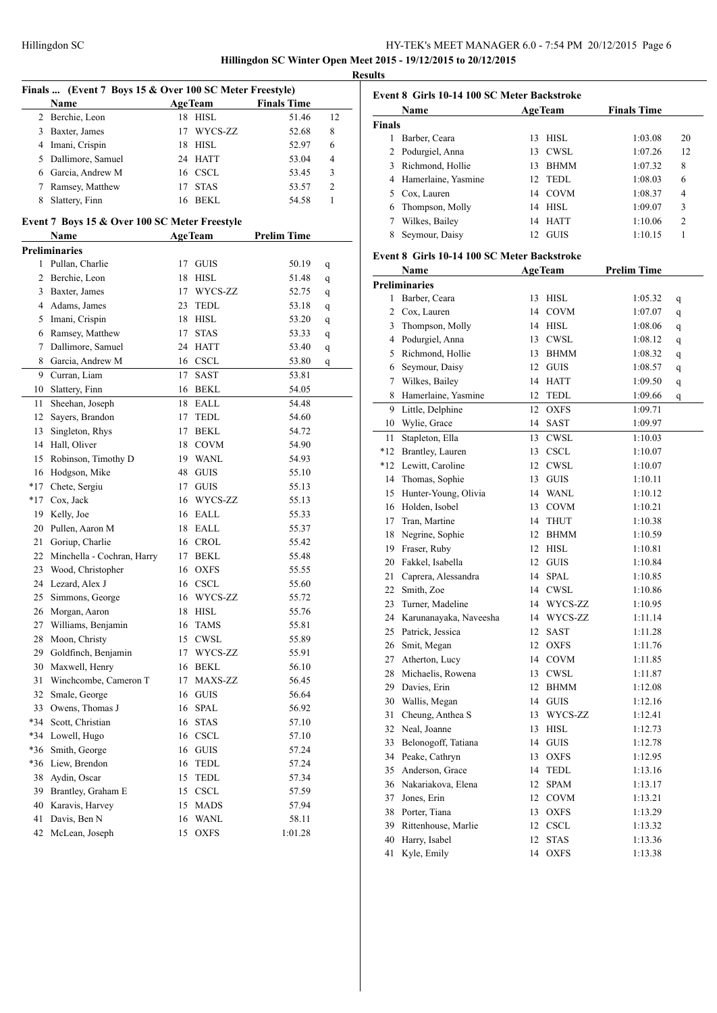# HY-TEK's MEET MANAGER 6.0 - 7:54 PM 20/12/2015 Page 6 **Hillingdon SC Winter Open Meet 2015 - 19/12/2015 to 20/12/2015**

**Results**

|                | Finals  (Event 7 Boys 15 & Over 100 SC Meter Freestyle) |    |                |                    |    |
|----------------|---------------------------------------------------------|----|----------------|--------------------|----|
|                | Name                                                    |    | <b>AgeTeam</b> | <b>Finals Time</b> |    |
| $\overline{2}$ | Berchie, Leon                                           | 18 | <b>HISL</b>    | 51.46              | 12 |
| 3              | Baxter, James                                           | 17 | WYCS-ZZ        | 52.68              | 8  |
| 4              | Imani, Crispin                                          | 18 | <b>HISL</b>    | 52.97              | 6  |
| 5              | Dallimore, Samuel                                       | 24 | <b>HATT</b>    | 53.04              | 4  |
|                | 6 Garcia, Andrew M                                      |    | 16 CSCL        | 53.45              | 3  |
| 7              | Ramsey, Matthew                                         | 17 | <b>STAS</b>    | 53.57              | 2  |
| 8              | Slattery, Finn                                          | 16 | <b>BEKL</b>    | 54.58              | 1  |
|                |                                                         |    |                |                    |    |
|                | Event 7 Boys 15 & Over 100 SC Meter Freestyle           |    |                |                    |    |
|                | Name                                                    |    | <b>AgeTeam</b> | <b>Prelim Time</b> |    |
|                | <b>Preliminaries</b>                                    |    |                |                    |    |
| 1              | Pullan, Charlie                                         | 17 | <b>GUIS</b>    | 50.19              | q  |
| 2              | Berchie, Leon                                           | 18 | <b>HISL</b>    | 51.48              | q  |
| 3              | Baxter, James                                           |    | 17 WYCS-ZZ     | 52.75              | q  |
| 4              | Adams, James                                            | 23 | TEDL           | 53.18              | q  |
| 5              | Imani, Crispin                                          | 18 | <b>HISL</b>    | 53.20              | q  |
| 6              | Ramsey, Matthew                                         | 17 | <b>STAS</b>    | 53.33              | q  |
| 7              | Dallimore, Samuel                                       | 24 | <b>HATT</b>    | 53.40              | q  |
| 8              | Garcia, Andrew M                                        |    | 16 CSCL        | 53.80              | q  |
| 9              | Curran, Liam                                            | 17 | SAST           | 53.81              |    |
| 10             | Slattery, Finn                                          |    | 16 BEKL        | 54.05              |    |
| 11             | Sheehan, Joseph                                         | 18 | EALL           | 54.48              |    |
| 12             | Sayers, Brandon                                         | 17 | <b>TEDL</b>    | 54.60              |    |
| 13             | Singleton, Rhys                                         | 17 | <b>BEKL</b>    | 54.72              |    |
| 14             | Hall, Oliver                                            |    | 18 COVM        | 54.90              |    |
| 15             | Robinson, Timothy D                                     |    | 19 WANL        | 54.93              |    |
| 16             | Hodgson, Mike                                           | 48 | GUIS           | 55.10              |    |
| $*17$          | Chete, Sergiu                                           |    | 17 GUIS        | 55.13              |    |
| *17            | Cox, Jack                                               | 16 | WYCS-ZZ        | 55.13              |    |
| 19             | Kelly, Joe                                              | 16 | EALL           | 55.33              |    |
| 20             | Pullen, Aaron M                                         |    | 18 EALL        | 55.37              |    |
| 21             | Goriup, Charlie                                         |    | 16 CROL        | 55.42              |    |
| 22             | Minchella - Cochran, Harry                              | 17 | BEKL           | 55.48              |    |
| 23             | Wood, Christopher                                       | 16 | <b>OXFS</b>    | 55.55              |    |
| 24             | Lezard, Alex J                                          |    | 16 CSCL        | 55.60              |    |
| 25             | Simmons, George                                         | 16 | WYCS-ZZ        | 55.72              |    |
| 26             | Morgan, Aaron                                           | 18 | <b>HISL</b>    | 55.76              |    |
| 27             | Williams, Benjamin                                      | 16 | <b>TAMS</b>    | 55.81              |    |
| 28             | Moon, Christy                                           | 15 | CWSL           | 55.89              |    |
| 29             | Goldfinch, Benjamin                                     | 17 | WYCS-ZZ        | 55.91              |    |
|                |                                                         |    | <b>BEKL</b>    |                    |    |
| 30             | Maxwell, Henry                                          | 16 |                | 56.10              |    |
| 31             | Winchcombe, Cameron T                                   | 17 | MAXS-ZZ        | 56.45              |    |
| 32             | Smale, George                                           | 16 | <b>GUIS</b>    | 56.64              |    |
| 33             | Owens, Thomas J                                         | 16 | <b>SPAL</b>    | 56.92              |    |
| *34            | Scott, Christian                                        | 16 | <b>STAS</b>    | 57.10              |    |
| *34            | Lowell, Hugo                                            | 16 | <b>CSCL</b>    | 57.10              |    |
| *36            | Smith, George                                           | 16 | <b>GUIS</b>    | 57.24              |    |
| *36            | Liew, Brendon                                           | 16 | <b>TEDL</b>    | 57.24              |    |
| 38             | Aydin, Oscar                                            | 15 | TEDL           | 57.34              |    |
| 39             | Brantley, Graham E                                      | 15 | <b>CSCL</b>    | 57.59              |    |
| 40             | Karavis, Harvey                                         | 15 | <b>MADS</b>    | 57.94              |    |
| 41             | Davis, Ben N                                            | 16 | <b>WANL</b>    | 58.11              |    |
| 42             | McLean, Joseph                                          | 15 | <b>OXFS</b>    | 1:01.28            |    |

| Event 8 Girls 10-14 100 SC Meter Backstroke |                                             |    |                |                    |    |
|---------------------------------------------|---------------------------------------------|----|----------------|--------------------|----|
|                                             | Name                                        |    | <b>AgeTeam</b> | <b>Finals Time</b> |    |
| <b>Finals</b>                               |                                             |    |                |                    |    |
|                                             | 1 Barber, Ceara                             | 13 | <b>HISL</b>    | 1:03.08            | 20 |
|                                             | 2 Podurgiel, Anna                           | 13 | <b>CWSL</b>    | 1:07.26            | 12 |
|                                             | 3 Richmond, Hollie                          | 13 | <b>BHMM</b>    | 1:07.32            | 8  |
|                                             | 4 Hamerlaine, Yasmine                       | 12 | <b>TEDL</b>    | 1:08.03            | 6  |
| 5                                           | Cox, Lauren                                 | 14 | <b>COVM</b>    | 1:08.37            | 4  |
|                                             | 6 Thompson, Molly                           | 14 | <b>HISL</b>    | 1:09.07            | 3  |
|                                             | 7 Wilkes, Bailey                            | 14 | <b>HATT</b>    | 1:10.06            | 2  |
| 8                                           | Seymour, Daisy                              | 12 | <b>GUIS</b>    | 1:10.15            | 1  |
|                                             | Event 8 Girls 10-14 100 SC Meter Backstroke |    |                |                    |    |
|                                             | Name                                        |    | <b>AgeTeam</b> | <b>Prelim Time</b> |    |
|                                             | <b>Preliminaries</b>                        |    |                |                    |    |
|                                             | 1 Barber, Ceara                             | 13 | <b>HISL</b>    | 1:05.32            | q  |
|                                             | 2 Cox, Lauren                               | 14 | <b>COVM</b>    | 1:07.07            | q  |
| 3                                           | Thompson, Molly                             |    | 14 HISL        | 1:08.06            | q  |
| 4                                           | Podurgiel, Anna                             | 13 | <b>CWSL</b>    | 1:08.12            | q  |
| 5                                           | Richmond, Hollie                            | 13 | <b>BHMM</b>    | 1:08.32            | q  |
| 6                                           | Seymour, Daisy                              | 12 | <b>GUIS</b>    | 1:08.57            | q  |
| 7                                           | Wilkes, Bailey                              | 14 | <b>HATT</b>    | 1:09.50            | q  |
| 8                                           | Hamerlaine, Yasmine                         | 12 | TEDL           | 1:09.66            | q  |
| 9                                           | Little, Delphine                            | 12 | <b>OXFS</b>    | 1:09.71            |    |
|                                             | 10 Wylie, Grace                             | 14 | SAST           | 1:09.97            |    |
| 11                                          | Stapleton, Ella                             | 13 | <b>CWSL</b>    | 1:10.03            |    |
|                                             | *12 Brantley, Lauren                        | 13 | <b>CSCL</b>    | 1:10.07            |    |
|                                             | *12 Lewitt, Caroline                        | 12 | <b>CWSL</b>    | 1:10.07            |    |
|                                             | 14 Thomas, Sophie                           | 13 | <b>GUIS</b>    | 1:10.11            |    |
|                                             | 15 Hunter-Young, Olivia                     | 14 | WANL           | 1:10.12            |    |
|                                             | 16 Holden, Isobel                           | 13 | COVM           | 1:10.21            |    |
|                                             | 17 Tran, Martine                            | 14 | THUT           | 1:10.38            |    |
| 18                                          | Negrine, Sophie                             | 12 | <b>BHMM</b>    | 1:10.59            |    |
|                                             | 19 Fraser, Ruby                             | 12 | <b>HISL</b>    | 1:10.81            |    |
|                                             | 20 Fakkel, Isabella                         | 12 | <b>GUIS</b>    | 1:10.84            |    |
| 21                                          | Caprera, Alessandra                         | 14 | <b>SPAL</b>    | 1:10.85            |    |
|                                             | 22 Smith, Zoe                               | 14 | <b>CWSL</b>    | 1:10.86            |    |
| 23                                          | Turner, Madeline                            | 14 | WYCS-ZZ        | 1:10.95            |    |
|                                             | 24 Karunanayaka, Naveesha                   | 14 | WYCS-ZZ        | 1:11.14            |    |
|                                             | 25 Patrick, Jessica                         |    | 12 SAST        | 1:11.28            |    |
| 26                                          | Smit, Megan                                 |    | 12 OXFS        | 1:11.76            |    |
| 27                                          | Atherton, Lucy                              | 14 | COVM           | 1:11.85            |    |
|                                             | 28 Michaelis, Rowena                        | 13 | CWSL           | 1:11.87            |    |
|                                             | 29 Davies, Erin                             | 12 | <b>BHMM</b>    | 1:12.08            |    |
| 30                                          | Wallis, Megan                               | 14 | <b>GUIS</b>    | 1:12.16            |    |
| 31                                          | Cheung, Anthea S                            | 13 | WYCS-ZZ        |                    |    |
| 32                                          | Neal, Joanne                                | 13 | HISL           | 1:12.41<br>1:12.73 |    |
|                                             |                                             |    |                |                    |    |
| 33                                          | Belonogoff, Tatiana                         | 14 | <b>GUIS</b>    | 1:12.78            |    |
| 34                                          | Peake, Cathryn                              | 13 | <b>OXFS</b>    | 1:12.95            |    |
| 35                                          | Anderson, Grace                             | 14 | TEDL           | 1:13.16            |    |
|                                             | 36 Nakariakova, Elena                       | 12 | <b>SPAM</b>    | 1:13.17            |    |
| 37                                          | Jones, Erin                                 | 12 | <b>COVM</b>    | 1:13.21            |    |
|                                             | 38 Porter, Tiana                            | 13 | <b>OXFS</b>    | 1:13.29            |    |
|                                             | 39 Rittenhouse, Marlie                      | 12 | <b>CSCL</b>    | 1:13.32            |    |
| 40                                          | Harry, Isabel                               | 12 | <b>STAS</b>    | 1:13.36            |    |
| 41                                          | Kyle, Emily                                 | 14 | <b>OXFS</b>    | 1:13.38            |    |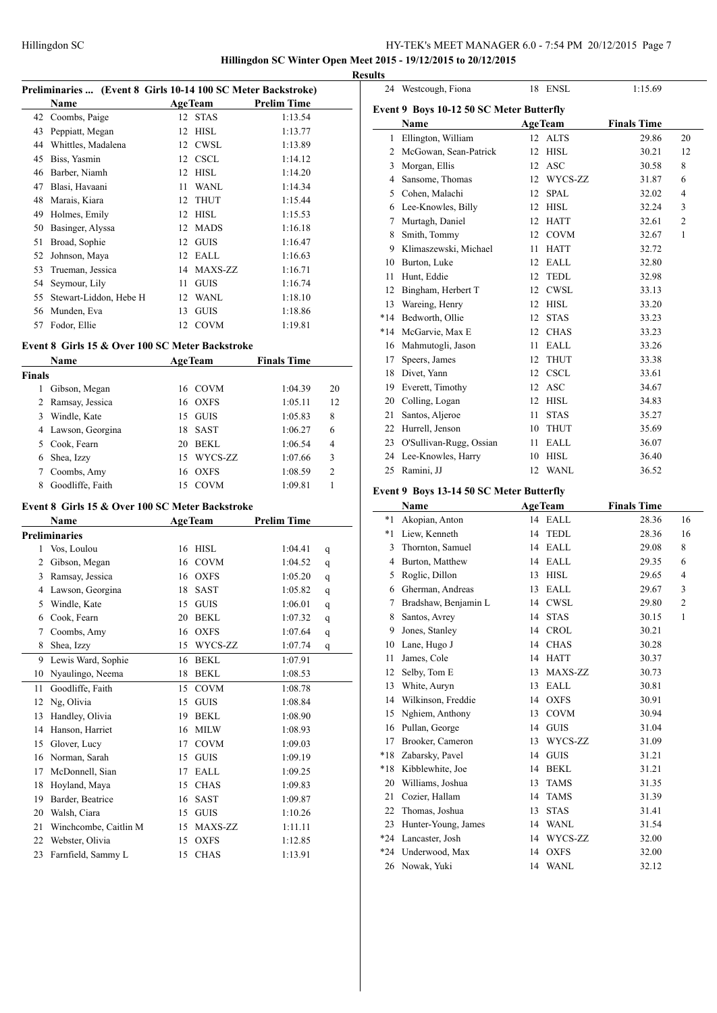**Hillingdon SC Winter Open Meet 2015 - 19/12/2015 to 20/12/2015**

**Results**

| Preliminaries  (Event 8 Girls 10-14 100 SC Meter Backstroke) |    |                        |                           |  |  |
|--------------------------------------------------------------|----|------------------------|---------------------------|--|--|
| <b>Name</b>                                                  |    |                        | <b>Prelim Time</b>        |  |  |
| 42 Coombs, Paige                                             |    |                        | 1:13.54                   |  |  |
| Peppiatt, Megan                                              | 12 | <b>HISL</b>            | 1:13.77                   |  |  |
| Whittles, Madalena                                           | 12 | <b>CWSL</b>            | 1:13.89                   |  |  |
| Biss, Yasmin                                                 | 12 | <b>CSCL</b>            | 1:14.12                   |  |  |
| Barber, Niamh                                                | 12 | <b>HISL</b>            | 1:14.20                   |  |  |
| Blasi, Havaani                                               | 11 | <b>WANL</b>            | 1:14.34                   |  |  |
| Marais, Kiara                                                | 12 | <b>THUT</b>            | 1:15.44                   |  |  |
| Holmes, Emily                                                | 12 | <b>HISL</b>            | 1:15.53                   |  |  |
| Basinger, Alyssa                                             | 12 | <b>MADS</b>            | 1:16.18                   |  |  |
| Broad, Sophie                                                | 12 | <b>GUIS</b>            | 1:16.47                   |  |  |
| Johnson, Maya                                                | 12 | EALL                   | 1:16.63                   |  |  |
| Trueman, Jessica                                             | 14 | MAXS-ZZ                | 1:16.71                   |  |  |
| Seymour, Lily                                                | 11 | <b>GUIS</b>            | 1:16.74                   |  |  |
|                                                              | 12 | <b>WANL</b>            | 1:18.10                   |  |  |
| Munden, Eva                                                  | 13 | <b>GUIS</b>            | 1:18.86                   |  |  |
| Fodor, Ellie                                                 | 12 | <b>COVM</b>            | 1:19.81                   |  |  |
|                                                              |    | Stewart-Liddon, Hebe H | <b>AgeTeam</b><br>12 STAS |  |  |

# **Event 8 Girls 15 & Over 100 SC Meter Backstroke**

|               | Name               | <b>AgeTeam</b> |             | <b>Finals Time</b> |                |
|---------------|--------------------|----------------|-------------|--------------------|----------------|
| <b>Finals</b> |                    |                |             |                    |                |
|               | Gibson, Megan      |                | 16 COVM     | 1:04.39            | 20             |
|               | 2 Ramsay, Jessica  |                | 16 OXFS     | 1:05.11            | 12             |
| 3             | Windle, Kate       | 15.            | GUIS        | 1:05.83            | 8              |
|               | 4 Lawson, Georgina | 18             | <b>SAST</b> | 1:06.27            | 6              |
| 5.            | Cook, Fearn        | 20             | BEKL        | 1:06.54            | 4              |
| 6             | Shea, Izzy         | 15             | WYCS-ZZ     | 1:07.66            | 3              |
|               | Coombs, Amy        | 16             | OXFS        | 1:08.59            | $\overline{c}$ |
| 8             | Goodliffe, Faith   |                | <b>COVM</b> | 1:09.81            |                |

#### **Event 8 Girls 15 & Over 100 SC Meter Backstroke**

|                | Name                  |    | <b>AgeTeam</b> | <b>Prelim Time</b> |   |  |
|----------------|-----------------------|----|----------------|--------------------|---|--|
|                | <b>Preliminaries</b>  |    |                |                    |   |  |
| 1              | Vos, Loulou           | 16 | <b>HISL</b>    | 1:04.41            | q |  |
| $\overline{2}$ | Gibson, Megan         | 16 | <b>COVM</b>    | 1:04.52            | q |  |
| 3              | Ramsay, Jessica       | 16 | <b>OXFS</b>    | 1:05.20            | q |  |
| 4              | Lawson, Georgina      | 18 | <b>SAST</b>    | 1:05.82            | q |  |
| 5              | Windle, Kate          | 15 | <b>GUIS</b>    | 1:06.01            | q |  |
| 6              | Cook, Fearn           | 20 | <b>BEKL</b>    | 1:07.32            | q |  |
| 7              | Coombs, Amy           | 16 | <b>OXFS</b>    | 1:07.64            | q |  |
| 8              | Shea, Izzy            | 15 | WYCS-ZZ        | 1:07.74            | q |  |
| 9              | Lewis Ward, Sophie    | 16 | <b>BEKL</b>    | 1:07.91            |   |  |
| 10             | Nyaulingo, Neema      | 18 | <b>BEKL</b>    | 1:08.53            |   |  |
| 11             | Goodliffe, Faith      | 15 | <b>COVM</b>    | 1:08.78            |   |  |
| 12             | Ng, Olivia            | 15 | <b>GUIS</b>    | 1:08.84            |   |  |
| 13             | Handley, Olivia       | 19 | <b>BEKL</b>    | 1:08.90            |   |  |
| 14             | Hanson, Harriet       | 16 | <b>MILW</b>    | 1:08.93            |   |  |
| 15             | Glover, Lucy          | 17 | <b>COVM</b>    | 1:09.03            |   |  |
| 16             | Norman, Sarah         | 15 | <b>GUIS</b>    | 1:09.19            |   |  |
| 17             | McDonnell, Sian       | 17 | EALL           | 1:09.25            |   |  |
| 18             | Hoyland, Maya         | 15 | <b>CHAS</b>    | 1:09.83            |   |  |
| 19             | Barder, Beatrice      | 16 | <b>SAST</b>    | 1:09.87            |   |  |
| 20             | Walsh, Ciara          | 15 | <b>GUIS</b>    | 1:10.26            |   |  |
| 21             | Winchcombe, Caitlin M | 15 | <b>MAXS-ZZ</b> | 1:11.11            |   |  |
| 22             | Webster, Olivia       | 15 | <b>OXFS</b>    | 1:12.85            |   |  |
| 23             | Farnfield, Sammy L    | 15 | <b>CHAS</b>    | 1:13.91            |   |  |

| 24           | Westcough, Fiona                         | 18               | <b>ENSL</b>    | 1:15.69            |                |
|--------------|------------------------------------------|------------------|----------------|--------------------|----------------|
|              | Event 9 Boys 10-12 50 SC Meter Butterfly |                  |                |                    |                |
|              | <b>Name</b>                              |                  | <b>AgeTeam</b> | <b>Finals Time</b> |                |
| $\mathbf{1}$ | Ellington, William                       | 12 <sup>12</sup> | <b>ALTS</b>    | 29.86              | 20             |
| 2            | McGowan, Sean-Patrick                    | 12               | <b>HISL</b>    | 30.21              | 12             |
| 3            | Morgan, Ellis                            | 12               | <b>ASC</b>     | 30.58              | 8              |
| 4            | Sansome, Thomas                          | 12               | WYCS-ZZ        | 31.87              | 6              |
| 5            | Cohen, Malachi                           | 12               | <b>SPAL</b>    | 32.02              | 4              |
| 6            | Lee-Knowles, Billy                       | 12               | <b>HISL</b>    | 32.24              | 3              |
| 7            | Murtagh, Daniel                          | 12               | <b>HATT</b>    | 32.61              | $\mathfrak{2}$ |
| 8            | Smith, Tommy                             | 12               | <b>COVM</b>    | 32.67              | $\mathbf{1}$   |
| 9            | Klimaszewski, Michael                    | 11               | <b>HATT</b>    | 32.72              |                |
| 10           | Burton, Luke                             | 12               | <b>EALL</b>    | 32.80              |                |
| 11           | Hunt, Eddie                              | 12               | <b>TEDL</b>    | 32.98              |                |
| 12           | Bingham, Herbert T                       | 12               | ${\rm CWSL}$   | 33.13              |                |
| 13           | Wareing, Henry                           | 12               | <b>HISL</b>    | 33.20              |                |
| $*14$        | Bedworth, Ollie                          | 12               | <b>STAS</b>    | 33.23              |                |
| $*14$        | McGarvie, Max E                          | 12               | <b>CHAS</b>    | 33.23              |                |
| 16           | Mahmutogli, Jason                        | 11               | <b>EALL</b>    | 33.26              |                |
| 17           | Speers, James                            | 12               | <b>THUT</b>    | 33.38              |                |
| 18           | Divet, Yann                              | 12               | <b>CSCL</b>    | 33.61              |                |
| 19           | Everett, Timothy                         | 12               | <b>ASC</b>     | 34.67              |                |
| 20           | Colling, Logan                           | 12               | <b>HISL</b>    | 34.83              |                |
| 21           | Santos, Aljeroe                          | 11               | <b>STAS</b>    | 35.27              |                |
| 22           | Hurrell, Jenson                          | 10               | <b>THUT</b>    | 35.69              |                |
| 23           | O'Sullivan-Rugg, Ossian                  | 11               | <b>EALL</b>    | 36.07              |                |
| 24           | Lee-Knowles, Harry                       | 10               | <b>HISL</b>    | 36.40              |                |
| 25           | Ramini, JJ                               | 12               | <b>WANL</b>    | 36.52              |                |

# **Event 9 Boys 13-14 50 SC Meter Butterfly**

|       | <b>Name</b>          | <b>AgeTeam</b>    | <b>Finals Time</b>      |
|-------|----------------------|-------------------|-------------------------|
| $*1$  | Akopian, Anton       | 14<br>EALL        | 28.36<br>16             |
| $*1$  | Liew, Kenneth        | <b>TEDL</b><br>14 | 28.36<br>16             |
| 3     | Thornton, Samuel     | EALL<br>14        | 8<br>29.08              |
| 4     | Burton, Matthew      | <b>EALL</b><br>14 | 29.35<br>6              |
| 5     | Roglic, Dillon       | <b>HISL</b><br>13 | 29.65<br>4              |
| 6     | Gherman, Andreas     | <b>EALL</b><br>13 | 29.67<br>3              |
| 7     | Bradshaw, Benjamin L | <b>CWSL</b><br>14 | $\overline{2}$<br>29.80 |
| 8     | Santos, Avrey        | <b>STAS</b><br>14 | $\mathbf{1}$<br>30.15   |
| 9     | Jones, Stanley       | <b>CROL</b><br>14 | 30.21                   |
| 10    | Lane, Hugo J         | <b>CHAS</b><br>14 | 30.28                   |
| 11    | James, Cole          | <b>HATT</b><br>14 | 30.37                   |
| 12    | Selby, Tom E         | MAXS-ZZ<br>13     | 30.73                   |
| 13    | White, Auryn         | EALL<br>13        | 30.81                   |
| 14    | Wilkinson, Freddie   | <b>OXFS</b><br>14 | 30.91                   |
| 15    | Nghiem, Anthony      | <b>COVM</b><br>13 | 30.94                   |
| 16    | Pullan, George       | <b>GUIS</b><br>14 | 31.04                   |
| 17    | Brooker, Cameron     | WYCS-ZZ<br>13     | 31.09                   |
| $*18$ | Zabarsky, Pavel      | <b>GUIS</b><br>14 | 31.21                   |
| $*18$ | Kibblewhite, Joe     | <b>BEKL</b><br>14 | 31.21                   |
| 20    | Williams, Joshua     | <b>TAMS</b><br>13 | 31.35                   |
| 21    | Cozier, Hallam       | <b>TAMS</b><br>14 | 31.39                   |
| 22    | Thomas, Joshua       | <b>STAS</b><br>13 | 31.41                   |
| 23    | Hunter-Young, James  | <b>WANL</b><br>14 | 31.54                   |
| $*24$ | Lancaster, Josh      | WYCS-ZZ<br>14     | 32.00                   |
| $*24$ | Underwood, Max       | <b>OXFS</b><br>14 | 32.00                   |
| 26    | Nowak, Yuki          | 14 WANL           | 32.12                   |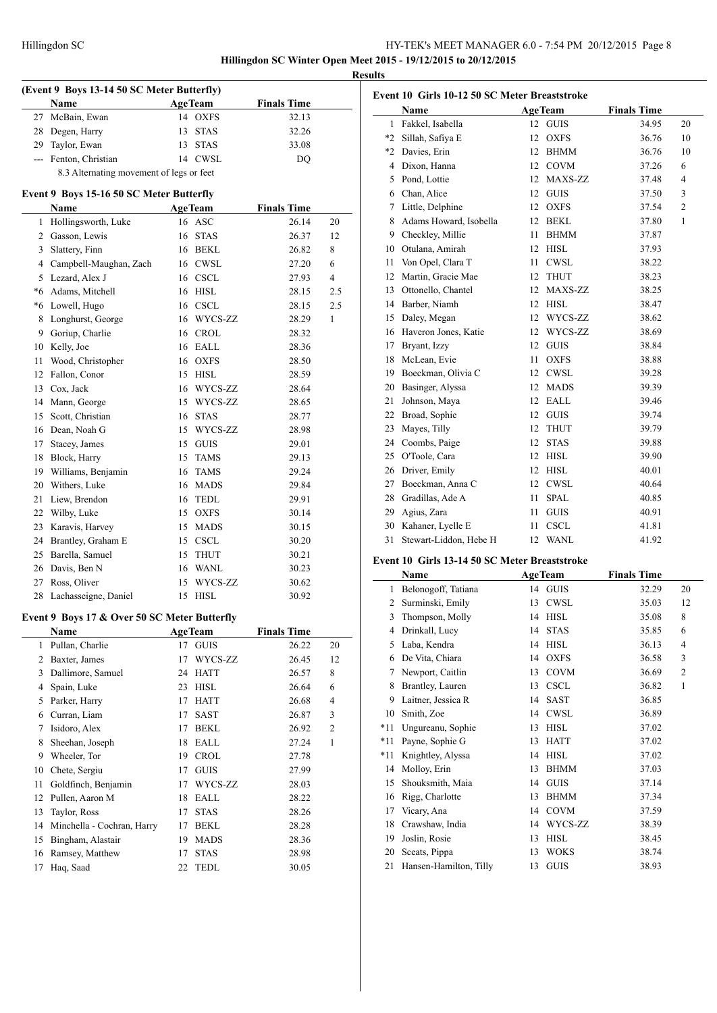# HY-TEK's MEET MANAGER 6.0 - 7:54 PM 20/12/2015 Page 8 **Hillingdon SC Winter Open Meet 2015 - 19/12/2015 to 20/12/2015**

**Results**

 $\overline{a}$ 

**(Event 9 Boys 13-14 50 SC Meter Butterfly) Name Age Team Finals Time**  McBain, Ewan 14 OXFS 32.13 Degen, Harry 13 STAS 32.26 Taylor, Ewan 13 STAS 33.08 --- Fenton, Christian 14 CWSL DQ 8.3 Alternating movement of legs or feet **Event 9 Boys 15-16 50 SC Meter Butterfly Name Age Team Finals Time**  Hollingsworth, Luke 16 ASC 26.14 20 Gasson, Lewis 16 STAS 26.37 12 Slattery, Finn 16 BEKL 26.82 8 Campbell-Maughan, Zach 16 CWSL 27.20 6 5 Lezard, Alex J 16 CSCL 27.93 4 \*6 Adams, Mitchell 16 HISL 28.15 2.5 \*6 Lowell, Hugo 16 CSCL 28.15 2.5 8 Longhurst, George 16 WYCS-ZZ 28.29 1 Goriup, Charlie 16 CROL 28.32 Kelly, Joe 16 EALL 28.36 11 Wood, Christopher 16 OXFS 28.50 Fallon, Conor 15 HISL 28.59 13 Cox, Jack 16 WYCS-ZZ 28.64 14 Mann, George 15 WYCS-ZZ 28.65 Scott, Christian 16 STAS 28.77 16 Dean, Noah G 15 WYCS-ZZ 28.98 17 Stacey, James 15 GUIS 29.01 Block, Harry 15 TAMS 29.13 Williams, Benjamin 16 TAMS 29.24 20 Withers, Luke 16 MADS 29.84 Liew, Brendon 16 TEDL 29.91 22 Wilby, Luke 15 OXFS 30.14 23 Karavis, Harvey 15 MADS 30.15 24 Brantley, Graham E 15 CSCL 30.20 Barella, Samuel 15 THUT 30.21 26 Davis, Ben N 16 WANL 30.23 27 Ross, Oliver 15 WYCS-ZZ 30.62 28 Lachasseigne, Daniel 15 HISL 30.92

### **Event 9 Boys 17 & Over 50 SC Meter Butterfly**

|    | Name                       |    | <b>AgeTeam</b> | <b>Finals Time</b> |                |
|----|----------------------------|----|----------------|--------------------|----------------|
| 1  | Pullan, Charlie            | 17 | <b>GUIS</b>    | 26.22              | 20             |
| 2  | Baxter, James              | 17 | WYCS-ZZ        | 26.45              | 12             |
| 3  | Dallimore, Samuel          | 24 | <b>HATT</b>    | 26.57              | 8              |
| 4  | Spain, Luke                | 23 | <b>HISL</b>    | 26.64              | 6              |
| 5  | Parker, Harry              | 17 | <b>HATT</b>    | 26.68              | 4              |
| 6  | Curran, Liam               | 17 | SAST           | 26.87              | 3              |
| 7  | Isidoro, Alex              | 17 | <b>BEKL</b>    | 26.92              | $\overline{2}$ |
| 8  | Sheehan, Joseph            | 18 | EALL           | 27.24              | 1              |
| 9  | Wheeler, Tor               | 19 | <b>CROL</b>    | 27.78              |                |
| 10 | Chete, Sergiu              | 17 | <b>GUIS</b>    | 27.99              |                |
| 11 | Goldfinch, Benjamin        | 17 | WYCS-ZZ        | 28.03              |                |
| 12 | Pullen, Aaron M            | 18 | <b>EALL</b>    | 28.22              |                |
| 13 | Taylor, Ross               | 17 | <b>STAS</b>    | 28.26              |                |
| 14 | Minchella - Cochran, Harry | 17 | <b>BEKL</b>    | 28.28              |                |
| 15 | Bingham, Alastair          | 19 | <b>MADS</b>    | 28.36              |                |
| 16 | Ramsey, Matthew            | 17 | <b>STAS</b>    | 28.98              |                |
| 17 | Haq, Saad                  | 22 | <b>TEDL</b>    | 30.05              |                |

| Event 10 Girls 10-12 50 SC Meter Breaststroke |    |             |                      |                |  |  |
|-----------------------------------------------|----|-------------|----------------------|----------------|--|--|
| Name                                          |    |             | <b>Finals Time</b>   |                |  |  |
| Fakkel, Isabella                              |    | <b>GUIS</b> | 34.95                | 20             |  |  |
| Sillah, Safiya E                              | 12 | <b>OXFS</b> | 36.76                | 10             |  |  |
| Davies, Erin                                  | 12 | <b>BHMM</b> | 36.76                | 10             |  |  |
| Dixon, Hanna                                  | 12 | <b>COVM</b> | 37.26                | 6              |  |  |
| Pond, Lottie                                  | 12 | MAXS-ZZ     | 37.48                | $\overline{4}$ |  |  |
| Chan, Alice                                   | 12 | <b>GUIS</b> | 37.50                | 3              |  |  |
| Little, Delphine                              | 12 | <b>OXFS</b> | 37.54                | $\overline{c}$ |  |  |
| Adams Howard, Isobella                        | 12 | <b>BEKL</b> | 37.80                | $\mathbf{1}$   |  |  |
| Checkley, Millie                              | 11 | <b>BHMM</b> | 37.87                |                |  |  |
| Otulana, Amirah                               | 12 | <b>HISL</b> | 37.93                |                |  |  |
| Von Opel, Clara T                             | 11 | <b>CWSL</b> | 38.22                |                |  |  |
| Martin, Gracie Mae                            | 12 | <b>THUT</b> | 38.23                |                |  |  |
| Ottonello, Chantel                            | 12 | MAXS-ZZ     | 38.25                |                |  |  |
| Barber, Niamh                                 | 12 | <b>HISL</b> | 38.47                |                |  |  |
| Daley, Megan                                  | 12 | WYCS-ZZ     | 38.62                |                |  |  |
| Haveron Jones, Katie                          | 12 | WYCS-ZZ     | 38.69                |                |  |  |
| Bryant, Izzy                                  | 12 | <b>GUIS</b> | 38.84                |                |  |  |
| McLean, Evie                                  | 11 | <b>OXFS</b> | 38.88                |                |  |  |
| Boeckman, Olivia C                            | 12 | <b>CWSL</b> | 39.28                |                |  |  |
| Basinger, Alyssa                              | 12 | <b>MADS</b> | 39.39                |                |  |  |
| Johnson, Maya                                 | 12 | EALL        | 39.46                |                |  |  |
| Broad, Sophie                                 | 12 | <b>GUIS</b> | 39.74                |                |  |  |
| Mayes, Tilly                                  | 12 | <b>THUT</b> | 39.79                |                |  |  |
| Coombs, Paige                                 | 12 | <b>STAS</b> | 39.88                |                |  |  |
| O'Toole, Cara                                 | 12 | <b>HISL</b> | 39.90                |                |  |  |
| Driver, Emily                                 | 12 | <b>HISL</b> | 40.01                |                |  |  |
| Boeckman, Anna C                              | 12 | <b>CWSL</b> | 40.64                |                |  |  |
| Gradillas, Ade A                              | 11 | <b>SPAL</b> | 40.85                |                |  |  |
| Agius, Zara                                   | 11 | <b>GUIS</b> | 40.91                |                |  |  |
| Kahaner, Lyelle E                             | 11 | <b>CSCL</b> | 41.81                |                |  |  |
| Stewart-Liddon, Hebe H                        | 12 | <b>WANL</b> | 41.92                |                |  |  |
|                                               |    |             | <b>AgeTeam</b><br>12 |                |  |  |

#### **Event 10 Girls 13-14 50 SC Meter Breaststroke**

|       | Name                   | <b>AgeTeam</b> |             | <b>Finals Time</b> |                |
|-------|------------------------|----------------|-------------|--------------------|----------------|
| 1     | Belonogoff, Tatiana    |                | 14 GUIS     | 32.29              | 20             |
| 2     | Surminski, Emily       | 13             | <b>CWSL</b> | 35.03              | 12             |
| 3     | Thompson, Molly        | 14             | <b>HISL</b> | 35.08              | 8              |
| 4     | Drinkall, Lucy         | 14             | <b>STAS</b> | 35.85              | 6              |
| 5     | Laba, Kendra           | 14             | <b>HISL</b> | 36.13              | 4              |
| 6     | De Vita, Chiara        | 14             | <b>OXFS</b> | 36.58              | 3              |
| 7     | Newport, Caitlin       | 13             | <b>COVM</b> | 36.69              | $\overline{2}$ |
| 8     | Brantley, Lauren       | 13             | <b>CSCL</b> | 36.82              | $\mathbf{1}$   |
| 9     | Laitner, Jessica R     | 14             | SAST        | 36.85              |                |
| 10    | Smith, Zoe             | 14             | <b>CWSL</b> | 36.89              |                |
| *11   | Ungureanu, Sophie      | 13             | <b>HISL</b> | 37.02              |                |
| $*11$ | Payne, Sophie G        | 13             | <b>HATT</b> | 37.02              |                |
| $*11$ | Knightley, Alyssa      | 14             | <b>HISL</b> | 37.02              |                |
| 14    | Molloy, Erin           | 13             | <b>BHMM</b> | 37.03              |                |
| 15    | Shouksmith, Maia       | 14             | <b>GUIS</b> | 37.14              |                |
| 16    | Rigg, Charlotte        | 13             | <b>BHMM</b> | 37.34              |                |
| 17    | Vicary, Ana            | 14             | <b>COVM</b> | 37.59              |                |
| 18    | Crawshaw, India        | 14             | WYCS-ZZ     | 38.39              |                |
| 19    | Joslin, Rosie          | 13             | <b>HISL</b> | 38.45              |                |
| 20    | Sceats, Pippa          | 13             | <b>WOKS</b> | 38.74              |                |
| 21    | Hansen-Hamilton, Tilly | 13             | <b>GUIS</b> | 38.93              |                |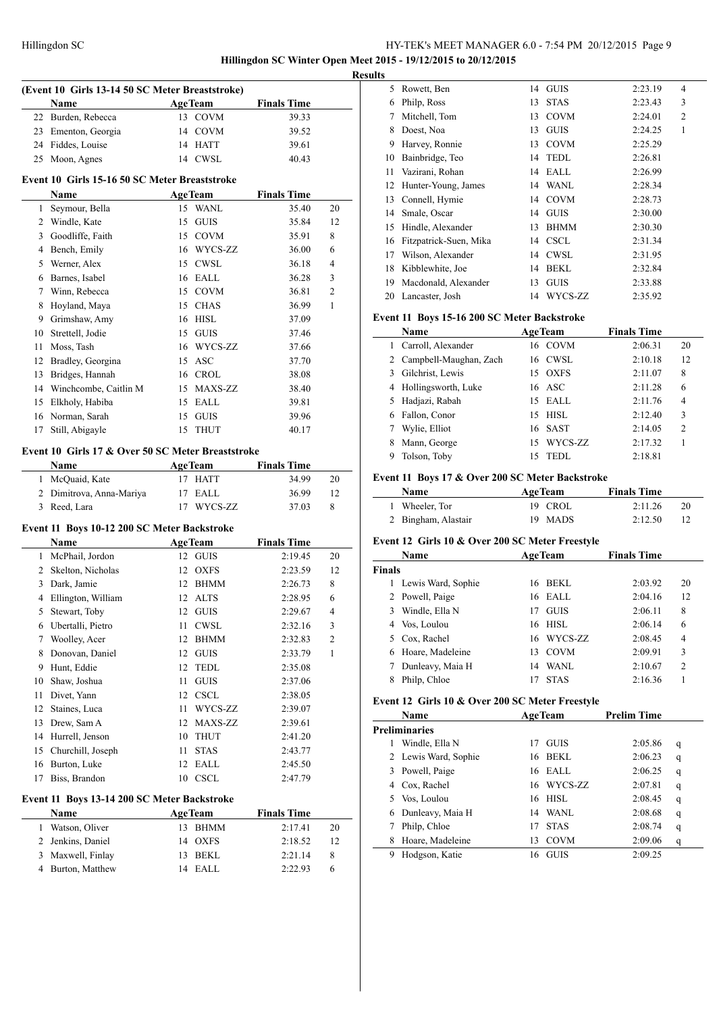# HY-TEK's MEET MANAGER 6.0 - 7:54 PM 20/12/2015 Page 9 **Hillingdon SC Winter Open Meet 2015 - 19/12/2015 to 20/12/2015**

|                | (Event 10 Girls 13-14 50 SC Meter Breaststroke)<br>Name |          | <b>AgeTeam</b>     | <b>Finals Time</b> |    |
|----------------|---------------------------------------------------------|----------|--------------------|--------------------|----|
|                | 22 Burden, Rebecca                                      |          | 13 COVM            | 39.33              |    |
|                | 23 Ementon, Georgia                                     |          |                    |                    |    |
|                |                                                         |          | 14 COVM            | 39.52              |    |
|                | 24 Fiddes, Louise                                       |          | 14 HATT            | 39.61              |    |
|                | 25 Moon, Agnes                                          |          | 14 CWSL            | 40.43              |    |
|                | Event 10 Girls 15-16 50 SC Meter Breaststroke           |          |                    |                    |    |
|                | Name                                                    |          | <b>AgeTeam</b>     | <b>Finals Time</b> |    |
| 1              | Seymour, Bella                                          |          | 15 WANL            | 35.40              | 20 |
| $\overline{2}$ | Windle, Kate                                            | 15       | GUIS               | 35.84              | 12 |
| 3              | Goodliffe, Faith                                        |          | 15 COVM            | 35.91              | 8  |
|                | 4 Bench, Emily                                          |          | 16 WYCS-ZZ         | 36.00              | 6  |
|                | 5 Werner, Alex                                          |          | 15 CWSL            | 36.18              | 4  |
|                | 6 Barnes, Isabel                                        |          | 16 EALL            | 36.28              | 3  |
|                | 7 Winn, Rebecca                                         |          | 15 COVM            | 36.81              | 2  |
| 8              | Hoyland, Maya                                           |          | 15 CHAS            | 36.99              | 1  |
| 9              | Grimshaw, Amy                                           |          | 16 HISL            | 37.09              |    |
| 10             | Strettell, Jodie                                        |          | 15 GUIS            | 37.46              |    |
| 11             | Moss, Tash                                              |          | 16 WYCS-ZZ         | 37.66              |    |
|                | 12 Bradley, Georgina                                    |          | 15 ASC             | 37.70              |    |
| 13             | Bridges, Hannah                                         |          | 16 CROL            | 38.08              |    |
|                | 14 Winchcombe, Caitlin M                                |          | 15 MAXS-ZZ         | 38.40              |    |
|                |                                                         |          |                    |                    |    |
|                | 15 Elkholy, Habiba                                      | 15       | EALL               | 39.81              |    |
|                | 16 Norman, Sarah                                        | 15<br>15 | <b>GUIS</b>        | 39.96              |    |
| 17             | Still, Abigayle                                         |          | <b>THUT</b>        | 40.17              |    |
|                | Event 10 Girls 17 & Over 50 SC Meter Breaststroke       |          |                    |                    |    |
|                | Name                                                    |          | <b>AgeTeam</b>     | <b>Finals Time</b> |    |
|                | 1 McQuaid, Kate                                         |          | 17 HATT            | 34.99              | 20 |
|                | 2 Dimitrova, Anna-Mariya                                | 17       | EALL               | 36.99              | 12 |
|                | 3 Reed, Lara                                            |          | 17 WYCS-ZZ         | 37.03              | 8  |
|                | Event 11 Boys 10-12 200 SC Meter Backstroke             |          |                    |                    |    |
|                | Name                                                    |          | <b>AgeTeam</b>     | <b>Finals Time</b> |    |
|                | 1 McPhail, Jordon                                       |          | 12 GUIS            | 2:19.45            | 20 |
|                | 2 Skelton, Nicholas                                     |          | 12 OXFS            | 2:23.59            | 12 |
| 3              | Dark, Jamie                                             |          | 12 BHMM            | 2:26.73            | 8  |
|                | 4 Ellington, William                                    |          | 12 ALTS            | 2:28.95            | 6  |
| 5              | Stewart, Toby                                           |          | 12 GUIS            | 2:29.67            | 4  |
| 6              | Ubertalli, Pietro                                       | 11       | <b>CWSL</b>        | 2:32.16            | 3  |
| 7              | Woolley, Acer                                           | 12       | <b>BHMM</b>        | 2:32.83            | 2  |
| 8              | Donovan, Daniel                                         |          | 12 GUIS            | 2:33.79            | 1  |
| 9              | Hunt, Eddie                                             | 12       | <b>TEDL</b>        | 2:35.08            |    |
| 10             | Shaw, Joshua                                            | 11       | <b>GUIS</b>        | 2:37.06            |    |
| 11             | Divet, Yann                                             | 12       | <b>CSCL</b>        | 2:38.05            |    |
| 12             | Staines, Luca                                           | 11       | WYCS-ZZ            |                    |    |
|                |                                                         |          |                    | 2:39.07            |    |
| 13             | Drew, Sam A                                             | 12       | MAXS-ZZ            | 2:39.61            |    |
|                | 14 Hurrell, Jenson                                      | 10       | <b>THUT</b>        | 2:41.20            |    |
| 15             | Churchill, Joseph                                       | 11       | <b>STAS</b>        | 2:43.77            |    |
| 16             | Burton, Luke                                            | 12       | <b>EALL</b>        | 2:45.50            |    |
| 17             | Biss, Brandon                                           |          | 10 CSCL            | 2:47.79            |    |
|                |                                                         |          |                    |                    |    |
|                | Event 11 Boys 13-14 200 SC Meter Backstroke             |          |                    |                    |    |
|                | Name                                                    |          | <b>AgeTeam</b>     | <b>Finals Time</b> |    |
| 1              | Watson, Oliver                                          |          | 13 BHMM            | 2:17.41            | 20 |
| $\overline{2}$ | Jenkins, Daniel                                         |          | 14 OXFS<br>13 BEKL | 2:18.52            | 12 |

Burton, Matthew 14 EALL 2:22.93 6

| Š  |                        |    |             |         |                |
|----|------------------------|----|-------------|---------|----------------|
| 5  | Rowett, Ben            | 14 | <b>GUIS</b> | 2:23.19 | $\overline{4}$ |
| 6  | Philp, Ross            | 13 | <b>STAS</b> | 2:23.43 | 3              |
| 7  | Mitchell, Tom          | 13 | <b>COVM</b> | 2:24.01 | $\overline{2}$ |
| 8  | Doest, Noa             | 13 | <b>GUIS</b> | 2:24.25 | 1              |
| 9  | Harvey, Ronnie         | 13 | <b>COVM</b> | 2:25.29 |                |
| 10 | Bainbridge, Teo        | 14 | <b>TEDL</b> | 2:26.81 |                |
| 11 | Vazirani, Rohan        | 14 | EALL        | 2:26.99 |                |
| 12 | Hunter-Young, James    | 14 | <b>WANL</b> | 2:28.34 |                |
| 13 | Connell, Hymie         | 14 | <b>COVM</b> | 2:28.73 |                |
| 14 | Smale, Oscar           | 14 | <b>GUIS</b> | 2:30.00 |                |
| 15 | Hindle, Alexander      | 13 | <b>BHMM</b> | 2:30.30 |                |
| 16 | Fitzpatrick-Suen, Mika | 14 | <b>CSCL</b> | 2:31.34 |                |
| 17 | Wilson, Alexander      | 14 | <b>CWSL</b> | 2:31.95 |                |
| 18 | Kibblewhite, Joe       | 14 | <b>BEKL</b> | 2:32.84 |                |
| 19 | Macdonald, Alexander   | 13 | <b>GUIS</b> | 2:33.88 |                |
| 20 | Lancaster, Josh        | 14 | WYCS-ZZ     | 2:35.92 |                |
|    |                        |    |             |         |                |

#### **Event 11 Boys 15-16 200 SC Meter Backstroke**

|              | <b>Name</b>              | <b>AgeTeam</b>    | <b>Finals Time</b> |                |
|--------------|--------------------------|-------------------|--------------------|----------------|
| $\mathbf{1}$ | Carroll, Alexander       | 16 COVM           | 2:06.31            | 20             |
|              | 2 Campbell-Maughan, Zach | 16 CWSL           | 2:10.18            | 12             |
| 3            | Gilchrist, Lewis         | 15 OXFS           | 2:11.07            | 8              |
| 4            | Hollingsworth, Luke      | 16 ASC            | 2:11.28            | 6              |
| 5.           | Hadjazi, Rabah           | 15 EALL           | 2:11.76            | $\overline{4}$ |
| 6            | Fallon, Conor            | $15$ HISL         | 2:12.40            | 3              |
|              | Wylie, Elliot            | 16 SAST           | 2:14.05            | 2              |
| 8            | Mann, George             | WYCS-ZZ<br>15     | 2:17.32            |                |
| 9            | Tolson, Toby             | <b>TEDL</b><br>15 | 2:18.81            |                |

# **Event 11 Boys 17 & Over 200 SC Meter Backstroke**

| <b>Name</b>         | <b>AgeTeam</b> | <b>Finals Time</b> |    |
|---------------------|----------------|--------------------|----|
| 1 Wheeler, Tor      | 19 CROL        | 2:11.26            | 20 |
| 2 Bingham, Alastair | 19 MADS        | 2:12.50            |    |

#### **Event 12 Girls 10 & Over 200 SC Meter Freestyle**

|               | Name               | <b>AgeTeam</b> |             | <b>Finals Time</b> |                |
|---------------|--------------------|----------------|-------------|--------------------|----------------|
| <b>Finals</b> |                    |                |             |                    |                |
|               | Lewis Ward, Sophie | 16             | <b>BEKL</b> | 2:03.92            | 20             |
|               | 2 Powell, Paige    | 16             | EALL        | 2:04.16            | 12             |
| 3             | Windle, Ella N     | 17             | <b>GUIS</b> | 2:06.11            | 8              |
| 4             | Vos, Loulou        |                | 16 HISL     | 2:06.14            | 6              |
| 5.            | Cox, Rachel        |                | 16 WYCS-ZZ  | 2:08.45            | $\overline{4}$ |
| 6             | Hoare, Madeleine   | 13             | <b>COVM</b> | 2:09.91            | 3              |
| 7             | Dunleavy, Maia H   | 14             | WANL        | 2:10.67            | $\overline{2}$ |
|               | Philp, Chloe       |                | <b>STAS</b> | 2:16.36            |                |

### **Event 12 Girls 10 & Over 200 SC Meter Freestyle**

| Name |                      | <b>AgeTeam</b>    | <b>Prelim Time</b> |   |
|------|----------------------|-------------------|--------------------|---|
|      | <b>Preliminaries</b> |                   |                    |   |
|      | Windle, Ella N       | <b>GUIS</b><br>17 | 2:05.86            | q |
|      | 2 Lewis Ward, Sophie | BEKL<br>16        | 2:06.23            | q |
| 3    | Powell, Paige        | EALL<br>16        | 2:06.25            | q |
| 4    | Cox, Rachel          | 16 WYCS-ZZ        | 2:07.81            | q |
| 5.   | Vos, Loulou          | HISL<br>16        | 2:08.45            | q |
| 6    | Dunleavy, Maia H     | WANL<br>14        | 2:08.68            | q |
|      | Philp, Chloe         | <b>STAS</b><br>17 | 2:08.74            | q |
| 8    | Hoare, Madeleine     | <b>COVM</b><br>13 | 2:09.06            | q |
| 9    | Hodgson, Katie       | <b>GUIS</b><br>16 | 2:09.25            |   |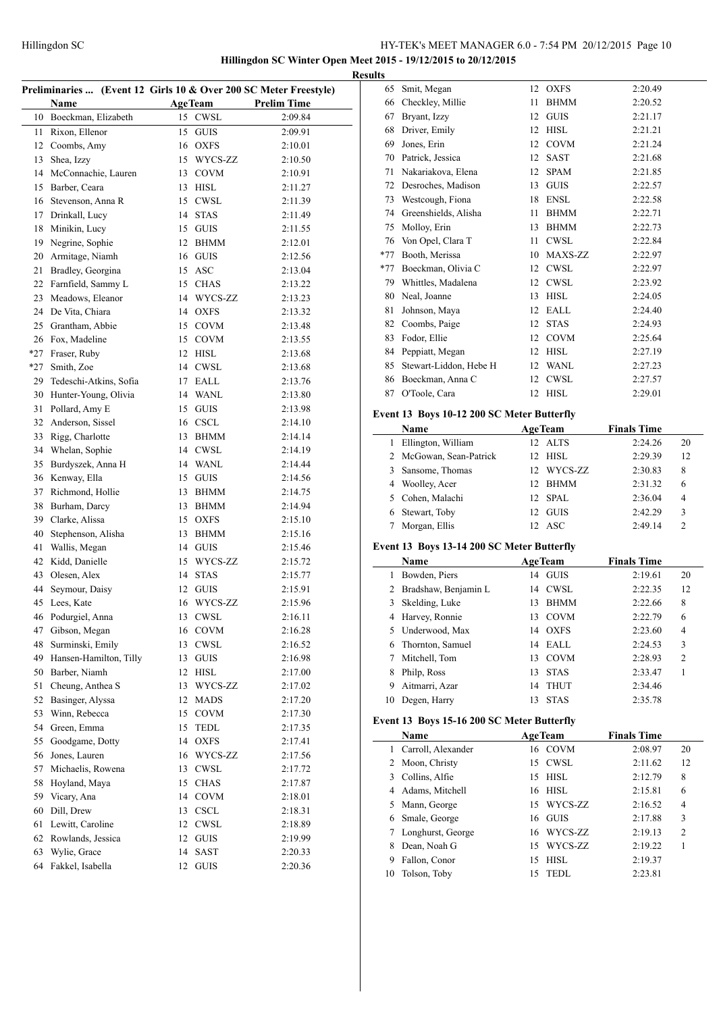**Hillingdon SC Winter Open Meet 2015 - 19/12/2015 to 20/12/2015 Results**

| Preliminaries  (Event 12 Girls 10 & Over 200 SC Meter Freestyle) |                        |    |                |                    |  |
|------------------------------------------------------------------|------------------------|----|----------------|--------------------|--|
|                                                                  | Name                   |    | <b>AgeTeam</b> | <b>Prelim Time</b> |  |
| 10                                                               | Boeckman, Elizabeth    | 15 | <b>CWSL</b>    | 2:09.84            |  |
| 11                                                               | Rixon, Ellenor         | 15 | <b>GUIS</b>    | 2:09.91            |  |
| 12                                                               | Coombs, Amy            |    | 16 OXFS        | 2:10.01            |  |
| 13                                                               | Shea, Izzy             | 15 | WYCS-ZZ        | 2:10.50            |  |
| 14                                                               | McConnachie, Lauren    |    | 13 COVM        | 2:10.91            |  |
| 15                                                               | Barber, Ceara          |    | 13 HISL        | 2:11.27            |  |
| 16                                                               | Stevenson, Anna R      |    | 15 CWSL        | 2:11.39            |  |
| 17                                                               | Drinkall, Lucy         | 14 | <b>STAS</b>    | 2:11.49            |  |
| 18                                                               | Minikin, Lucy          |    | 15 GUIS        | 2:11.55            |  |
| 19                                                               | Negrine, Sophie        |    | 12 BHMM        | 2:12.01            |  |
| 20                                                               | Armitage, Niamh        |    | 16 GUIS        | 2:12.56            |  |
| 21                                                               | Bradley, Georgina      |    | 15 ASC         | 2:13.04            |  |
| 22                                                               | Farnfield, Sammy L     |    | 15 CHAS        | 2:13.22            |  |
| 23                                                               | Meadows, Eleanor       |    | 14 WYCS-ZZ     | 2:13.23            |  |
| 24                                                               | De Vita, Chiara        |    | 14 OXFS        | 2:13.32            |  |
| 25                                                               | Grantham, Abbie        | 15 | <b>COVM</b>    | 2:13.48            |  |
| 26                                                               | Fox, Madeline          |    | 15 COVM        | 2:13.55            |  |
| $*27$                                                            | Fraser, Ruby           |    | 12 HISL        | 2:13.68            |  |
| $*27$                                                            | Smith, Zoe             |    | 14 CWSL        | 2:13.68            |  |
| 29                                                               | Tedeschi-Atkins, Sofia |    | 17 EALL        | 2:13.76            |  |
| 30                                                               | Hunter-Young, Olivia   |    | 14 WANL        | 2:13.80            |  |
| 31                                                               | Pollard, Amy E         |    | 15 GUIS        |                    |  |
| 32                                                               | Anderson, Sissel       |    | 16 CSCL        | 2:13.98<br>2:14.10 |  |
| 33                                                               | Rigg, Charlotte        | 13 |                |                    |  |
|                                                                  |                        |    | BHMM           | 2:14.14            |  |
| 34                                                               | Whelan, Sophie         |    | 14 CWSL        | 2:14.19            |  |
| 35                                                               | Burdyszek, Anna H      |    | 14 WANL        | 2:14.44            |  |
| 36                                                               | Kenway, Ella           | 15 | <b>GUIS</b>    | 2:14.56            |  |
| 37                                                               | Richmond, Hollie       | 13 | <b>BHMM</b>    | 2:14.75            |  |
| 38                                                               | Burham, Darcy          | 13 | BHMM           | 2:14.94            |  |
| 39                                                               | Clarke, Alissa         |    | 15 OXFS        | 2:15.10            |  |
| 40                                                               | Stephenson, Alisha     | 13 | BHMM           | 2:15.16            |  |
| 41                                                               | Wallis, Megan          |    | 14 GUIS        | 2:15.46            |  |
| 42                                                               | Kidd, Danielle         |    | 15 WYCS-ZZ     | 2:15.72            |  |
| 43                                                               | Olesen, Alex           | 14 | <b>STAS</b>    | 2:15.77            |  |
| 44                                                               | Seymour, Daisy         |    | 12 GUIS        | 2:15.91            |  |
| 45                                                               | Lees, Kate             |    | 16 WYCS-ZZ     | 2:15.96            |  |
|                                                                  | 46 Podurgiel, Anna     |    | 13 CWSL        | 2:16.11            |  |
|                                                                  | 47 Gibson, Megan       |    | 16 COVM        | 2:16.28            |  |
| 48                                                               | Surminski, Emily       | 13 | CWSL           | 2:16.52            |  |
| 49                                                               | Hansen-Hamilton, Tilly | 13 | <b>GUIS</b>    | 2:16.98            |  |
| 50                                                               | Barber, Niamh          | 12 | HISL           | 2:17.00            |  |
| 51                                                               | Cheung, Anthea S       | 13 | WYCS-ZZ        | 2:17.02            |  |
| 52                                                               | Basinger, Alyssa       | 12 | <b>MADS</b>    | 2:17.20            |  |
| 53                                                               | Winn, Rebecca          |    | 15 COVM        | 2:17.30            |  |
| 54                                                               | Green, Emma            | 15 | TEDL           | 2:17.35            |  |
| 55                                                               | Goodgame, Dotty        |    | 14 OXFS        | 2:17.41            |  |
| 56                                                               | Jones, Lauren          | 16 | WYCS-ZZ        | 2:17.56            |  |
| 57                                                               | Michaelis, Rowena      | 13 | <b>CWSL</b>    | 2:17.72            |  |
| 58                                                               | Hoyland, Maya          | 15 | <b>CHAS</b>    | 2:17.87            |  |
| 59                                                               | Vicary, Ana            | 14 | <b>COVM</b>    | 2:18.01            |  |
| 60                                                               | Dill, Drew             | 13 | CSCL           | 2:18.31            |  |
| 61                                                               | Lewitt, Caroline       | 12 | <b>CWSL</b>    | 2:18.89            |  |
| 62                                                               | Rowlands, Jessica      | 12 | <b>GUIS</b>    | 2:19.99            |  |
| 63                                                               | Wylie, Grace           | 14 | SAST           | 2:20.33            |  |
| 64                                                               | Fakkel, Isabella       | 12 | <b>GUIS</b>    | 2:20.36            |  |

| 65    | Smit, Megan            | 12 | <b>OXFS</b> | 2:20.49 |
|-------|------------------------|----|-------------|---------|
| 66    | Checkley, Millie       | 11 | <b>BHMM</b> | 2:20.52 |
| 67    | Bryant, Izzy           | 12 | <b>GUIS</b> | 2:21.17 |
| 68    | Driver, Emily          | 12 | <b>HISL</b> | 2:21.21 |
| 69    | Jones, Erin            | 12 | <b>COVM</b> | 2:21.24 |
| 70    | Patrick, Jessica       | 12 | SAST        | 2:21.68 |
| 71    | Nakariakova, Elena     | 12 | <b>SPAM</b> | 2:21.85 |
| 72    | Desroches, Madison     | 13 | <b>GUIS</b> | 2:22.57 |
| 73    | Westcough, Fiona       | 18 | <b>ENSL</b> | 2:22.58 |
| 74    | Greenshields, Alisha   | 11 | <b>BHMM</b> | 2:22.71 |
| 75    | Molloy, Erin           | 13 | <b>BHMM</b> | 2:22.73 |
| 76    | Von Opel, Clara T      | 11 | <b>CWSL</b> | 2:22.84 |
| $*77$ | Booth, Merissa         | 10 | MAXS-ZZ     | 2:22.97 |
| $*77$ | Boeckman, Olivia C     | 12 | <b>CWSL</b> | 2:22.97 |
| 79    | Whittles, Madalena     | 12 | <b>CWSL</b> | 2:23.92 |
| 80    | Neal, Joanne           | 13 | <b>HISL</b> | 2:24.05 |
| 81    | Johnson, Maya          | 12 | EALL        | 2:24.40 |
| 82    | Coombs, Paige          | 12 | <b>STAS</b> | 2:24.93 |
| 83    | Fodor, Ellie           | 12 | <b>COVM</b> | 2:25.64 |
| 84    | Peppiatt, Megan        | 12 | <b>HISL</b> | 2:27.19 |
| 85    | Stewart-Liddon, Hebe H | 12 | <b>WANL</b> | 2:27.23 |
| 86    | Boeckman, Anna C       | 12 | CWSL        | 2:27.57 |
| 87    | O'Toole, Cara          | 12 | <b>HISL</b> | 2:29.01 |
|       |                        |    |             |         |

# **Event 13 Boys 10-12 200 SC Meter Butterfly**

|   | Name                    | <b>AgeTeam</b>          | <b>Finals Time</b> |               |
|---|-------------------------|-------------------------|--------------------|---------------|
| 1 | Ellington, William      | 12 ALTS                 | 2:24.26            | 20            |
|   | 2 McGowan, Sean-Patrick | HISL<br>12 <sub>1</sub> | 2:29.39            | 12            |
|   | 3 Sansome, Thomas       | 12 WYCS-ZZ              | 2:30.83            | 8             |
|   | 4 Woolley, Acer         | BHMM<br>12.             | 2:31.32            | 6             |
|   | 5 Cohen, Malachi        | 12 SPAL                 | 2:36.04            | 4             |
|   | 6 Stewart, Toby         | <b>GUIS</b><br>12.      | 2:42.29            | 3             |
|   | Morgan, Ellis           | – ASC                   | 2:49.14            | $\mathcal{D}$ |

# **Event 13 Boys 13-14 200 SC Meter Butterfly**

|    | <b>Name</b>          | <b>AgeTeam</b>    | <b>Finals Time</b> |                |
|----|----------------------|-------------------|--------------------|----------------|
| 1  | Bowden, Piers        | <b>GUIS</b><br>14 | 2:19.61            | 20             |
| 2  | Bradshaw, Benjamin L | CWSL<br>14        | 2:22.35            | 12             |
| 3  | Skelding, Luke       | <b>BHMM</b><br>13 | 2:22.66            | 8              |
| 4  | Harvey, Ronnie       | <b>COVM</b><br>13 | 2:22.79            | 6              |
|    | 5 Underwood, Max     | <b>OXFS</b><br>14 | 2:23.60            | 4              |
| 6  | Thornton, Samuel     | EALL<br>14        | 2:24.53            | 3              |
|    | Mitchell, Tom        | <b>COVM</b><br>13 | 2:28.93            | $\overline{c}$ |
| 8  | Philp, Ross          | <b>STAS</b><br>13 | 2:33.47            |                |
| 9  | Aitmarri, Azar       | <b>THUT</b><br>14 | 2:34.46            |                |
| 10 | Degen, Harry         | <b>STAS</b><br>13 | 2:35.78            |                |

# **Event 13 Boys 15-16 200 SC Meter Butterfly**

|    | Name               |    | <b>AgeTeam</b> | <b>Finals Time</b> |                |
|----|--------------------|----|----------------|--------------------|----------------|
| 1  | Carroll, Alexander |    | 16 COVM        | 2:08.97            | 20             |
|    | 2 Moon, Christy    | 15 | CWSL           | 2:11.62            | 12             |
| 3. | Collins, Alfie     | 15 | HISL           | 2:12.79            | 8              |
| 4  | Adams, Mitchell    | 16 | HISL           | 2:15.81            | 6              |
| 5. | Mann, George       | 15 | WYCS-ZZ        | 2:16.52            | $\overline{4}$ |
| 6  | Smale, George      | 16 | <b>GUIS</b>    | 2:17.88            | 3              |
|    | Longhurst, George  | 16 | WYCS-ZZ        | 2:19.13            | $\mathfrak{D}$ |
| 8  | Dean, Noah G       | 15 | WYCS-ZZ        | 2:19.22            |                |
| 9  | Fallon, Conor      | 15 | HISL           | 2:19.37            |                |
| 10 | Tolson, Toby       | 15 | <b>TEDL</b>    | 2:23.81            |                |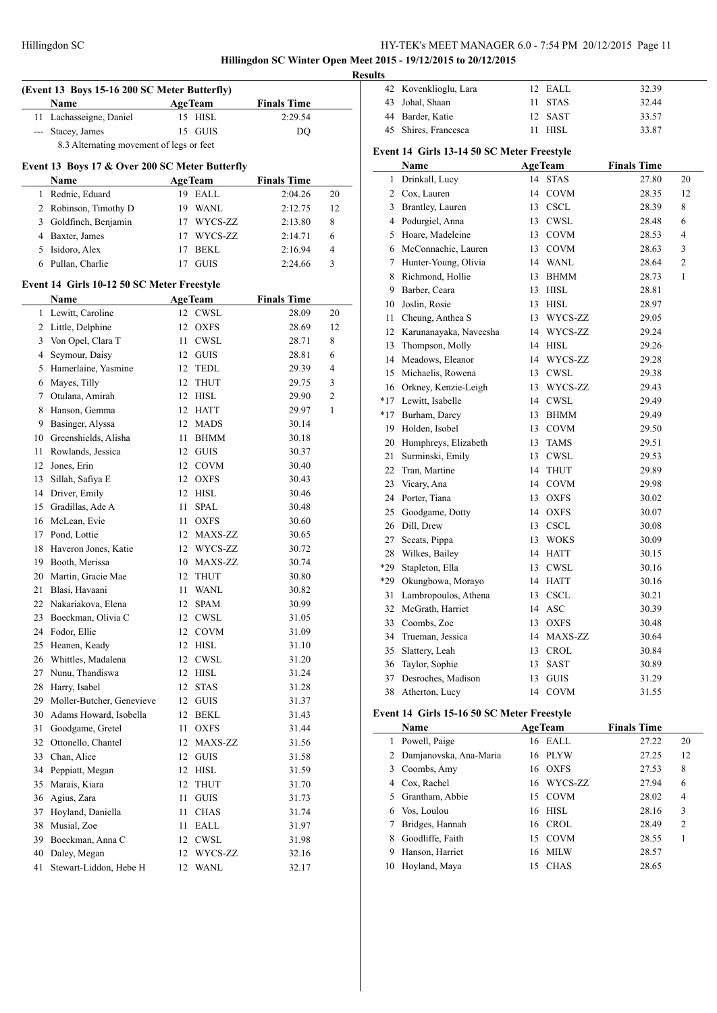**Hillingdon SC Winter Open Meet 2015 - 19/12/2015 to 20/12/2015**

 $\overline{a}$ 

| (Event 13 Boys 15-16 200 SC Meter Butterfly) |                                                |    |                    |                    |        |  |
|----------------------------------------------|------------------------------------------------|----|--------------------|--------------------|--------|--|
|                                              | Name                                           |    | <b>AgeTeam</b>     | <b>Finals Time</b> |        |  |
| 11                                           | Lachasseigne, Daniel                           | 15 | <b>HISL</b>        | 2:29.54            |        |  |
| $\overline{a}$                               | Stacey, James                                  | 15 | <b>GUIS</b>        | DQ                 |        |  |
|                                              | 8.3 Alternating movement of legs or feet       |    |                    |                    |        |  |
|                                              | Event 13 Boys 17 & Over 200 SC Meter Butterfly |    |                    |                    |        |  |
|                                              | Name                                           |    | <b>AgeTeam</b>     | <b>Finals Time</b> |        |  |
| 1                                            | Rednic, Eduard                                 |    | 19 EALL            | 2:04.26            | 20     |  |
| 2                                            | Robinson, Timothy D                            |    | 19 WANL            | 2:12.75            | 12     |  |
| 3                                            | Goldfinch, Benjamin                            |    | 17 WYCS-ZZ         | 2:13.80            | 8      |  |
| 4                                            | Baxter, James                                  |    | 17 WYCS-ZZ         | 2:14.71            | 6      |  |
| 5                                            | Isidoro, Alex                                  | 17 | <b>BEKL</b>        | 2:16.94            | 4      |  |
| 6                                            | Pullan, Charlie                                | 17 | <b>GUIS</b>        | 2:24.66            | 3      |  |
|                                              |                                                |    |                    |                    |        |  |
|                                              | Event 14 Girls 10-12 50 SC Meter Freestyle     |    |                    |                    |        |  |
|                                              | Name                                           |    | <b>AgeTeam</b>     | <b>Finals Time</b> |        |  |
| 1                                            | Lewitt, Caroline                               |    | 12 CWSL            | 28.09              | 20     |  |
| 2                                            | Little, Delphine                               |    | 12 OXFS            | 28.69              | 12     |  |
| 3                                            | Von Opel, Clara T                              | 11 | <b>CWSL</b>        | 28.71              | 8      |  |
| 4                                            | Seymour, Daisy                                 |    | 12 GUIS            | 28.81              | 6      |  |
| 5                                            | Hamerlaine, Yasmine                            |    | 12 TEDL            | 29.39              | 4      |  |
| 6<br>7                                       | Mayes, Tilly<br>Otulana, Amirah                | 12 | <b>THUT</b>        | 29.75              | 3<br>2 |  |
| 8                                            | Hanson, Gemma                                  |    | 12 HISL<br>12 HATT | 29.90<br>29.97     | 1      |  |
| 9                                            | Basinger, Alyssa                               |    | 12 MADS            | 30.14              |        |  |
| 10                                           | Greenshields, Alisha                           | 11 | <b>BHMM</b>        | 30.18              |        |  |
| 11                                           | Rowlands, Jessica                              |    | 12 GUIS            | 30.37              |        |  |
| 12                                           | Jones, Erin                                    |    | 12 COVM            | 30.40              |        |  |
| 13                                           | Sillah, Safiya E                               |    | 12 OXFS            | 30.43              |        |  |
| 14                                           | Driver, Emily                                  | 12 | HISL               | 30.46              |        |  |
| 15                                           | Gradillas, Ade A                               | 11 | SPAL               | 30.48              |        |  |
| 16                                           | McLean, Evie                                   | 11 | <b>OXFS</b>        | 30.60              |        |  |
| 17                                           | Pond, Lottie                                   |    | 12 MAXS-ZZ         | 30.65              |        |  |
| 18                                           | Haveron Jones, Katie                           |    | 12 WYCS-ZZ         | 30.72              |        |  |
| 19                                           | Booth, Merissa                                 |    | 10 MAXS-ZZ         | 30.74              |        |  |
| 20                                           | Martin, Gracie Mae                             | 12 | THUT               | 30.80              |        |  |
| 21                                           | Blasi, Havaani                                 | 11 | <b>WANL</b>        | 30.82              |        |  |
| 22                                           | Nakariakova, Elena                             | 12 | <b>SPAM</b>        | 30.99              |        |  |
|                                              | 23 Boeckman, Olivia C                          |    | 12 CWSL            | 31.05              |        |  |
|                                              | 24 Fodor, Ellie                                |    | 12 COVM            | 31.09              |        |  |
| 25                                           | Heanen, Keady                                  |    | 12 HISL            | 31.10              |        |  |
| 26                                           | Whittles, Madalena                             |    | 12 CWSL            | 31.20              |        |  |
| 27                                           | Nunu, Thandiswa                                |    | 12 HISL            | 31.24              |        |  |
| 28                                           | Harry, Isabel                                  | 12 | <b>STAS</b>        | 31.28              |        |  |
| 29                                           | Moller-Butcher, Genevieve                      | 12 | GUIS               | 31.37              |        |  |
| 30                                           | Adams Howard, Isobella                         | 12 | BEKL               | 31.43              |        |  |
| 31                                           | Goodgame, Gretel                               | 11 | OXFS               | 31.44              |        |  |
| 32                                           | Ottonello, Chantel                             | 12 | MAXS-ZZ            | 31.56              |        |  |
| 33                                           | Chan, Alice                                    | 12 | <b>GUIS</b>        | 31.58              |        |  |
| 34                                           | Peppiatt, Megan                                | 12 | <b>HISL</b>        | 31.59              |        |  |
| 35                                           | Marais, Kiara                                  | 12 | <b>THUT</b>        | 31.70              |        |  |
| 36                                           | Agius, Zara                                    | 11 | <b>GUIS</b>        | 31.73              |        |  |
| 37                                           | Hoyland, Daniella                              | 11 | <b>CHAS</b>        | 31.74              |        |  |
| 38                                           | Musial, Zoe                                    | 11 | EALL               | 31.97              |        |  |
| 39                                           | Boeckman, Anna C                               |    | 12 CWSL            | 31.98              |        |  |
| 40                                           | Daley, Megan                                   |    | 12 WYCS-ZZ         | 32.16              |        |  |
| 41                                           | Stewart-Liddon, Hebe H                         | 12 | <b>WANL</b>        | 32.17              |        |  |

| <b>Results</b> |                       |         |       |
|----------------|-----------------------|---------|-------|
|                | 42 Kovenklioglu, Lara | 12 FALL | 32.39 |
|                | 43 Johal, Shaan       | 11 STAS | 32.44 |
|                | 44 Barder, Katie      | 12 SAST | 33.57 |
|                | 45 Shires, Francesca  | - HISL  | 33.87 |

# **Event 14 Girls 13-14 50 SC Meter Freestyle**

|                | Name                   |    | <b>AgeTeam</b> | <b>Finals Time</b> |                |
|----------------|------------------------|----|----------------|--------------------|----------------|
| 1              | Drinkall, Lucy         | 14 | <b>STAS</b>    | 27.80              | 20             |
| $\overline{c}$ | Cox, Lauren            | 14 | $\rm COVM$     | 28.35              | 12             |
| 3              | Brantley, Lauren       | 13 | <b>CSCL</b>    | 28.39              | 8              |
| 4              | Podurgiel, Anna        | 13 | <b>CWSL</b>    | 28.48              | 6              |
| 5              | Hoare, Madeleine       | 13 | <b>COVM</b>    | 28.53              | 4              |
| 6              | McConnachie, Lauren    | 13 | <b>COVM</b>    | 28.63              | 3              |
| 7              | Hunter-Young, Olivia   | 14 | WANL           | 28.64              | $\overline{c}$ |
| 8              | Richmond, Hollie       | 13 | <b>BHMM</b>    | 28.73              | 1              |
| 9              | Barber, Ceara          | 13 | <b>HISL</b>    | 28.81              |                |
| 10             | Joslin, Rosie          | 13 | <b>HISL</b>    | 28.97              |                |
| 11             | Cheung, Anthea S       | 13 | WYCS-ZZ        | 29.05              |                |
| 12             | Karunanayaka, Naveesha | 14 | WYCS-ZZ        | 29.24              |                |
| 13             | Thompson, Molly        | 14 | <b>HISL</b>    | 29.26              |                |
| 14             | Meadows, Eleanor       | 14 | WYCS-ZZ        | 29.28              |                |
| 15             | Michaelis, Rowena      | 13 | CWSL           | 29.38              |                |
| 16             | Orkney, Kenzie-Leigh   | 13 | WYCS-ZZ        | 29.43              |                |
| $*17$          | Lewitt, Isabelle       | 14 | <b>CWSL</b>    | 29.49              |                |
| $*17$          | Burham, Darcy          | 13 | <b>BHMM</b>    | 29.49              |                |
| 19             | Holden, Isobel         | 13 | <b>COVM</b>    | 29.50              |                |
| 20             | Humphreys, Elizabeth   | 13 | <b>TAMS</b>    | 29.51              |                |
| 21             | Surminski, Emily       | 13 | <b>CWSL</b>    | 29.53              |                |
| 22             | Tran, Martine          | 14 | THUT           | 29.89              |                |
| 23             | Vicary, Ana            | 14 | <b>COVM</b>    | 29.98              |                |
| 24             | Porter, Tiana          | 13 | <b>OXFS</b>    | 30.02              |                |
| 25             | Goodgame, Dotty        | 14 | <b>OXFS</b>    | 30.07              |                |
| 26             | Dill, Drew             | 13 | <b>CSCL</b>    | 30.08              |                |
| 27             | Sceats, Pippa          | 13 | <b>WOKS</b>    | 30.09              |                |
| 28             | Wilkes, Bailey         | 14 | <b>HATT</b>    | 30.15              |                |
| *29            | Stapleton, Ella        | 13 | <b>CWSL</b>    | 30.16              |                |
| $*29$          | Okungbowa, Morayo      | 14 | <b>HATT</b>    | 30.16              |                |
| 31             | Lambropoulos, Athena   | 13 | <b>CSCL</b>    | 30.21              |                |
| 32             | McGrath, Harriet       | 14 | <b>ASC</b>     | 30.39              |                |
| 33             | Coombs, Zoe            | 13 | <b>OXFS</b>    | 30.48              |                |
| 34             | Trueman, Jessica       | 14 | MAXS-ZZ        | 30.64              |                |
| 35             | Slattery, Leah         | 13 | <b>CROL</b>    | 30.84              |                |
| 36             | Taylor, Sophie         | 13 | <b>SAST</b>    | 30.89              |                |
| 37             | Desroches, Madison     | 13 | <b>GUIS</b>    | 31.29              |                |
| 38             | Atherton, Lucy         | 14 | <b>COVM</b>    | 31.55              |                |

# **Event 14 Girls 15-16 50 SC Meter Freestyle**

|    | <b>Name</b>              | <b>AgeTeam</b>    | <b>Finals Time</b> |                |
|----|--------------------------|-------------------|--------------------|----------------|
| L  | Powell, Paige            | 16 EALL           | 27.22              | 20             |
|    | 2 Damjanovska, Ana-Maria | 16 PLYW           | 27.25              | 12             |
| 3  | Coombs, Amy              | <b>OXFS</b><br>16 | 27.53              | 8              |
|    | 4 Cox, Rachel            | 16 WYCS-ZZ        | 27.94              | 6              |
| 5  | Grantham, Abbie          | <b>COVM</b><br>15 | 28.02              | $\overline{4}$ |
| 6  | Vos, Loulou              | 16 HISL           | 28.16              | 3              |
|    | Bridges, Hannah          | 16 CROL           | 28.49              | $\overline{2}$ |
| 8  | Goodliffe, Faith         | <b>COVM</b><br>15 | 28.55              |                |
| 9  | Hanson, Harriet          | MILW<br>16        | 28.57              |                |
| 10 | Hoyland, Maya            | <b>CHAS</b><br>15 | 28.65              |                |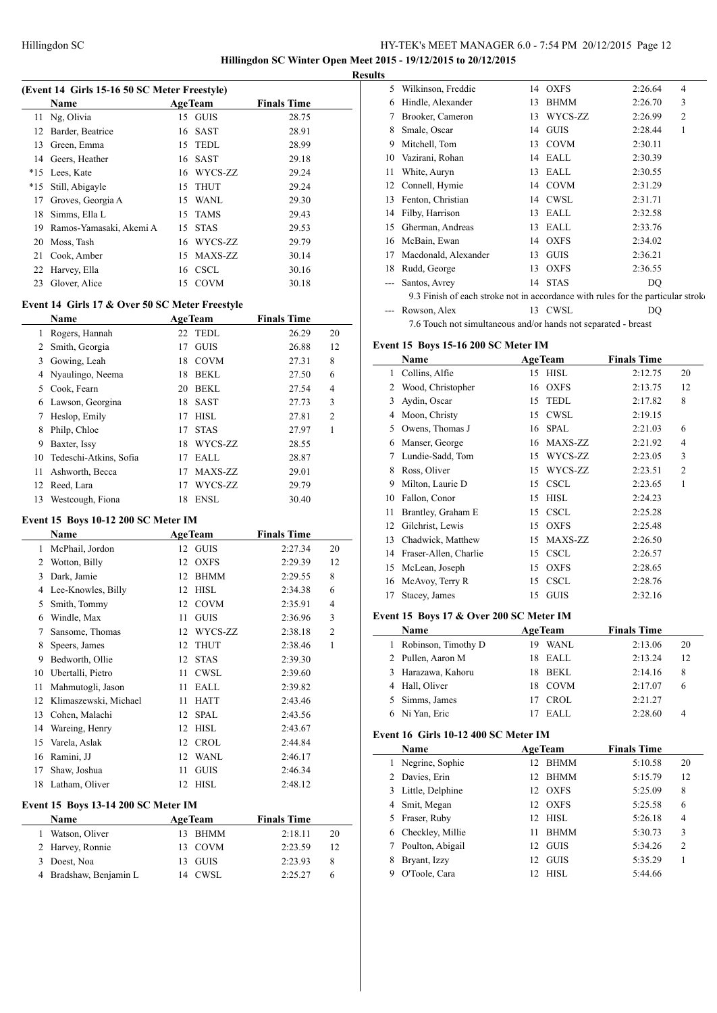**Hillingdon SC Winter Open Meet 2015 - 19/12/2015 to 20/12/2015 Results**

 $\overline{a}$ 

 $\frac{1}{2}$ 

#### **(Event 14 Girls 15-16 50 SC Meter Freestyle)**

|       | <b>Name</b>             |    | <b>AgeTeam</b> | <b>Finals Time</b> |  |  |  |
|-------|-------------------------|----|----------------|--------------------|--|--|--|
|       | 11 Ng, Olivia           |    | 15 GUIS        | 28.75              |  |  |  |
| 12    | Barder, Beatrice        |    | 16 SAST        | 28.91              |  |  |  |
| 13    | Green, Emma             |    | 15 TEDL        | 28.99              |  |  |  |
|       | 14 Geers, Heather       |    | 16 SAST        | 29.18              |  |  |  |
| $*15$ | Lees, Kate              |    | 16 WYCS-ZZ     | 29.24              |  |  |  |
| $*15$ | Still, Abigayle         |    | 15 THUT        | 29.24              |  |  |  |
| 17    | Groves, Georgia A       |    | 15 WANL        | 29.30              |  |  |  |
| 18    | Simms, Ella L           |    | 15 TAMS        | 29.43              |  |  |  |
| 19    | Ramos-Yamasaki, Akemi A |    | 15 STAS        | 29.53              |  |  |  |
| 20    | Moss, Tash              |    | 16 WYCS-ZZ     | 29.79              |  |  |  |
| 21    | Cook, Amber             |    | 15 MAXS-ZZ     | 30.14              |  |  |  |
| 22    | Harvey, Ella            |    | 16 CSCL        | 30.16              |  |  |  |
| 23    | Glover, Alice           | 15 | COVM           | 30.18              |  |  |  |

# **Event 14 Girls 17 & Over 50 SC Meter Freestyle**

|    | Name                   |    | <b>AgeTeam</b> | <b>Finals Time</b> |                |
|----|------------------------|----|----------------|--------------------|----------------|
| 1  | Rogers, Hannah         |    | 22 TEDL        | 26.29              | 20             |
| 2  | Smith, Georgia         | 17 | <b>GUIS</b>    | 26.88              | 12             |
| 3  | Gowing, Leah           | 18 | <b>COVM</b>    | 27.31              | 8              |
| 4  | Nyaulingo, Neema       | 18 | <b>BEKL</b>    | 27.50              | 6              |
| 5  | Cook, Fearn            | 20 | <b>BEKL</b>    | 27.54              | 4              |
| 6  | Lawson, Georgina       | 18 | <b>SAST</b>    | 27.73              | 3              |
| 7  | Heslop, Emily          | 17 | <b>HISL</b>    | 27.81              | $\overline{c}$ |
| 8  | Philp, Chloe           | 17 | <b>STAS</b>    | 27.97              | 1              |
| 9  | Baxter, Issy           | 18 | WYCS-ZZ        | 28.55              |                |
| 10 | Tedeschi-Atkins, Sofia | 17 | EALL           | 28.87              |                |
| 11 | Ashworth, Becca        | 17 | MAXS-ZZ        | 29.01              |                |
| 12 | Reed, Lara             | 17 | WYCS-ZZ        | 29.79              |                |
| 13 | Westcough, Fiona       | 18 | <b>ENSL</b>    | 30.40              |                |

# **Event 15 Boys 10-12 200 SC Meter IM**

|    | Name                  | <b>AgeTeam</b> |             | <b>Finals Time</b> |                |
|----|-----------------------|----------------|-------------|--------------------|----------------|
| 1  | McPhail, Jordon       |                | 12 GUIS     | 2:27.34            | 20             |
| 2  | Wotton, Billy         | 12             | <b>OXFS</b> | 2:29.39            | 12             |
| 3  | Dark, Jamie           | 12             | <b>BHMM</b> | 2:29.55            | 8              |
| 4  | Lee-Knowles, Billy    | 12             | <b>HISL</b> | 2:34.38            | 6              |
| 5  | Smith, Tommy          | 12             | <b>COVM</b> | 2:35.91            | $\overline{4}$ |
| 6  | Windle, Max           | 11             | <b>GUIS</b> | 2:36.96            | 3              |
| 7  | Sansome, Thomas       | 12             | WYCS-ZZ     | 2:38.18            | $\overline{c}$ |
| 8  | Speers, James         | 12             | <b>THUT</b> | 2:38.46            | 1              |
| 9  | Bedworth, Ollie       | 12             | <b>STAS</b> | 2:39.30            |                |
| 10 | Ubertalli, Pietro     | 11             | CWSL        | 2:39.60            |                |
| 11 | Mahmutogli, Jason     | 11             | EALL        | 2:39.82            |                |
| 12 | Klimaszewski, Michael | 11             | <b>HATT</b> | 2:43.46            |                |
| 13 | Cohen, Malachi        | 12             | <b>SPAL</b> | 2:43.56            |                |
| 14 | Wareing, Henry        | 12             | <b>HISL</b> | 2:43.67            |                |
| 15 | Varela, Aslak         | 12             | <b>CROL</b> | 2:44.84            |                |
| 16 | Ramini, JJ            | 12             | WANL        | 2:46.17            |                |
| 17 | Shaw, Joshua          | 11             | <b>GUIS</b> | 2:46.34            |                |
| 18 | Latham, Oliver        | 12             | <b>HISL</b> | 2:48.12            |                |

### **Event 15 Boys 13-14 200 SC Meter IM**

| <b>Name</b>            | <b>AgeTeam</b> |         | <b>Finals Time</b> |    |
|------------------------|----------------|---------|--------------------|----|
| Watson, Oliver         |                | 13 BHMM | 2:18.11            | 20 |
| 2 Harvey, Ronnie       |                | 13 COVM | 2:23.59            | 12 |
| 3 Doest, Noa           |                | 13 GUIS | 2:23.93            | 8  |
| 4 Bradshaw, Benjamin L |                | 14 CWSL | 2.2527             |    |

| 5  | Wilkinson, Freddie                                                               |    | 14 OXFS     | 2:26.64 | 4              |
|----|----------------------------------------------------------------------------------|----|-------------|---------|----------------|
| 6  | Hindle, Alexander                                                                | 13 | <b>BHMM</b> | 2:26.70 | 3              |
| 7  | Brooker, Cameron                                                                 | 13 | WYCS-ZZ     | 2:26.99 | $\overline{2}$ |
| 8  | Smale, Oscar                                                                     | 14 | <b>GUIS</b> | 2:28.44 | 1              |
| 9  | Mitchell, Tom                                                                    | 13 | <b>COVM</b> | 2:30.11 |                |
| 10 | Vazirani, Rohan                                                                  | 14 | EALL        | 2:30.39 |                |
| 11 | White, Auryn                                                                     | 13 | EALL        | 2:30.55 |                |
| 12 | Connell, Hymie                                                                   |    | 14 COVM     | 2:31.29 |                |
| 13 | Fenton, Christian                                                                |    | 14 CWSL     | 2:31.71 |                |
| 14 | Filby, Harrison                                                                  | 13 | EALL        | 2:32.58 |                |
| 15 | Gherman, Andreas                                                                 | 13 | EALL        | 2:33.76 |                |
| 16 | McBain, Ewan                                                                     | 14 | OXFS        | 2:34.02 |                |
| 17 | Macdonald, Alexander                                                             | 13 | <b>GUIS</b> | 2:36.21 |                |
| 18 | Rudd, George                                                                     | 13 | <b>OXFS</b> | 2:36.55 |                |
|    | Santos, Avrey                                                                    | 14 | <b>STAS</b> | DQ      |                |
|    | 9.3 Finish of each stroke not in accordance with rules for the particular stroke |    |             |         |                |
|    | Rowson, Alex                                                                     |    | 13 CWSL     | DO      |                |
|    | 7.6 Touch not simultaneous and/or hands not separated - breast                   |    |             |         |                |

# **Event 15 Boys 15-16 200 SC Meter IM**

|    | Name                  |    | <b>AgeTeam</b> | <b>Finals Time</b> |                |
|----|-----------------------|----|----------------|--------------------|----------------|
| 1  | Collins, Alfie        | 15 | <b>HISL</b>    | 2:12.75            | 20             |
| 2  | Wood, Christopher     | 16 | <b>OXFS</b>    | 2:13.75            | 12             |
| 3  | Aydin, Oscar          | 15 | <b>TEDL</b>    | 2:17.82            | 8              |
| 4  | Moon, Christy         | 15 | CWSL           | 2:19.15            |                |
| 5  | Owens, Thomas J       | 16 | <b>SPAL</b>    | 2:21.03            | 6              |
| 6  | Manser, George        | 16 | MAXS-ZZ        | 2:21.92            | $\overline{4}$ |
| 7  | Lundie-Sadd, Tom      | 15 | WYCS-ZZ        | 2:23.05            | 3              |
| 8  | Ross, Oliver          | 15 | WYCS-ZZ        | 2:23.51            | $\overline{2}$ |
| 9  | Milton, Laurie D      | 15 | <b>CSCL</b>    | 2:23.65            | 1              |
| 10 | Fallon, Conor         | 15 | <b>HISL</b>    | 2:24.23            |                |
| 11 | Brantley, Graham E    | 15 | <b>CSCL</b>    | 2:25.28            |                |
| 12 | Gilchrist, Lewis      | 15 | <b>OXFS</b>    | 2:25.48            |                |
| 13 | Chadwick, Matthew     | 15 | MAXS-ZZ        | 2:26.50            |                |
| 14 | Fraser-Allen, Charlie | 15 | <b>CSCL</b>    | 2:26.57            |                |
| 15 | McLean, Joseph        | 15 | <b>OXFS</b>    | 2:28.65            |                |
| 16 | McAvoy, Terry R       | 15 | <b>CSCL</b>    | 2:28.76            |                |
| 17 | Stacey, James         | 15 | <b>GUIS</b>    | 2:32.16            |                |

### **Event 15 Boys 17 & Over 200 SC Meter IM**

| Name                  | <b>AgeTeam</b> | <b>Finals Time</b> |    |
|-----------------------|----------------|--------------------|----|
| 1 Robinson, Timothy D | WANL<br>19     | 2:13.06            | 20 |
| 2 Pullen, Aaron M     | 18 EALL        | 2:13.24            | 12 |
| 3 Harazawa, Kahoru    | BEKL<br>18.    | 2:14.16            | 8  |
| 4 Hall, Oliver        | 18 COVM        | 2:17.07            | 6  |
| 5 Simms, James        | <b>CROL</b>    | 2:21.27            |    |
| 6 Ni Yan, Eric        | EALL           | 2:28.60            |    |

# **Event 16 Girls 10-12 400 SC Meter IM**

|   | Name               |    | <b>AgeTeam</b> | <b>Finals Time</b> |                |
|---|--------------------|----|----------------|--------------------|----------------|
|   | 1 Negrine, Sophie  | 12 | <b>BHMM</b>    | 5:10.58            | 20             |
|   | 2 Davies, Erin     | 12 | <b>BHMM</b>    | 5:15.79            | 12             |
|   | 3 Little, Delphine | 12 | <b>OXFS</b>    | 5:25.09            | 8              |
|   | 4 Smit, Megan      |    | 12 OXFS        | 5:25.58            | 6              |
| 5 | Fraser, Ruby       | 12 | HISL           | 5:26.18            | $\overline{4}$ |
|   | 6 Checkley, Millie | 11 | <b>BHMM</b>    | 5:30.73            | 3              |
|   | Poulton, Abigail   | 12 | <b>GUIS</b>    | 5:34.26            | $\overline{2}$ |
| 8 | Bryant, Izzy       | 12 | <b>GUIS</b>    | 5:35.29            |                |
| 9 | O'Toole, Cara      |    | HISL           | 5:44.66            |                |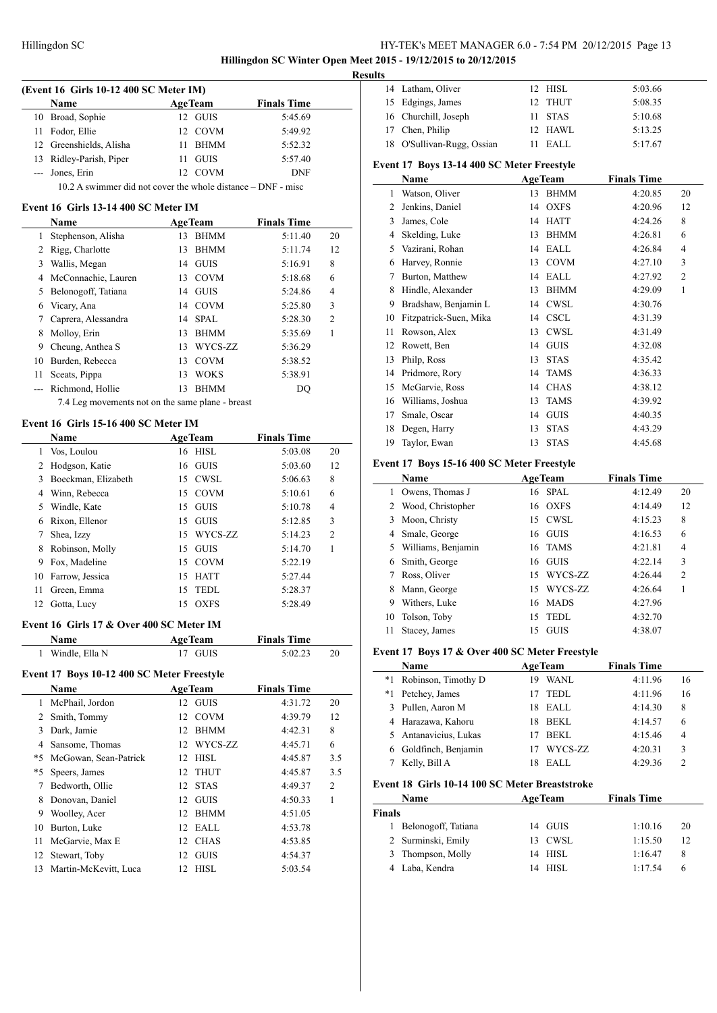**Hillingdon SC Winter Open Meet 2015 - 19/12/2015 to 20/12/2015**

L.

|                |                                                              |    |                |                    |                | Resul |
|----------------|--------------------------------------------------------------|----|----------------|--------------------|----------------|-------|
|                | (Event 16 Girls 10-12 400 SC Meter IM)                       |    |                |                    |                |       |
|                | Name                                                         |    | <b>AgeTeam</b> | <b>Finals Time</b> |                |       |
|                | 10 Broad, Sophie                                             |    | 12 GUIS        | 5:45.69            |                |       |
| 11             | Fodor, Ellie                                                 |    | 12 COVM        | 5:49.92            |                |       |
|                | 12 Greenshields, Alisha                                      |    | 11 BHMM        | 5:52.32            |                |       |
|                | 13 Ridley-Parish, Piper                                      |    | 11 GUIS        | 5:57.40            |                | E     |
| $-$            | Jones, Erin                                                  |    | 12 COVM        | <b>DNF</b>         |                |       |
|                | 10.2 A swimmer did not cover the whole distance – DNF - misc |    |                |                    |                |       |
|                | Event 16 Girls 13-14 400 SC Meter IM                         |    |                |                    |                |       |
|                | Name                                                         |    | <b>AgeTeam</b> | <b>Finals Time</b> |                |       |
| 1              | Stephenson, Alisha                                           |    | 13 BHMM        | 5:11.40            | 20             |       |
| 2              | Rigg, Charlotte                                              | 13 | <b>BHMM</b>    | 5:11.74            | 12             |       |
| 3              | Wallis, Megan                                                |    | 14 GUIS        | 5:16.91            | 8              |       |
|                | 4 McConnachie, Lauren                                        |    | 13 COVM        | 5:18.68            | 6              |       |
|                |                                                              |    |                |                    | $\overline{4}$ |       |
|                | 5 Belonogoff, Tatiana                                        |    | 14 GUIS        | 5:24.86            |                |       |
|                | 6 Vicary, Ana                                                |    | 14 COVM        | 5:25.80            | 3              |       |
|                | 7 Caprera, Alessandra                                        |    | 14 SPAL        | 5:28.30            | $\overline{c}$ |       |
| 8              | Molloy, Erin                                                 |    | 13 BHMM        | 5:35.69            | 1              |       |
| 9              | Cheung, Anthea S                                             |    | 13 WYCS-ZZ     | 5:36.29            |                |       |
|                | 10 Burden, Rebecca                                           |    | 13 COVM        | 5:38.52            |                |       |
|                | 11 Sceats, Pippa                                             |    | 13 WOKS        | 5:38.91            |                |       |
| $---$          | Richmond, Hollie                                             | 13 | <b>BHMM</b>    | DQ                 |                |       |
|                | 7.4 Leg movements not on the same plane - breast             |    |                |                    |                |       |
|                | Event 16 Girls 15-16 400 SC Meter IM                         |    |                |                    |                |       |
|                | Name                                                         |    | <b>AgeTeam</b> | <b>Finals Time</b> |                |       |
| 1              | Vos, Loulou                                                  |    | 16 HISL        | 5:03.08            | 20             |       |
| $\overline{2}$ | Hodgson, Katie                                               |    | 16 GUIS        | 5:03.60            | 12             | F     |
| 3              | Boeckman, Elizabeth                                          |    | 15 CWSL        | 5:06.63            | 8              |       |
|                | 4 Winn, Rebecca                                              |    | 15 COVM        | 5:10.61            | 6              |       |
|                |                                                              |    |                |                    | 4              |       |
| 5              | Windle, Kate                                                 |    | 15 GUIS        | 5:10.78            |                |       |
|                | 6 Rixon, Ellenor                                             |    | 15 GUIS        | 5:12.85            | 3              |       |
| 7              | Shea, Izzy                                                   |    | 15 WYCS-ZZ     | 5:14.23            | 2              |       |
| 8              | Robinson, Molly                                              |    | 15 GUIS        | 5:14.70            | 1              |       |
| 9              | Fox, Madeline                                                |    | 15 COVM        | 5:22.19            |                |       |
|                | 10 Farrow, Jessica                                           |    | 15 HATT        | 5:27.44            |                |       |
| 11             | Green, Emma                                                  | 15 | <b>TEDL</b>    | 5:28.37            |                |       |
| 12             | Gotta, Lucy                                                  | 15 | <b>OXFS</b>    | 5:28.49            |                |       |
|                | Event 16 Girls 17 & Over 400 SC Meter IM                     |    |                |                    |                |       |
|                | Name                                                         |    | <b>AgeTeam</b> | <b>Finals Time</b> |                |       |
|                | 1 Windle, Ella N                                             |    | 17 GUIS        | 5:02.23            | 20             | F     |
|                |                                                              |    |                |                    |                |       |
|                | Event 17 Boys 10-12 400 SC Meter Freestyle                   |    |                |                    |                |       |
|                | Name                                                         |    | <b>AgeTeam</b> | <b>Finals Time</b> |                |       |
|                | 1 McPhail, Jordon                                            |    | 12 GUIS        | 4:31.72            | 20             |       |
| $\overline{2}$ | Smith, Tommy                                                 |    | 12 COVM        | 4:39.79            | 12             |       |
| 3              | Dark, Jamie                                                  |    | 12 BHMM        | 4:42.31            | 8              |       |
| $\overline{4}$ | Sansome, Thomas                                              |    | 12 WYCS-ZZ     | 4:45.71            | 6              |       |
|                | *5 McGowan, Sean-Patrick                                     |    | 12 HISL        | 4:45.87            | 3.5            |       |
| *5             | Speers, James                                                | 12 | <b>THUT</b>    | 4:45.87            | 3.5            |       |
| 7              | Bedworth, Ollie                                              | 12 | <b>STAS</b>    | 4:49.37            | 2              | F     |
| 8              | Donovan, Daniel                                              |    | 12 GUIS        | 4:50.33            | 1              |       |
| 9              | Woolley, Acer                                                | 12 | BHMM           | 4:51.05            |                | F     |
| 10             | Burton, Luke                                                 |    | 12 EALL        | 4:53.78            |                |       |
| 11             | McGarvie, Max E                                              |    | 12 CHAS        | 4:53.85            |                |       |
| 12             | Stewart, Toby                                                |    | 12 GUIS        | 4:54.37            |                |       |
| 13             | Martin-McKevitt, Luca                                        | 12 | <b>HISL</b>    | 5:03.54            |                |       |
|                |                                                              |    |                |                    |                |       |

| ults                                       |                         |                   |                    |  |  |  |  |
|--------------------------------------------|-------------------------|-------------------|--------------------|--|--|--|--|
|                                            | 14 Latham, Oliver       | 12 HISL           | 5:03.66            |  |  |  |  |
| 15                                         | Edgings, James          | <b>THUT</b><br>12 | 5:08.35            |  |  |  |  |
| 16                                         | Churchill, Joseph       | <b>STAS</b><br>11 | 5:10.68            |  |  |  |  |
| 17                                         | Chen, Philip            | HAWL<br>12        | 5:13.25            |  |  |  |  |
| 18                                         | O'Sullivan-Rugg, Ossian | EALL<br>11.       | 5:17.67            |  |  |  |  |
| Event 17 Boys 13-14 400 SC Meter Freestyle |                         |                   |                    |  |  |  |  |
|                                            |                         |                   |                    |  |  |  |  |
|                                            | Name                    | <b>AgeTeam</b>    | <b>Finals Time</b> |  |  |  |  |
| 1                                          | Watson, Oliver          | <b>BHMM</b><br>13 | 20<br>4:20.85      |  |  |  |  |
| 2                                          | Jenkins, Daniel         | <b>OXFS</b><br>14 | 4:20.96<br>12      |  |  |  |  |
| 3                                          | James, Cole             | HATT<br>14        | 8<br>4:24.26       |  |  |  |  |
| 4                                          | Skelding, Luke          | <b>BHMM</b><br>13 | 4:26.81<br>6       |  |  |  |  |
| 5                                          | Vazirani, Rohan         | $14$ EALL         | 4:26.84<br>4       |  |  |  |  |
| 6                                          | Harvey, Ronnie          | 13 COVM           | 3<br>4:27.10       |  |  |  |  |

 Hindle, Alexander 13 BHMM 4:29.09 1 9 Bradshaw, Benjamin L 14 CWSL 4:30.76 Fitzpatrick-Suen, Mika 14 CSCL 4:31.39 11 Rowson, Alex 13 CWSL 4:31.49<br>12 Rowett, Ben 14 GUIS 4:32.08 Rowett, Ben 14 GUIS 4:32.08 Philp, Ross 13 STAS 4:35.42 Pridmore, Rory 14 TAMS 4:36.33 McGarvie, Ross 14 CHAS 4:38.12 Williams, Joshua 13 TAMS 4:39.92 Smale, Oscar 14 GUIS 4:40.35 Degen, Harry 13 STAS 4:43.29 Taylor, Ewan 13 STAS 4:45.68

### **Event 17 Boys 15-16 400 SC Meter Freestyle**

|    | Name<br><b>AgeTeam</b> |                   | <b>Finals Time</b> |                |
|----|------------------------|-------------------|--------------------|----------------|
| 1  | Owens, Thomas J        | 16 SPAL           | 4:12.49            | 20             |
| 2  | Wood, Christopher      | 16 OXFS           | 4:14.49            | 12             |
| 3  | Moon, Christy          | 15 CWSL           | 4:15.23            | 8              |
| 4  | Smale, George          | <b>GUIS</b><br>16 | 4:16.53            | 6              |
| 5  | Williams, Benjamin     | 16 TAMS           | 4:21.81            | 4              |
| 6  | Smith, George          | <b>GUIS</b><br>16 | 4:22.14            | 3              |
| 7  | Ross, Oliver           | WYCS-ZZ<br>15     | 4:26.44            | $\overline{c}$ |
| 8  | Mann, George           | 15 WYCS-ZZ        | 4:26.64            |                |
| 9  | Withers, Luke          | 16 MADS           | 4:27.96            |                |
| 10 | Tolson, Toby           | <b>TEDL</b><br>15 | 4:32.70            |                |
| 11 | Stacey, James          | <b>GUIS</b><br>15 | 4:38.07            |                |

#### **Event 17 Boys 17 & Over 400 SC Meter Freestyle**

|    | Name                  |    | <b>AgeTeam</b> | <b>Finals Time</b> |                |
|----|-----------------------|----|----------------|--------------------|----------------|
| *1 | Robinson, Timothy D   | 19 | <b>WANL</b>    | 4:11.96            | 16             |
| *1 | Petchey, James        |    | TEDL           | 4:11.96            | 16             |
|    | 3 Pullen, Aaron M     |    | 18 EALL        | 4:14.30            | 8              |
|    | 4 Harazawa, Kahoru    | 18 | BEKL           | 4:14.57            | 6              |
|    | 5 Antanavicius, Lukas |    | <b>BEKL</b>    | 4:15.46            | $\overline{4}$ |
|    | 6 Goldfinch, Benjamin |    | WYCS-ZZ        | 4:20.31            | 3              |
|    | Kelly, Bill A         | 18 | EALL           | 4:29.36            | $\mathfrak{D}$ |

#### **Event 18 Girls 10-14 100 SC Meter Breaststroke**

| Name                | <b>AgeTeam</b> | <b>Finals Time</b> |    |
|---------------------|----------------|--------------------|----|
| Finals              |                |                    |    |
| Belonogoff, Tatiana | 14 GUIS        | 1:10.16            | 20 |
| 2 Surminski, Emily  | 13 CWSL        | 1:15.50            | 12 |
| 3 Thompson, Molly   | 14 HISL        | 1:16.47            | 8  |
| 4 Laba, Kendra      | - HISL<br>14   | 1.1754             | h  |
|                     |                |                    |    |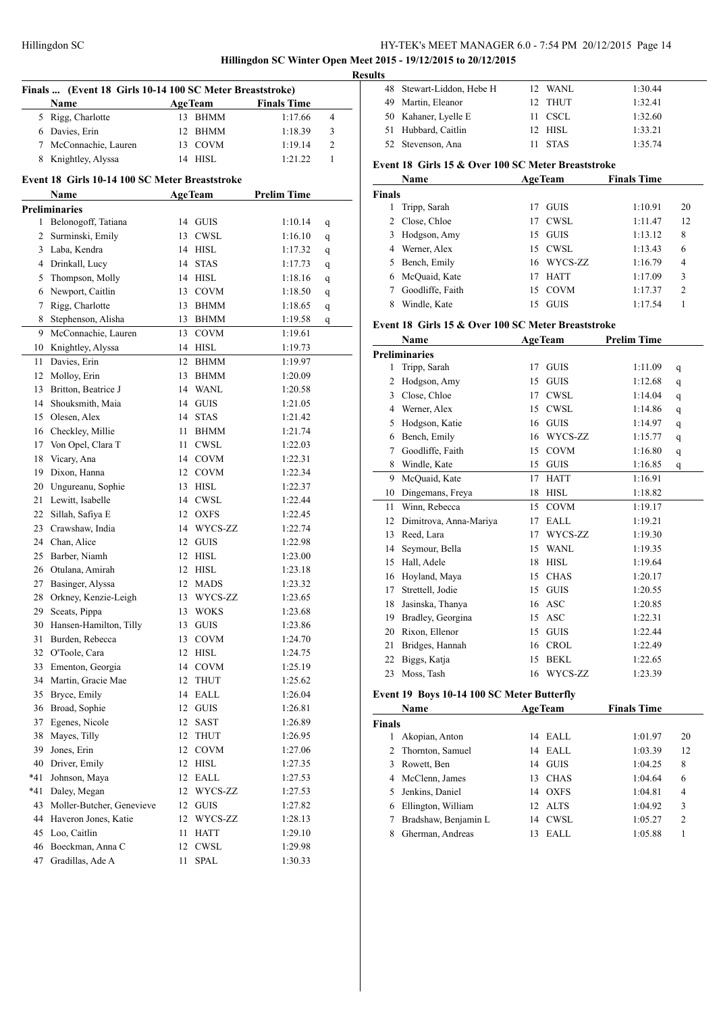**Hillingdon SC Winter Open Meet 2015 - 19/12/2015 to 20/12/2015**

|                | Finals  (Event 18 Girls 10-14 100 SC Meter Breaststroke) |    |                |                    |   |
|----------------|----------------------------------------------------------|----|----------------|--------------------|---|
|                | Name                                                     |    | <b>AgeTeam</b> | <b>Finals Time</b> |   |
|                | 5 Rigg, Charlotte                                        | 13 | <b>BHMM</b>    | 1:17.66            | 4 |
|                | 6 Davies, Erin                                           |    | 12 BHMM        | 1:18.39            | 3 |
|                | 7 McConnachie, Lauren                                    |    | 13 COVM        | 1:19.14            | 2 |
| 8              | Knightley, Alyssa                                        |    | 14 HISL        | 1:21.22            | 1 |
|                | Event 18 Girls 10-14 100 SC Meter Breaststroke           |    |                |                    |   |
|                | <b>Name</b>                                              |    | <b>AgeTeam</b> | <b>Prelim Time</b> |   |
|                | <b>Preliminaries</b>                                     |    |                |                    |   |
| 1              | Belonogoff, Tatiana                                      | 14 | <b>GUIS</b>    | 1:10.14            | q |
| $\overline{2}$ | Surminski, Emily                                         | 13 | <b>CWSL</b>    | 1:16.10            | q |
|                | 3 Laba, Kendra                                           |    | 14 HISL        | 1:17.32            | q |
|                | 4 Drinkall, Lucy                                         | 14 | <b>STAS</b>    | 1:17.73            | q |
| 5              | Thompson, Molly                                          |    | 14 HISL        | 1:18.16            |   |
| 6              | Newport, Caitlin                                         |    | 13 COVM        | 1:18.50            | q |
| 7              |                                                          | 13 |                |                    | q |
|                | Rigg, Charlotte<br>Stephenson, Alisha                    |    | BHMM           | 1:18.65            | q |
| 8              |                                                          |    | 13 BHMM        | 1:19.58            | q |
| 9              | McConnachie, Lauren                                      | 13 | <b>COVM</b>    | 1:19.61            |   |
| 10             | Knightley, Alyssa                                        | 14 | HISL           | 1:19.73            |   |
| 11             | Davies, Erin                                             | 12 | <b>BHMM</b>    | 1:19.97            |   |
| 12             | Molloy, Erin                                             | 13 | BHMM           | 1:20.09            |   |
| 13             | Britton, Beatrice J                                      |    | 14 WANL        | 1:20.58            |   |
| 14             | Shouksmith, Maia                                         | 14 | <b>GUIS</b>    | 1:21.05            |   |
| 15             | Olesen, Alex                                             | 14 | <b>STAS</b>    | 1:21.42            |   |
| 16             | Checkley, Millie                                         | 11 | <b>BHMM</b>    | 1:21.74            |   |
| 17             | Von Opel, Clara T                                        | 11 | <b>CWSL</b>    | 1:22.03            |   |
| 18             | Vicary, Ana                                              |    | 14 COVM        | 1:22.31            |   |
| 19             | Dixon, Hanna                                             |    | 12 COVM        | 1:22.34            |   |
| 20             | Ungureanu, Sophie                                        | 13 | HISL           | 1:22.37            |   |
| 21             | Lewitt, Isabelle                                         |    | 14 CWSL        | 1:22.44            |   |
| 22             | Sillah, Safiya E                                         |    | 12 OXFS        | 1:22.45            |   |
| 23             | Crawshaw, India                                          |    | 14 WYCS-ZZ     | 1:22.74            |   |
| 24             | Chan, Alice                                              |    | 12 GUIS        | 1:22.98            |   |
| 25             | Barber, Niamh                                            |    | 12 HISL        | 1:23.00            |   |
| 26             | Otulana, Amirah                                          |    | 12 HISL        | 1:23.18            |   |
| 27             | Basinger, Alyssa                                         |    | 12 MADS        | 1:23.32            |   |
| 28             | Orkney, Kenzie-Leigh                                     |    | 13 WYCS-ZZ     | 1:23.65            |   |
| 29             | Sceats, Pippa                                            |    | 13 WOKS        | 1:23.68            |   |
| 30             | Hansen-Hamilton, Tilly                                   | 13 | GUIS           | 1:23.86            |   |
| 31             | Burden, Rebecca                                          | 13 | COVM           | 1:24.70            |   |
| 32             | O'Toole, Cara                                            | 12 | <b>HISL</b>    | 1:24.75            |   |
| 33             | Ementon, Georgia                                         | 14 | <b>COVM</b>    | 1:25.19            |   |
| 34             | Martin, Gracie Mae                                       | 12 | <b>THUT</b>    | 1:25.62            |   |
| 35             | Bryce, Emily                                             | 14 | EALL           | 1:26.04            |   |
| 36             | Broad, Sophie                                            | 12 | <b>GUIS</b>    | 1:26.81            |   |
| 37             | Egenes, Nicole                                           | 12 | SAST           | 1:26.89            |   |
| 38             | Mayes, Tilly                                             | 12 | <b>THUT</b>    | 1:26.95            |   |
| 39             | Jones, Erin                                              | 12 | <b>COVM</b>    | 1:27.06            |   |
| 40             | Driver, Emily                                            | 12 | <b>HISL</b>    | 1:27.35            |   |
| *41            | Johnson, Maya                                            | 12 | EALL           | 1:27.53            |   |
| *41            | Daley, Megan                                             | 12 | WYCS-ZZ        | 1:27.53            |   |
| 43             | Moller-Butcher, Genevieve                                | 12 | <b>GUIS</b>    | 1:27.82            |   |
| 44             | Haveron Jones, Katie                                     | 12 | WYCS-ZZ        | 1:28.13            |   |
| 45             | Loo, Caitlin                                             | 11 | HATT           | 1:29.10            |   |
| 46             | Boeckman, Anna C                                         | 12 | <b>CWSL</b>    | 1:29.98            |   |
| 47             | Gradillas, Ade A                                         | 11 | <b>SPAL</b>    | 1:30.33            |   |
|                |                                                          |    |                |                    |   |

| <b>Results</b> |                           |             |         |  |
|----------------|---------------------------|-------------|---------|--|
|                | 48 Stewart-Liddon, Hebe H | 12 WANL     | 1:30.44 |  |
|                | 49 Martin, Eleanor        | 12 THUT     | 1:32.41 |  |
|                | 50 Kahaner, Lyelle E      | 11 CSCL     | 1:32.60 |  |
|                | 51 Hubbard, Caitlin       | 12 HISL     | 1:33.21 |  |
|                | 52 Stevenson, Ana         | <b>STAS</b> | 1:35.74 |  |

# **Event 18 Girls 15 & Over 100 SC Meter Breaststroke**

| Name          |                  | <b>AgeTeam</b>    | <b>Finals Time</b> |                |
|---------------|------------------|-------------------|--------------------|----------------|
| <b>Finals</b> |                  |                   |                    |                |
|               | Tripp, Sarah     | <b>GUIS</b><br>17 | 1:10.91            | 20             |
| 2             | Close, Chloe     | <b>CWSL</b><br>17 | 1:11.47            | 12             |
| 3.            | Hodgson, Amy     | GUIS<br>15        | 1:13.12            | 8              |
| 4             | Werner, Alex     | 15 CWSL           | 1:13.43            | 6              |
| 5             | Bench, Emily     | WYCS-ZZ<br>16     | 1:16.79            | $\overline{4}$ |
| 6             | McQuaid, Kate    | <b>HATT</b><br>17 | 1:17.09            | 3              |
|               | Goodliffe, Faith | <b>COVM</b><br>15 | 1:17.37            | $\overline{2}$ |
|               | Windle, Kate     | <b>GUIS</b><br>15 | 1:17.54            |                |

### **Event 18 Girls 15 & Over 100 SC Meter Breaststroke**

|                | Name                   | <b>AgeTeam</b>    | <b>Prelim Time</b> |  |
|----------------|------------------------|-------------------|--------------------|--|
|                | <b>Preliminaries</b>   |                   |                    |  |
| 1              | Tripp, Sarah           | <b>GUIS</b><br>17 | 1:11.09<br>q       |  |
| $\overline{c}$ | Hodgson, Amy           | <b>GUIS</b><br>15 | 1:12.68<br>q       |  |
| 3              | Close, Chloe           | <b>CWSL</b><br>17 | 1:14.04<br>q       |  |
| 4              | Werner, Alex           | <b>CWSL</b><br>15 | 1:14.86<br>q       |  |
| 5              | Hodgson, Katie         | <b>GUIS</b><br>16 | 1:14.97<br>q       |  |
| 6              | Bench, Emily           | WYCS-ZZ<br>16     | 1:15.77<br>q       |  |
| 7              | Goodliffe, Faith       | <b>COVM</b><br>15 | 1:16.80<br>q       |  |
| 8              | Windle, Kate           | <b>GUIS</b><br>15 | 1:16.85<br>q       |  |
| 9              | McOuaid, Kate          | <b>HATT</b><br>17 | 1:16.91            |  |
| 10             | Dingemans, Freya       | <b>HISL</b><br>18 | 1:18.82            |  |
| 11             | Winn, Rebecca          | <b>COVM</b><br>15 | 1:19.17            |  |
| 12             | Dimitrova, Anna-Mariya | <b>EALL</b><br>17 | 1:19.21            |  |
| 13             | Reed, Lara             | WYCS-ZZ<br>17     | 1:19.30            |  |
| 14             | Seymour, Bella         | <b>WANL</b><br>15 | 1:19.35            |  |
| 15             | Hall, Adele            | <b>HISL</b><br>18 | 1:19.64            |  |
| 16             | Hoyland, Maya          | <b>CHAS</b><br>15 | 1:20.17            |  |
| 17             | Strettell, Jodie       | <b>GUIS</b><br>15 | 1:20.55            |  |
| 18             | Jasinska, Thanya       | <b>ASC</b><br>16  | 1:20.85            |  |
| 19             | Bradley, Georgina      | <b>ASC</b><br>15  | 1:22.31            |  |
| 20             | Rixon, Ellenor         | <b>GUIS</b><br>15 | 1:22.44            |  |
| 21             | Bridges, Hannah        | <b>CROL</b><br>16 | 1:22.49            |  |
| 22             | Biggs, Katja           | <b>BEKL</b><br>15 | 1:22.65            |  |
| 23             | Moss, Tash             | WYCS-ZZ<br>16     | 1:23.39            |  |
|                |                        |                   |                    |  |

# **Event 19 Boys 10-14 100 SC Meter Butterfly**

|        | <b>Name</b>          |     | <b>AgeTeam</b> | <b>Finals Time</b> |                |
|--------|----------------------|-----|----------------|--------------------|----------------|
| Finals |                      |     |                |                    |                |
|        | Akopian, Anton       |     | 14 EALL        | 1:01.97            | 20             |
|        | 2 Thornton, Samuel   |     | 14 EALL        | 1:03.39            | 12             |
| 3      | Rowett, Ben          | 14  | GUIS           | 1:04.25            | 8              |
| 4      | McClenn, James       | 13. | CHAS           | 1:04.64            | 6              |
| 5.     | Jenkins, Daniel      | 14  | OXFS           | 1:04.81            | 4              |
| 6      | Ellington, William   |     | 12 ALTS        | 1:04.92            | 3              |
| 7      | Bradshaw, Benjamin L | 14  | CWSL           | 1:05.27            | $\mathfrak{D}$ |
| 8      | Gherman, Andreas     | 13  | EALL           | 1:05.88            |                |
|        |                      |     |                |                    |                |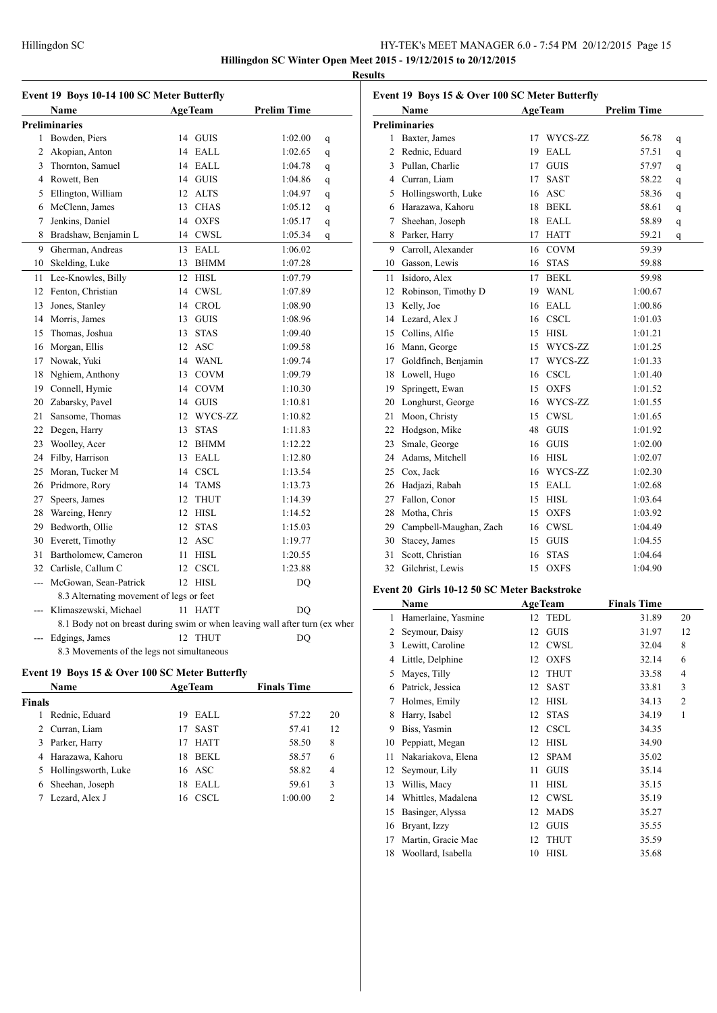**Hillingdon SC Winter Open Meet 2015 - 19/12/2015 to 20/12/2015 Results**

|              | Event 19 Boys 10-14 100 SC Meter Butterfly                                  |    |                |                    |   | Event 19        |            |
|--------------|-----------------------------------------------------------------------------|----|----------------|--------------------|---|-----------------|------------|
|              | Name                                                                        |    | <b>AgeTeam</b> | <b>Prelim Time</b> |   |                 | Na         |
|              | <b>Preliminaries</b>                                                        |    |                |                    |   | Prelimin        |            |
| $\mathbf{1}$ | Bowden, Piers                                                               |    | 14 GUIS        | 1:02.00            | q | 1               | Ba         |
| 2            | Akopian, Anton                                                              |    | 14 EALL        | 1:02.65            | q | 2               | Re         |
|              | 3 Thornton, Samuel                                                          |    | 14 EALL        | 1:04.78            | q |                 | 3 Pul      |
|              | 4 Rowett, Ben                                                               |    | 14 GUIS        | 1:04.86            | q | 4               | Cu         |
|              | 5 Ellington, William                                                        |    | 12 ALTS        | 1:04.97            | q | 5               | Ho         |
|              | 6 McClenn, James                                                            |    | 13 CHAS        | 1:05.12            | q | 6               | Ha         |
| 7            | Jenkins, Daniel                                                             |    | 14 OXFS        | 1:05.17            | q | 7               | <b>Sho</b> |
| 8            | Bradshaw, Benjamin L                                                        |    | 14 CWSL        | 1:05.34            | q | 8               | Par        |
| 9            | Gherman, Andreas                                                            | 13 | EALL           | 1:06.02            |   | 9               | Ca         |
|              | 10 Skelding, Luke                                                           |    | 13 BHMM        | 1:07.28            |   | 10              | Ga         |
| 11           | Lee-Knowles, Billy                                                          | 12 | <b>HISL</b>    | 1:07.79            |   | 11              | Isio       |
|              | 12 Fenton, Christian                                                        | 14 | <b>CWSL</b>    | 1:07.89            |   | 12              | Ro         |
| 13           | Jones, Stanley                                                              |    | 14 CROL        | 1:08.90            |   | 13              | Ke         |
|              | 14 Morris, James                                                            |    | 13 GUIS        | 1:08.96            |   | 14              | Le:        |
|              | 15 Thomas, Joshua                                                           | 13 | <b>STAS</b>    | 1:09.40            |   | 15              | Co         |
|              | 16 Morgan, Ellis                                                            |    | 12 ASC         | 1:09.58            |   | 16              | Ma         |
|              | 17 Nowak, Yuki                                                              |    | 14 WANL        | 1:09.74            |   | 17              | Go         |
|              | 18 Nghiem, Anthony                                                          | 13 | <b>COVM</b>    | 1:09.79            |   | 18              | Lo         |
|              | 19 Connell, Hymie                                                           |    | 14 COVM        | 1:10.30            |   | 19              | Spi        |
|              | 20 Zabarsky, Pavel                                                          | 14 | GUIS           | 1:10.81            |   |                 | 20 Lo:     |
| 21           | Sansome, Thomas                                                             | 12 | WYCS-ZZ        | 1:10.82            |   | 21              | Mo         |
|              | 22 Degen, Harry                                                             | 13 | <b>STAS</b>    | 1:11.83            |   | 22              | Ho         |
|              | 23 Woolley, Acer                                                            |    | 12 BHMM        | 1:12.22            |   | 23              | Sm         |
|              | 24 Filby, Harrison                                                          |    | 13 EALL        | 1:12.80            |   | 24              | Ad         |
|              | 25 Moran, Tucker M                                                          |    | 14 CSCL        | 1:13.54            |   | 25              | Co         |
|              | 26 Pridmore, Rory                                                           |    | 14 TAMS        | 1:13.73            |   | 26              | Ha         |
| 27           | Speers, James                                                               | 12 | <b>THUT</b>    | 1:14.39            |   | 27              | Fal        |
|              | 28 Wareing, Henry                                                           |    | 12 HISL        | 1:14.52            |   | 28              | Mo         |
|              | 29 Bedworth, Ollie                                                          |    | 12 STAS        | 1:15.03            |   |                 | 29 Ca      |
|              | 30 Everett, Timothy                                                         |    | 12 ASC         | 1:19.77            |   | 30              | Sta        |
| 31           | Bartholomew, Cameron                                                        | 11 | <b>HISL</b>    | 1:20.55            |   | 31              | Sco        |
|              | 32 Carlisle, Callum C                                                       |    | 12 CSCL        | 1:23.88            |   | 32              | Gil        |
| $---$        | McGowan, Sean-Patrick                                                       |    | 12 HISL        | DQ                 |   |                 |            |
|              | 8.3 Alternating movement of legs or feet                                    |    |                |                    |   | <b>Event 20</b> |            |
|              | Klimaszewski, Michael                                                       |    | 11 HATT        | D <sub>O</sub>     |   |                 | Na         |
|              | 8.1 Body not on breast during swim or when leaving wall after turn (ex when |    |                |                    |   | $\mathbf{1}$    | Ha         |
| ---          | Edgings, James                                                              |    | 12 THUT        | DQ                 |   | 2               | Sey        |
|              | 8.3 Movements of the legs not simultaneous                                  |    |                |                    |   |                 | $3$ Lev    |

# **Event 19 Boys 15 & Over 100 SC Meter Butterfly**

|               | Name                  |    | <b>AgeTeam</b> | <b>Finals Time</b> |    |
|---------------|-----------------------|----|----------------|--------------------|----|
| <b>Finals</b> |                       |    |                |                    |    |
|               | Rednic, Eduard        | 19 | EALL           | 57.22              | 20 |
|               | Curran, Liam          | 17 | <b>SAST</b>    | 57.41              | 12 |
| 3.            | Parker, Harry         | 17 | <b>HATT</b>    | 58.50              | 8  |
|               | 4 Harazawa, Kahoru    | 18 | BEKL           | 58.57              | 6  |
|               | 5 Hollingsworth, Luke |    | 16 ASC         | 58.82              | 4  |
| 6             | Sheehan, Joseph       | 18 | EALL           | 59.61              | 3  |
|               | Lezard, Alex J        | 16 | CSCL.          | 1:00.00            | C  |

| <b>Preliminaries</b><br>Baxter, James<br>17<br>WYCS-ZZ<br>1<br><b>EALL</b><br>Rednic, Eduard<br>2<br>19<br>3 Pullan, Charlie<br>17<br><b>GUIS</b><br>4 Curran, Liam<br><b>SAST</b><br>17<br>Hollingsworth, Luke<br>16 ASC<br>5<br>Harazawa, Kahoru<br>18<br>BEKL<br>6<br>Sheehan, Joseph<br>EALL<br>18<br>7<br>8 Parker, Harry<br><b>HATT</b><br>17<br>Carroll, Alexander<br><b>COVM</b><br>9<br>16<br>10 Gasson, Lewis<br>16<br><b>STAS</b><br>Isidoro, Alex<br><b>BEKL</b><br>11<br>17<br>Robinson, Timothy D<br><b>WANL</b><br>12<br>19<br>13 Kelly, Joe<br>$16$ EALL<br>14 Lezard, Alex J<br>16 CSCL<br>15 Collins, Alfie<br>15 HISL<br>16 Mann, George<br>15 WYCS-ZZ<br>17 Goldfinch, Benjamin<br>WYCS-ZZ<br>17<br>18 Lowell, Hugo<br><b>CSCL</b><br>16<br>19<br>Springett, Ewan<br>15<br><b>OXFS</b><br>16 WYCS-ZZ<br>20<br>Longhurst, George<br>21<br>Moon, Christy<br><b>CWSL</b><br>15<br>22 Hodgson, Mike<br>48<br><b>GUIS</b><br>23<br>Smale, George<br>16 GUIS<br>24 Adams, Mitchell<br>16 HISL<br>Cox, Jack<br>25<br>16 WYCS-ZZ | 56.78<br>q<br>57.51<br>q<br>57.97<br>q<br>58.22<br>q |
|----------------------------------------------------------------------------------------------------------------------------------------------------------------------------------------------------------------------------------------------------------------------------------------------------------------------------------------------------------------------------------------------------------------------------------------------------------------------------------------------------------------------------------------------------------------------------------------------------------------------------------------------------------------------------------------------------------------------------------------------------------------------------------------------------------------------------------------------------------------------------------------------------------------------------------------------------------------------------------------------------------------------------------------------|------------------------------------------------------|
|                                                                                                                                                                                                                                                                                                                                                                                                                                                                                                                                                                                                                                                                                                                                                                                                                                                                                                                                                                                                                                              |                                                      |
|                                                                                                                                                                                                                                                                                                                                                                                                                                                                                                                                                                                                                                                                                                                                                                                                                                                                                                                                                                                                                                              |                                                      |
|                                                                                                                                                                                                                                                                                                                                                                                                                                                                                                                                                                                                                                                                                                                                                                                                                                                                                                                                                                                                                                              |                                                      |
|                                                                                                                                                                                                                                                                                                                                                                                                                                                                                                                                                                                                                                                                                                                                                                                                                                                                                                                                                                                                                                              |                                                      |
|                                                                                                                                                                                                                                                                                                                                                                                                                                                                                                                                                                                                                                                                                                                                                                                                                                                                                                                                                                                                                                              |                                                      |
|                                                                                                                                                                                                                                                                                                                                                                                                                                                                                                                                                                                                                                                                                                                                                                                                                                                                                                                                                                                                                                              | 58.36<br>q                                           |
|                                                                                                                                                                                                                                                                                                                                                                                                                                                                                                                                                                                                                                                                                                                                                                                                                                                                                                                                                                                                                                              | 58.61<br>q                                           |
|                                                                                                                                                                                                                                                                                                                                                                                                                                                                                                                                                                                                                                                                                                                                                                                                                                                                                                                                                                                                                                              | 58.89<br>q                                           |
|                                                                                                                                                                                                                                                                                                                                                                                                                                                                                                                                                                                                                                                                                                                                                                                                                                                                                                                                                                                                                                              | 59.21<br>q                                           |
|                                                                                                                                                                                                                                                                                                                                                                                                                                                                                                                                                                                                                                                                                                                                                                                                                                                                                                                                                                                                                                              | 59.39                                                |
|                                                                                                                                                                                                                                                                                                                                                                                                                                                                                                                                                                                                                                                                                                                                                                                                                                                                                                                                                                                                                                              | 59.88                                                |
|                                                                                                                                                                                                                                                                                                                                                                                                                                                                                                                                                                                                                                                                                                                                                                                                                                                                                                                                                                                                                                              | 59.98                                                |
|                                                                                                                                                                                                                                                                                                                                                                                                                                                                                                                                                                                                                                                                                                                                                                                                                                                                                                                                                                                                                                              | 1:00.67                                              |
|                                                                                                                                                                                                                                                                                                                                                                                                                                                                                                                                                                                                                                                                                                                                                                                                                                                                                                                                                                                                                                              | 1:00.86                                              |
|                                                                                                                                                                                                                                                                                                                                                                                                                                                                                                                                                                                                                                                                                                                                                                                                                                                                                                                                                                                                                                              | 1:01.03                                              |
|                                                                                                                                                                                                                                                                                                                                                                                                                                                                                                                                                                                                                                                                                                                                                                                                                                                                                                                                                                                                                                              | 1:01.21                                              |
|                                                                                                                                                                                                                                                                                                                                                                                                                                                                                                                                                                                                                                                                                                                                                                                                                                                                                                                                                                                                                                              | 1:01.25                                              |
|                                                                                                                                                                                                                                                                                                                                                                                                                                                                                                                                                                                                                                                                                                                                                                                                                                                                                                                                                                                                                                              | 1:01.33                                              |
|                                                                                                                                                                                                                                                                                                                                                                                                                                                                                                                                                                                                                                                                                                                                                                                                                                                                                                                                                                                                                                              | 1:01.40                                              |
|                                                                                                                                                                                                                                                                                                                                                                                                                                                                                                                                                                                                                                                                                                                                                                                                                                                                                                                                                                                                                                              | 1:01.52                                              |
|                                                                                                                                                                                                                                                                                                                                                                                                                                                                                                                                                                                                                                                                                                                                                                                                                                                                                                                                                                                                                                              | 1:01.55                                              |
|                                                                                                                                                                                                                                                                                                                                                                                                                                                                                                                                                                                                                                                                                                                                                                                                                                                                                                                                                                                                                                              | 1:01.65                                              |
|                                                                                                                                                                                                                                                                                                                                                                                                                                                                                                                                                                                                                                                                                                                                                                                                                                                                                                                                                                                                                                              | 1:01.92                                              |
|                                                                                                                                                                                                                                                                                                                                                                                                                                                                                                                                                                                                                                                                                                                                                                                                                                                                                                                                                                                                                                              | 1:02.00                                              |
|                                                                                                                                                                                                                                                                                                                                                                                                                                                                                                                                                                                                                                                                                                                                                                                                                                                                                                                                                                                                                                              | 1:02.07                                              |
|                                                                                                                                                                                                                                                                                                                                                                                                                                                                                                                                                                                                                                                                                                                                                                                                                                                                                                                                                                                                                                              | 1:02.30                                              |
| EALL<br>26<br>Hadjazi, Rabah<br>15                                                                                                                                                                                                                                                                                                                                                                                                                                                                                                                                                                                                                                                                                                                                                                                                                                                                                                                                                                                                           | 1:02.68                                              |
| Fallon, Conor<br>HISL<br>27<br>15                                                                                                                                                                                                                                                                                                                                                                                                                                                                                                                                                                                                                                                                                                                                                                                                                                                                                                                                                                                                            | 1:03.64                                              |
| Motha, Chris<br><b>OXFS</b><br>28<br>15                                                                                                                                                                                                                                                                                                                                                                                                                                                                                                                                                                                                                                                                                                                                                                                                                                                                                                                                                                                                      |                                                      |
| <b>CWSL</b><br>29<br>Campbell-Maughan, Zach<br>16                                                                                                                                                                                                                                                                                                                                                                                                                                                                                                                                                                                                                                                                                                                                                                                                                                                                                                                                                                                            | 1:03.92                                              |
| <b>GUIS</b><br>30<br>Stacey, James<br>15                                                                                                                                                                                                                                                                                                                                                                                                                                                                                                                                                                                                                                                                                                                                                                                                                                                                                                                                                                                                     | 1:04.49                                              |
| 31<br>Scott, Christian<br><b>STAS</b><br>16                                                                                                                                                                                                                                                                                                                                                                                                                                                                                                                                                                                                                                                                                                                                                                                                                                                                                                                                                                                                  | 1:04.55                                              |
| 32<br>Gilchrist, Lewis<br><b>OXFS</b><br>15<br>1:04.90                                                                                                                                                                                                                                                                                                                                                                                                                                                                                                                                                                                                                                                                                                                                                                                                                                                                                                                                                                                       | 1:04.64                                              |

# **Event 20 Girls 10-12 50 SC Meter Backstroke**

|    | Name                |    | <b>AgeTeam</b> | <b>Finals Time</b> |                |
|----|---------------------|----|----------------|--------------------|----------------|
| 1  | Hamerlaine, Yasmine | 12 | <b>TEDL</b>    | 31.89              | 20             |
| 2  | Seymour, Daisy      | 12 | <b>GUIS</b>    | 31.97              | 12             |
| 3  | Lewitt, Caroline    | 12 | <b>CWSL</b>    | 32.04              | 8              |
| 4  | Little, Delphine    | 12 | <b>OXFS</b>    | 32.14              | 6              |
| 5  | Mayes, Tilly        | 12 | <b>THUT</b>    | 33.58              | 4              |
| 6  | Patrick, Jessica    | 12 | <b>SAST</b>    | 33.81              | 3              |
| 7  | Holmes, Emily       | 12 | <b>HISL</b>    | 34.13              | $\overline{2}$ |
| 8  | Harry, Isabel       | 12 | <b>STAS</b>    | 34.19              | 1              |
| 9  | Biss, Yasmin        | 12 | <b>CSCL</b>    | 34.35              |                |
| 10 | Peppiatt, Megan     | 12 | <b>HISL</b>    | 34.90              |                |
| 11 | Nakariakova, Elena  | 12 | <b>SPAM</b>    | 35.02              |                |
| 12 | Seymour, Lily       | 11 | <b>GUIS</b>    | 35.14              |                |
| 13 | Willis, Macy        | 11 | <b>HISL</b>    | 35.15              |                |
| 14 | Whittles, Madalena  | 12 | <b>CWSL</b>    | 35.19              |                |
| 15 | Basinger, Alyssa    | 12 | <b>MADS</b>    | 35.27              |                |
| 16 | Bryant, Izzy        | 12 | <b>GUIS</b>    | 35.55              |                |
| 17 | Martin, Gracie Mae  | 12 | <b>THUT</b>    | 35.59              |                |
| 18 | Woollard, Isabella  | 10 | <b>HISL</b>    | 35.68              |                |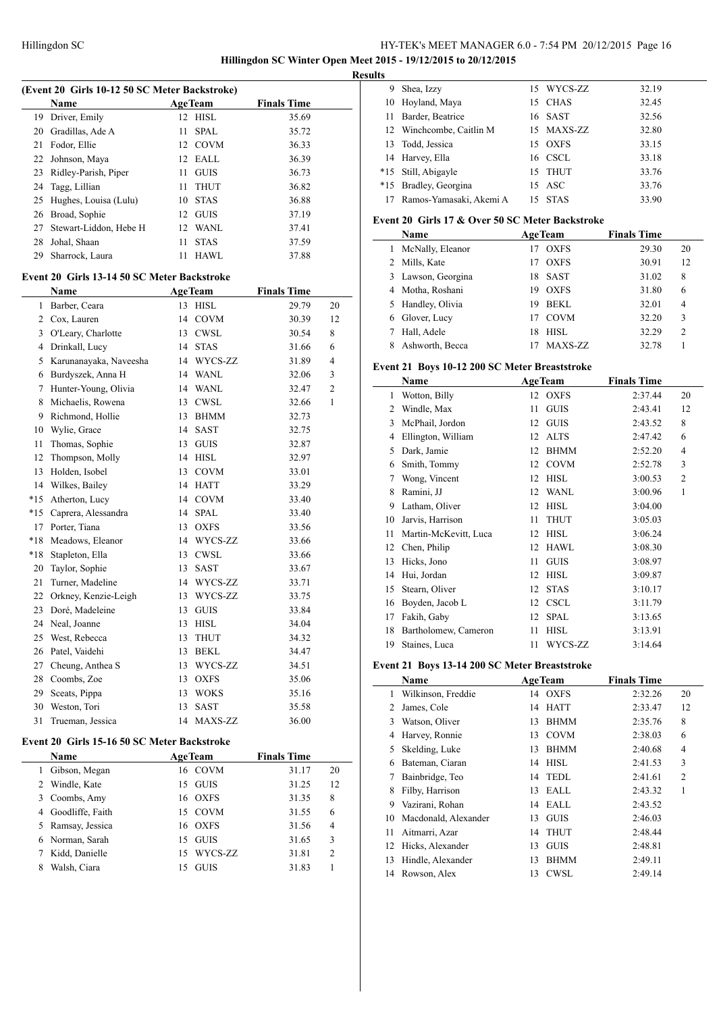**Hillingdon SC Winter Open Meet 2015 - 19/12/2015 to 20/12/2015 Results**

| (Event 20 Girls 10-12 50 SC Meter Backstroke) |                                             |    |                |                    |    |  |  |  |
|-----------------------------------------------|---------------------------------------------|----|----------------|--------------------|----|--|--|--|
|                                               | Name                                        |    | <b>AgeTeam</b> | <b>Finals Time</b> |    |  |  |  |
| 19                                            | Driver, Emily                               | 12 | <b>HISL</b>    | 35.69              |    |  |  |  |
|                                               | 20 Gradillas, Ade A                         | 11 | <b>SPAL</b>    | 35.72              |    |  |  |  |
| 21                                            | Fodor, Ellie                                | 12 | <b>COVM</b>    | 36.33              |    |  |  |  |
| 22                                            | Johnson, Maya                               | 12 | EALL           | 36.39              |    |  |  |  |
| 23                                            | Ridley-Parish, Piper                        | 11 | <b>GUIS</b>    | 36.73              |    |  |  |  |
| 24                                            | Tagg, Lillian                               | 11 | <b>THUT</b>    | 36.82              |    |  |  |  |
| 25                                            | Hughes, Louisa (Lulu)                       | 10 | <b>STAS</b>    | 36.88              |    |  |  |  |
| 26                                            | Broad, Sophie                               | 12 | <b>GUIS</b>    | 37.19              |    |  |  |  |
| 27                                            | Stewart-Liddon, Hebe H                      | 12 | WANL           | 37.41              |    |  |  |  |
| 28                                            | Johal, Shaan                                | 11 | <b>STAS</b>    | 37.59              |    |  |  |  |
| 29                                            | Sharrock, Laura                             | 11 | <b>HAWL</b>    | 37.88              |    |  |  |  |
|                                               | Event 20 Girls 13-14 50 SC Meter Backstroke |    |                |                    |    |  |  |  |
|                                               | Name                                        |    | <b>AgeTeam</b> | <b>Finals Time</b> |    |  |  |  |
| 1                                             | Barber, Ceara                               | 13 | <b>HISL</b>    | 29.79              | 20 |  |  |  |
|                                               | 2 Cox, Lauren                               | 14 | <b>COVM</b>    | 30.39              | 12 |  |  |  |
| 3                                             | O'Leary, Charlotte                          |    | 13 CWSL        | 30.54              | 8  |  |  |  |
| 4                                             | Drinkall, Lucy                              | 14 | <b>STAS</b>    | 31.66              | 6  |  |  |  |
| 5                                             | Karunanayaka, Naveesha                      |    | 14 WYCS-ZZ     | 31.89              | 4  |  |  |  |
| 6                                             | Burdyszek, Anna H                           | 14 | <b>WANL</b>    | 32.06              | 3  |  |  |  |
| 7                                             | Hunter-Young, Olivia                        |    | 14 WANL        | 32.47              | 2  |  |  |  |
| 8                                             | Michaelis, Rowena                           | 13 | <b>CWSL</b>    | 32.66              | 1  |  |  |  |
| 9                                             | Richmond, Hollie                            | 13 | <b>BHMM</b>    | 32.73              |    |  |  |  |
| 10                                            | Wylie, Grace                                | 14 | <b>SAST</b>    | 32.75              |    |  |  |  |
| 11                                            | Thomas, Sophie                              | 13 | <b>GUIS</b>    | 32.87              |    |  |  |  |
| 12                                            | Thompson, Molly                             | 14 | HISL           | 32.97              |    |  |  |  |
| 13                                            | Holden, Isobel                              | 13 | <b>COVM</b>    | 33.01              |    |  |  |  |
| 14                                            | Wilkes, Bailey                              | 14 | <b>HATT</b>    | 33.29              |    |  |  |  |
| $*15$                                         | Atherton, Lucy                              | 14 | <b>COVM</b>    | 33.40              |    |  |  |  |
| $*15$                                         | Caprera, Alessandra                         | 14 | <b>SPAL</b>    | 33.40              |    |  |  |  |
| 17                                            | Porter, Tiana                               | 13 | <b>OXFS</b>    | 33.56              |    |  |  |  |
| $*18$                                         | Meadows, Eleanor                            | 14 | WYCS-ZZ        | 33.66              |    |  |  |  |
| $*18$                                         | Stapleton, Ella                             | 13 | <b>CWSL</b>    | 33.66              |    |  |  |  |
| 20                                            | Taylor, Sophie                              | 13 | SAST           | 33.67              |    |  |  |  |
| 21                                            | Turner, Madeline                            |    | 14 WYCS-ZZ     | 33.71              |    |  |  |  |
| 22                                            | Orkney, Kenzie-Leigh                        | 13 | WYCS-ZZ        | 33.75              |    |  |  |  |
| 23                                            | Doré, Madeleine                             | 13 | <b>GUIS</b>    | 33.84              |    |  |  |  |
|                                               | 24 Neal, Joanne                             | 13 | ${\rm HISL}$   | 34.04              |    |  |  |  |
| 25                                            | West, Rebecca                               | 13 | THUT           | 34.32              |    |  |  |  |
| 26                                            | Patel, Vaidehi                              | 13 | <b>BEKL</b>    | 34.47              |    |  |  |  |
| 27                                            | Cheung, Anthea S                            | 13 | WYCS-ZZ        | 34.51              |    |  |  |  |
| 28                                            | Coombs, Zoe                                 | 13 | <b>OXFS</b>    | 35.06              |    |  |  |  |
| 29                                            | Sceats, Pippa                               | 13 | <b>WOKS</b>    | 35.16              |    |  |  |  |
| 30                                            | Weston, Tori                                | 13 | SAST           | 35.58              |    |  |  |  |
| 31                                            | Trueman, Jessica                            | 14 | MAXS-ZZ        | 36.00              |    |  |  |  |
|                                               |                                             |    |                |                    |    |  |  |  |

### **Event 20 Girls 15-16 50 SC Meter Backstroke**

|   | <b>Name</b>       | <b>AgeTeam</b> |             | <b>Finals Time</b> |       |                |
|---|-------------------|----------------|-------------|--------------------|-------|----------------|
|   | Gibson, Megan     |                | 16 COVM     |                    | 31.17 | 20             |
|   | 2 Windle, Kate    | 15             | <b>GUIS</b> |                    | 31.25 | 12             |
|   | 3 Coombs, Amy     | 16             | <b>OXFS</b> |                    | 31.35 | 8              |
| 4 | Goodliffe, Faith  |                | 15 COVM     |                    | 31.55 | 6              |
|   | 5 Ramsay, Jessica |                | 16 OXFS     |                    | 31.56 | $\overline{4}$ |
|   | 6 Norman, Sarah   | 15             | GUIS        |                    | 31.65 | 3              |
|   | Kidd, Danielle    |                | 15 WYCS-ZZ  |                    | 31.81 | $\overline{c}$ |
|   | Walsh, Ciara      | 15             | <b>GUIS</b> |                    | 31.83 |                |

| 9. | Shea, Izzy                 |    | 15 WYCS-ZZ  | 32.19 |
|----|----------------------------|----|-------------|-------|
|    | 10 Hoyland, Maya           |    | 15 CHAS     | 32.45 |
| 11 | Barder, Beatrice           |    | 16 SAST     | 32.56 |
|    | 12 Winchcombe, Caitlin M   |    | 15 MAXS-ZZ  | 32.80 |
|    | 13 Todd, Jessica           | 15 | <b>OXFS</b> | 33.15 |
|    | 14 Harvey, Ella            |    | 16 CSCL     | 33.18 |
|    | *15 Still, Abigayle        |    | 15 THUT     | 33.76 |
|    | *15 Bradley, Georgina      |    | 15 ASC      | 33.76 |
|    | 17 Ramos-Yamasaki, Akemi A | 15 | STAS        | 33.90 |

# **Event 20 Girls 17 & Over 50 SC Meter Backstroke**

|   | <b>Name</b>        |    | <b>AgeTeam</b> | <b>Finals Time</b> |                |
|---|--------------------|----|----------------|--------------------|----------------|
|   | McNally, Eleanor   |    | <b>OXFS</b>    | 29.30              | 20             |
|   | 2 Mills, Kate      |    | <b>OXFS</b>    | 30.91              | 12             |
|   | 3 Lawson, Georgina | 18 | <b>SAST</b>    | 31.02              | 8              |
|   | 4 Motha, Roshani   | 19 | <b>OXFS</b>    | 31.80              | 6              |
|   | 5 Handley, Olivia  | 19 | <b>BEKL</b>    | 32.01              | 4              |
| 6 | Glover, Lucy       |    | COVM           | 32.20              | 3              |
|   | Hall, Adele        | 18 | HISL.          | 32.29              | $\overline{c}$ |
|   | Ashworth, Becca    |    | MAXS-ZZ        | 32.78              |                |

### **Event 21 Boys 10-12 200 SC Meter Breaststroke**

|    | Name                  | <b>AgeTeam</b>    | <b>Finals Time</b> |                |
|----|-----------------------|-------------------|--------------------|----------------|
| 1  | Wotton, Billy         | <b>OXFS</b><br>12 | 2:37.44            | 20             |
| 2  | Windle, Max           | <b>GUIS</b><br>11 | 2:43.41            | 12             |
| 3  | McPhail, Jordon       | <b>GUIS</b><br>12 | 2:43.52            | 8              |
| 4  | Ellington, William    | <b>ALTS</b><br>12 | 2:47.42            | 6              |
| 5  | Dark, Jamie           | <b>BHMM</b><br>12 | 2:52.20            | 4              |
| 6  | Smith, Tommy          | <b>COVM</b><br>12 | 2:52.78            | 3              |
| 7  | Wong, Vincent         | <b>HISL</b><br>12 | 3:00.53            | $\overline{2}$ |
| 8  | Ramini, JJ            | <b>WANL</b><br>12 | 3:00.96            | 1              |
| 9  | Latham, Oliver        | <b>HISL</b><br>12 | 3:04.00            |                |
| 10 | Jarvis, Harrison      | <b>THUT</b><br>11 | 3:05.03            |                |
| 11 | Martin-McKevitt, Luca | <b>HISL</b><br>12 | 3:06.24            |                |
| 12 | Chen, Philip          | <b>HAWL</b><br>12 | 3:08.30            |                |
| 13 | Hicks, Jono           | <b>GUIS</b><br>11 | 3:08.97            |                |
| 14 | Hui, Jordan           | <b>HISL</b><br>12 | 3:09.87            |                |
| 15 | Stearn, Oliver        | <b>STAS</b><br>12 | 3:10.17            |                |
| 16 | Boyden, Jacob L       | <b>CSCL</b><br>12 | 3:11.79            |                |
| 17 | Fakih, Gaby           | <b>SPAL</b><br>12 | 3:13.65            |                |
| 18 | Bartholomew, Cameron  | <b>HISL</b><br>11 | 3:13.91            |                |
| 19 | Staines, Luca         | WYCS-ZZ<br>11     | 3:14.64            |                |

# **Event 21 Boys 13-14 200 SC Meter Breaststroke**

| Name |                      |    | <b>AgeTeam</b> | <b>Finals Time</b> |                |
|------|----------------------|----|----------------|--------------------|----------------|
| 1    | Wilkinson, Freddie   |    | 14 OXFS        | 2:32.26            | 20             |
| 2    | James, Cole          | 14 | <b>HATT</b>    | 2:33.47            | 12             |
| 3    | Watson, Oliver       | 13 | BHMM           | 2:35.76            | 8              |
| 4    | Harvey, Ronnie       | 13 | <b>COVM</b>    | 2:38.03            | 6              |
| 5.   | Skelding, Luke       | 13 | BHMM           | 2:40.68            | 4              |
| 6    | Bateman, Ciaran      | 14 | HISL           | 2:41.53            | 3              |
| 7    | Bainbridge, Teo      |    | 14 TEDL        | 2:41.61            | $\overline{c}$ |
| 8    | Filby, Harrison      | 13 | EALL           | 2:43.32            |                |
| 9    | Vazirani, Rohan      |    | 14 EALL        | 2:43.52            |                |
| 10   | Macdonald, Alexander | 13 | <b>GUIS</b>    | 2:46.03            |                |
| 11   | Aitmarri, Azar       | 14 | <b>THUT</b>    | 2:48.44            |                |
| 12   | Hicks, Alexander     | 13 | <b>GUIS</b>    | 2:48.81            |                |
| 13   | Hindle, Alexander    | 13 | <b>BHMM</b>    | 2:49.11            |                |
| 14   | Rowson, Alex         | 13 | <b>CWSL</b>    | 2:49.14            |                |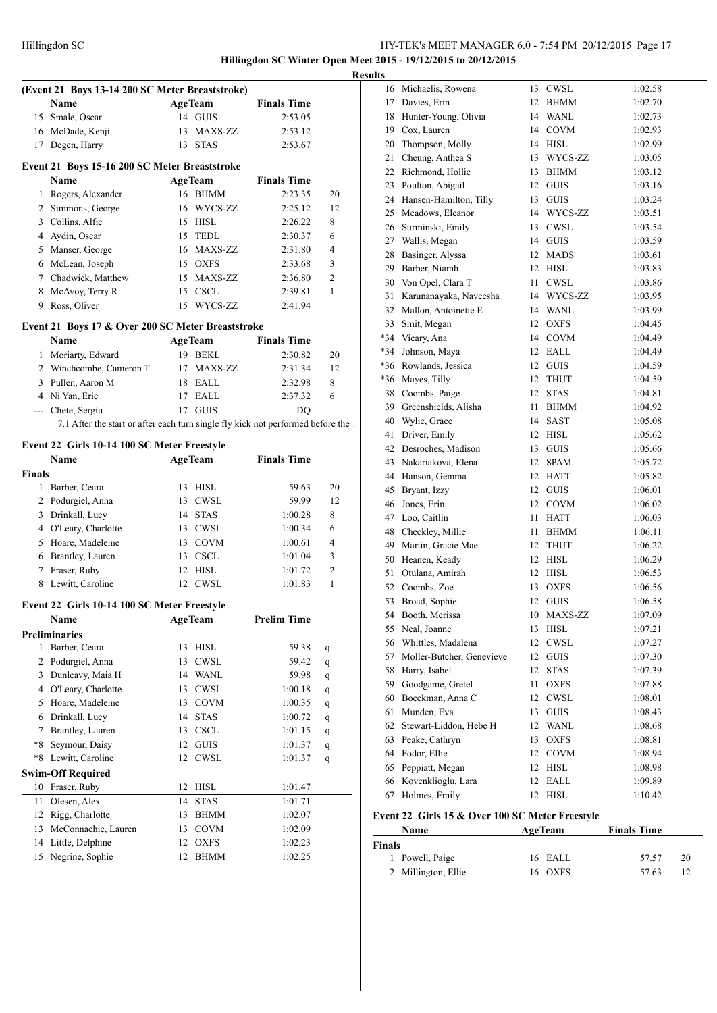**Hillingdon SC Winter Open Meet 2015 - 19/12/2015 to 20/12/2015 Results**

|               | (Event 21 Boys 13-14 200 SC Meter Breaststroke)                                   |    |                    |                    |              |
|---------------|-----------------------------------------------------------------------------------|----|--------------------|--------------------|--------------|
|               | <b>Name</b>                                                                       |    | <b>AgeTeam</b>     | <b>Finals Time</b> |              |
| 15            | Smale, Oscar                                                                      |    | 14 GUIS            | 2:53.05            |              |
|               | 16 McDade, Kenji                                                                  |    | 13 MAXS-ZZ         | 2:53.12            |              |
|               | 17 Degen, Harry                                                                   |    | 13 STAS            | 2:53.67            |              |
|               | Event 21 Boys 15-16 200 SC Meter Breaststroke                                     |    |                    |                    |              |
|               | Name                                                                              |    | <b>AgeTeam</b>     | <b>Finals Time</b> |              |
|               | 1 Rogers, Alexander                                                               |    | 16 BHMM            | 2:23.35            | 20           |
|               | 2 Simmons, George                                                                 |    | 16 WYCS-ZZ         | 2:25.12            | 12           |
|               | 3 Collins, Alfie                                                                  |    | 15 HISL            | 2:26.22            | 8            |
|               | 4 Aydin, Oscar                                                                    |    | 15 TEDL            | 2:30.37            | 6            |
|               | 5 Manser, George                                                                  |    | 16 MAXS-ZZ         | 2:31.80            | 4            |
|               | 6 McLean, Joseph                                                                  |    | 15 OXFS            | 2:33.68            | 3            |
|               | 7 Chadwick, Matthew                                                               |    | 15 MAXS-ZZ         | 2:36.80            | 2            |
|               | 8 McAvoy, Terry R                                                                 |    | 15 CSCL            | 2:39.81            | 1            |
|               | 9 Ross, Oliver                                                                    |    | 15 WYCS-ZZ         | 2:41.94            |              |
|               |                                                                                   |    |                    |                    |              |
|               | Event 21 Boys 17 & Over 200 SC Meter Breaststroke<br>Name                         |    | AgeTeam            | <b>Finals Time</b> |              |
|               | 1 Moriarty, Edward                                                                |    | 19 BEKL            | 2:30.82            | 20           |
|               | 2 Winchcombe, Cameron T                                                           |    | 17 MAXS-ZZ         | 2:31.34            | 12           |
|               | 3 Pullen, Aaron M                                                                 |    | 18 EALL            | 2:32.98            | 8            |
|               |                                                                                   |    |                    |                    | 6            |
|               | 4 Ni Yan, Eric<br>--- Chete, Sergiu                                               |    | 17 EALL<br>17 GUIS | 2:37.32            |              |
|               |                                                                                   |    |                    | DQ                 |              |
|               | 7.1 After the start or after each turn single fly kick not performed before the 1 |    |                    |                    |              |
|               | Event 22 Girls 10-14 100 SC Meter Freestyle                                       |    |                    |                    |              |
|               | Name                                                                              |    | AgeTeam            | <b>Finals Time</b> |              |
| <b>Finals</b> |                                                                                   |    |                    |                    |              |
|               | 1 Barber, Ceara                                                                   |    | 13 HISL            | 59.63              | 20           |
|               | 2 Podurgiel, Anna                                                                 |    | 13 CWSL            | 59.99              | 12           |
|               | 3 Drinkall, Lucy                                                                  |    | 14 STAS            | 1:00.28            | 8            |
|               | 4 O'Leary, Charlotte                                                              |    | 13 CWSL            | 1:00.34            | 6            |
|               | 5 Hoare, Madeleine                                                                |    | 13 COVM            | 1:00.61            | 4            |
|               | 6 Brantley, Lauren                                                                |    | 13 CSCL            | 1:01.04            | 3            |
|               | 7 Fraser, Ruby                                                                    |    | 12 HISL            | 1:01.72            | 2            |
| 8             | Lewitt, Caroline                                                                  |    | 12 CWSL            | 1:01.83            | $\mathbf{1}$ |
|               | Event 22 Girls 10-14 100 SC Meter Freestyle                                       |    |                    |                    |              |
|               | <b>Name</b>                                                                       |    | AgeTeam            | <b>Prelim Time</b> |              |
|               | Preliminaries                                                                     |    |                    |                    |              |
| 1             | Barber, Ceara                                                                     | 13 | <b>HISL</b>        | 59.38              | q            |
| 2             | Podurgiel, Anna                                                                   | 13 | ${\rm CWSL}$       | 59.42              | q            |
| 3             | Dunleavy, Maia H                                                                  |    | 14 WANL            | 59.98              | q            |
| 4             | O'Leary, Charlotte                                                                | 13 | <b>CWSL</b>        | 1:00.18            | q            |
| 5             | Hoare, Madeleine                                                                  | 13 | COVM               | 1:00.35            | q            |
| 6             | Drinkall, Lucy                                                                    | 14 | <b>STAS</b>        | 1:00.72            | q            |
| 7             | Brantley, Lauren                                                                  | 13 | <b>CSCL</b>        | 1:01.15            | q            |
| $*8$          | Seymour, Daisy                                                                    |    | 12 GUIS            | 1:01.37            | q            |
| *8            | Lewitt, Caroline                                                                  |    | 12 CWSL            | 1:01.37            | q            |
|               | <b>Swim-Off Required</b>                                                          |    |                    |                    |              |
| 10            | Fraser, Ruby                                                                      | 12 | ${\rm HISL}$       | 1:01.47            |              |
| 11            | Olesen, Alex                                                                      | 14 | $\rm STAS$         | 1:01.71            |              |
| 12            | Rigg, Charlotte                                                                   | 13 | <b>BHMM</b>        | 1:02.07            |              |
| 13            | McConnachie, Lauren                                                               | 13 | <b>COVM</b>        | 1:02.09            |              |
| 14            | Little, Delphine                                                                  |    | 12 OXFS            | 1:02.23            |              |
|               | 15 Negrine, Sophie                                                                |    | 12 BHMM            | 1:02.25            |              |
|               |                                                                                   |    |                    |                    |              |

| IJ    |                           |    |                              |         |
|-------|---------------------------|----|------------------------------|---------|
|       | 16 Michaelis, Rowena      | 13 | CWSL                         | 1:02.58 |
|       | 17 Davies, Erin           | 12 | BHMM                         | 1:02.70 |
|       | 18 Hunter-Young, Olivia   | 14 | <b>WANL</b>                  | 1:02.73 |
|       | 19 Cox, Lauren            | 14 | $\rm COVM$                   | 1:02.93 |
| 20    | Thompson, Molly           | 14 | HISL                         | 1:02.99 |
| 21    | Cheung, Anthea S          | 13 | WYCS-ZZ                      | 1:03.05 |
| 22    | Richmond, Hollie          | 13 | <b>BHMM</b>                  | 1:03.12 |
|       | 23 Poulton, Abigail       | 12 | <b>GUIS</b>                  | 1:03.16 |
| 24    | Hansen-Hamilton, Tilly    | 13 | <b>GUIS</b>                  | 1:03.24 |
| 25    | Meadows, Eleanor          | 14 | WYCS-ZZ                      | 1:03.51 |
| 26    | Surminski, Emily          | 13 | $\ensuremath{\mathrm{CWSL}}$ | 1:03.54 |
|       | 27 Wallis, Megan          | 14 | <b>GUIS</b>                  | 1:03.59 |
| 28    | Basinger, Alyssa          | 12 | <b>MADS</b>                  | 1:03.61 |
| 29    | Barber, Niamh             | 12 | HISL                         | 1:03.83 |
| 30    | Von Opel, Clara T         | 11 | CWSL                         | 1:03.86 |
| 31    | Karunanayaka, Naveesha    | 14 | WYCS-ZZ                      | 1:03.95 |
| 32    | Mallon, Antoinette E      | 14 | WANL                         | 1:03.99 |
| 33    | Smit, Megan               | 12 | <b>OXFS</b>                  | 1:04.45 |
|       | *34 Vicary, Ana           | 14 | <b>COVM</b>                  | 1:04.49 |
| $*34$ | Johnson, Maya             | 12 | EALL                         | 1:04.49 |
|       | *36 Rowlands, Jessica     | 12 | <b>GUIS</b>                  | 1:04.59 |
|       | *36 Mayes, Tilly          | 12 | <b>THUT</b>                  | 1:04.59 |
|       | 38 Coombs, Paige          | 12 | <b>STAS</b>                  | 1:04.81 |
|       | 39 Greenshields, Alisha   | 11 | BHMM                         | 1:04.92 |
|       | 40 Wylie, Grace           | 14 | <b>SAST</b>                  | 1:05.08 |
| 41    | Driver, Emily             | 12 | HISL                         | 1:05.62 |
|       | 42 Desroches, Madison     | 13 | <b>GUIS</b>                  | 1:05.66 |
| 43    | Nakariakova, Elena        | 12 | SPAM                         | 1:05.72 |
|       | 44 Hanson, Gemma          | 12 | HATT                         | 1:05.82 |
| 45    | Bryant, Izzy              | 12 | <b>GUIS</b>                  | 1:06.01 |
| 46    | Jones, Erin               | 12 | <b>COVM</b>                  | 1:06.02 |
| 47    | Loo, Caitlin              | 11 | HATT                         | 1:06.03 |
| 48    | Checkley, Millie          | 11 | BHMM                         | 1:06.11 |
| 49    | Martin, Gracie Mae        | 12 | <b>THUT</b>                  | 1:06.22 |
|       | 50 Heanen, Keady          | 12 | HISL                         | 1:06.29 |
| 51    | Otulana, Amirah           | 12 | HISL                         | 1:06.53 |
|       | 52 Coombs, Zoe            | 13 | <b>OXFS</b>                  | 1:06.56 |
| 53    | Broad, Sophie             | 12 | GUIS                         | 1:06.58 |
|       | 54 Booth, Merissa         |    | 10 MAXS-ZZ                   | 1:07.09 |
|       | 55 Neal, Joanne           | 13 | <b>HISL</b>                  | 1:07.21 |
| 56    | Whittles, Madalena        | 12 | <b>CWSL</b>                  | 1:07.27 |
| 57    | Moller-Butcher, Genevieve | 12 | <b>GUIS</b>                  | 1:07.30 |
| 58    | Harry, Isabel             | 12 | <b>STAS</b>                  | 1:07.39 |
| 59    | Goodgame, Gretel          | 11 | <b>OXFS</b>                  | 1:07.88 |
| 60    | Boeckman, Anna C          | 12 | CWSL                         | 1:08.01 |
| 61    | Munden, Eva               | 13 | <b>GUIS</b>                  | 1:08.43 |
| 62    | Stewart-Liddon, Hebe H    | 12 | WANL                         | 1:08.68 |
| 63    | Peake, Cathryn            | 13 | <b>OXFS</b>                  | 1:08.81 |
| 64    | Fodor, Ellie              | 12 | <b>COVM</b>                  | 1:08.94 |
| 65    | Peppiatt, Megan           | 12 | <b>HISL</b>                  | 1:08.98 |
| 66    | Kovenklioglu, Lara        | 12 | EALL                         | 1:09.89 |
| 67    | Holmes, Emily             | 12 | <b>HISL</b>                  | 1:10.42 |
|       |                           |    |                              |         |

# **Event 22 Girls 15 & Over 100 SC Meter Freestyle**

| Name                | <b>AgeTeam</b> | <b>Finals Time</b> |    |
|---------------------|----------------|--------------------|----|
| Finals              |                |                    |    |
| 1 Powell, Paige     | 16 EALL        | 57.57              | 20 |
| 2 Millington, Ellie | 16 OXFS        | 57.63              |    |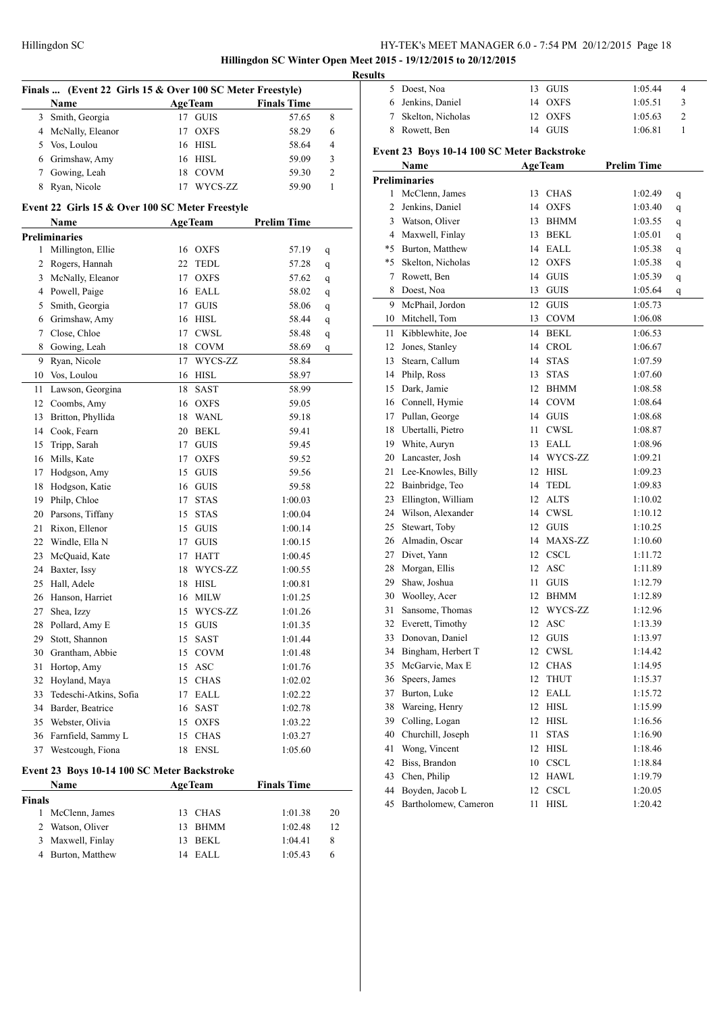**Hillingdon SC Winter Open Meet 2015 - 19/12/2015 to 20/12/2015**

|               | Name                                                    |    | Finals  (Event 22 Girls 15 & Over 100 SC Meter Freestyle)<br><b>AgeTeam</b> | <b>Finals Time</b> |    |
|---------------|---------------------------------------------------------|----|-----------------------------------------------------------------------------|--------------------|----|
| 3             | Smith, Georgia                                          | 17 | <b>GUIS</b>                                                                 | 57.65              | 8  |
| 4             | McNally, Eleanor                                        | 17 | <b>OXFS</b>                                                                 | 58.29              | 6  |
|               | 5 Vos, Loulou                                           |    | 16 HISL                                                                     | 58.64              | 4  |
|               | 6 Grimshaw, Amy                                         |    | 16 HISL                                                                     | 59.09              | 3  |
|               | 7 Gowing, Leah                                          |    | 18 COVM                                                                     | 59.30              | 2  |
|               | Ryan, Nicole                                            |    |                                                                             |                    | 1  |
| 8             |                                                         | 17 | WYCS-ZZ                                                                     | 59.90              |    |
|               | Event 22 Girls 15 & Over 100 SC Meter Freestyle<br>Name |    | <b>AgeTeam</b>                                                              | <b>Prelim Time</b> |    |
|               | <b>Preliminaries</b>                                    |    |                                                                             |                    |    |
| 1             | Millington, Ellie                                       |    | 16 OXFS                                                                     | 57.19              | q  |
| 2             | Rogers, Hannah                                          | 22 | <b>TEDL</b>                                                                 | 57.28              | q  |
| 3             | McNally, Eleanor                                        | 17 | <b>OXFS</b>                                                                 | 57.62              | q  |
| 4             | Powell, Paige                                           |    | 16 EALL                                                                     | 58.02              | q  |
| 5             | Smith, Georgia                                          |    | 17 GUIS                                                                     | 58.06              | q  |
| 6             | Grimshaw, Amy                                           |    | 16 HISL                                                                     | 58.44              | q  |
| 7             | Close, Chloe                                            |    | 17 CWSL                                                                     | 58.48              | q  |
| 8             | Gowing, Leah                                            |    | 18 COVM                                                                     | 58.69              | q  |
| 9             | Ryan, Nicole                                            | 17 | WYCS-ZZ                                                                     | 58.84              |    |
| 10            | Vos, Loulou                                             |    | 16 HISL                                                                     | 58.97              |    |
| 11            | Lawson, Georgina                                        | 18 | SAST                                                                        | 58.99              |    |
| 12            | Coombs, Amy                                             | 16 | <b>OXFS</b>                                                                 | 59.05              |    |
| 13            | Britton, Phyllida                                       |    | 18 WANL                                                                     | 59.18              |    |
| 14            | Cook, Fearn                                             | 20 | <b>BEKL</b>                                                                 | 59.41              |    |
|               | Tripp, Sarah                                            | 17 | <b>GUIS</b>                                                                 | 59.45              |    |
| 15            | Mills, Kate                                             |    |                                                                             |                    |    |
| 16            |                                                         | 17 | <b>OXFS</b>                                                                 | 59.52              |    |
| 17            | Hodgson, Amy                                            | 15 | <b>GUIS</b>                                                                 | 59.56              |    |
| 18            | Hodgson, Katie                                          |    | 16 GUIS                                                                     | 59.58              |    |
| 19            | Philp, Chloe                                            | 17 | <b>STAS</b>                                                                 | 1:00.03            |    |
| 20            | Parsons, Tiffany                                        |    | 15 STAS                                                                     | 1:00.04            |    |
| 21            | Rixon, Ellenor                                          |    | 15 GUIS                                                                     | 1:00.14            |    |
| 22            | Windle, Ella N                                          |    | 17 GUIS                                                                     | 1:00.15            |    |
| 23            | McQuaid, Kate                                           |    | 17 HATT                                                                     | 1:00.45            |    |
| 24            | Baxter, Issy                                            | 18 | WYCS-ZZ                                                                     | 1:00.55            |    |
| 25            | Hall, Adele                                             | 18 | <b>HISL</b>                                                                 | 1:00.81            |    |
| 26            | Hanson, Harriet                                         | 16 | <b>MILW</b>                                                                 | 1:01.25            |    |
| 27            | Shea, Izzy                                              | 15 | WYCS-ZZ                                                                     | 1:01.26            |    |
| 28            | Pollard, Amy E                                          | 15 | GUIS                                                                        | 1:01.35            |    |
| 29            | Stott, Shannon                                          | 15 | SAST                                                                        | 1:01.44            |    |
| 30            | Grantham, Abbie                                         | 15 | <b>COVM</b>                                                                 | 1:01.48            |    |
| 31            | Hortop, Amy                                             | 15 | <b>ASC</b>                                                                  | 1:01.76            |    |
| 32            | Hoyland, Maya                                           |    | 15 CHAS                                                                     | 1:02.02            |    |
| 33            | Tedeschi-Atkins, Sofia                                  | 17 | EALL                                                                        | 1:02.22            |    |
| 34            | Barder, Beatrice                                        | 16 | SAST                                                                        | 1:02.78            |    |
| 35            | Webster, Olivia                                         |    | 15 OXFS                                                                     | 1:03.22            |    |
| 36            | Farnfield, Sammy L                                      | 15 | $\rm CHAS$                                                                  | 1:03.27            |    |
| 37            | Westcough, Fiona                                        | 18 | <b>ENSL</b>                                                                 | 1:05.60            |    |
|               | Event 23 Boys 10-14 100 SC Meter Backstroke             |    |                                                                             |                    |    |
|               | Name                                                    |    | <b>AgeTeam</b>                                                              | <b>Finals Time</b> |    |
| <b>Finals</b> |                                                         |    |                                                                             |                    |    |
| 1             | McClenn, James                                          | 13 | <b>CHAS</b>                                                                 | 1:01.38            | 20 |
| 2             | Watson, Oliver                                          | 13 | BHMM                                                                        | 1:02.48            | 12 |
| 3             | Maxwell, Finlay                                         | 13 | BEKL                                                                        | 1:04.41            | 8  |
| 4             | Burton, Matthew                                         | 14 | EALL                                                                        | 1:05.43            | 6  |

| 5 Doest, Noa                    |                                                                                                                                                                                                                                                                                                                                                                                                                                                                                                                                                                                | 13 GUIS                                                                                      | 1:05.44                                                                                                                                                                                                                                                                                                                                                                                                                                                                                                                           | 4                                                                                                                                                                                                                                                                                                     |
|---------------------------------|--------------------------------------------------------------------------------------------------------------------------------------------------------------------------------------------------------------------------------------------------------------------------------------------------------------------------------------------------------------------------------------------------------------------------------------------------------------------------------------------------------------------------------------------------------------------------------|----------------------------------------------------------------------------------------------|-----------------------------------------------------------------------------------------------------------------------------------------------------------------------------------------------------------------------------------------------------------------------------------------------------------------------------------------------------------------------------------------------------------------------------------------------------------------------------------------------------------------------------------|-------------------------------------------------------------------------------------------------------------------------------------------------------------------------------------------------------------------------------------------------------------------------------------------------------|
| 6 Jenkins, Daniel               |                                                                                                                                                                                                                                                                                                                                                                                                                                                                                                                                                                                | 14 OXFS                                                                                      | 1:05.51                                                                                                                                                                                                                                                                                                                                                                                                                                                                                                                           | 3                                                                                                                                                                                                                                                                                                     |
| 7 Skelton, Nicholas             |                                                                                                                                                                                                                                                                                                                                                                                                                                                                                                                                                                                |                                                                                              | 1:05.63                                                                                                                                                                                                                                                                                                                                                                                                                                                                                                                           | 2                                                                                                                                                                                                                                                                                                     |
| Rowett, Ben                     |                                                                                                                                                                                                                                                                                                                                                                                                                                                                                                                                                                                |                                                                                              | 1:06.81                                                                                                                                                                                                                                                                                                                                                                                                                                                                                                                           | 1                                                                                                                                                                                                                                                                                                     |
|                                 |                                                                                                                                                                                                                                                                                                                                                                                                                                                                                                                                                                                |                                                                                              |                                                                                                                                                                                                                                                                                                                                                                                                                                                                                                                                   |                                                                                                                                                                                                                                                                                                       |
| Name                            |                                                                                                                                                                                                                                                                                                                                                                                                                                                                                                                                                                                |                                                                                              | <b>Prelim Time</b>                                                                                                                                                                                                                                                                                                                                                                                                                                                                                                                |                                                                                                                                                                                                                                                                                                       |
|                                 |                                                                                                                                                                                                                                                                                                                                                                                                                                                                                                                                                                                |                                                                                              |                                                                                                                                                                                                                                                                                                                                                                                                                                                                                                                                   |                                                                                                                                                                                                                                                                                                       |
|                                 |                                                                                                                                                                                                                                                                                                                                                                                                                                                                                                                                                                                |                                                                                              |                                                                                                                                                                                                                                                                                                                                                                                                                                                                                                                                   | q                                                                                                                                                                                                                                                                                                     |
|                                 | 14                                                                                                                                                                                                                                                                                                                                                                                                                                                                                                                                                                             | <b>OXFS</b>                                                                                  |                                                                                                                                                                                                                                                                                                                                                                                                                                                                                                                                   | q                                                                                                                                                                                                                                                                                                     |
|                                 |                                                                                                                                                                                                                                                                                                                                                                                                                                                                                                                                                                                |                                                                                              |                                                                                                                                                                                                                                                                                                                                                                                                                                                                                                                                   | q                                                                                                                                                                                                                                                                                                     |
|                                 |                                                                                                                                                                                                                                                                                                                                                                                                                                                                                                                                                                                |                                                                                              |                                                                                                                                                                                                                                                                                                                                                                                                                                                                                                                                   | q                                                                                                                                                                                                                                                                                                     |
|                                 |                                                                                                                                                                                                                                                                                                                                                                                                                                                                                                                                                                                |                                                                                              |                                                                                                                                                                                                                                                                                                                                                                                                                                                                                                                                   | q                                                                                                                                                                                                                                                                                                     |
|                                 |                                                                                                                                                                                                                                                                                                                                                                                                                                                                                                                                                                                |                                                                                              |                                                                                                                                                                                                                                                                                                                                                                                                                                                                                                                                   | q                                                                                                                                                                                                                                                                                                     |
|                                 |                                                                                                                                                                                                                                                                                                                                                                                                                                                                                                                                                                                |                                                                                              |                                                                                                                                                                                                                                                                                                                                                                                                                                                                                                                                   |                                                                                                                                                                                                                                                                                                       |
|                                 |                                                                                                                                                                                                                                                                                                                                                                                                                                                                                                                                                                                |                                                                                              |                                                                                                                                                                                                                                                                                                                                                                                                                                                                                                                                   | q                                                                                                                                                                                                                                                                                                     |
|                                 |                                                                                                                                                                                                                                                                                                                                                                                                                                                                                                                                                                                |                                                                                              |                                                                                                                                                                                                                                                                                                                                                                                                                                                                                                                                   | q                                                                                                                                                                                                                                                                                                     |
|                                 |                                                                                                                                                                                                                                                                                                                                                                                                                                                                                                                                                                                |                                                                                              |                                                                                                                                                                                                                                                                                                                                                                                                                                                                                                                                   |                                                                                                                                                                                                                                                                                                       |
|                                 |                                                                                                                                                                                                                                                                                                                                                                                                                                                                                                                                                                                |                                                                                              |                                                                                                                                                                                                                                                                                                                                                                                                                                                                                                                                   |                                                                                                                                                                                                                                                                                                       |
|                                 |                                                                                                                                                                                                                                                                                                                                                                                                                                                                                                                                                                                |                                                                                              |                                                                                                                                                                                                                                                                                                                                                                                                                                                                                                                                   |                                                                                                                                                                                                                                                                                                       |
|                                 |                                                                                                                                                                                                                                                                                                                                                                                                                                                                                                                                                                                |                                                                                              |                                                                                                                                                                                                                                                                                                                                                                                                                                                                                                                                   |                                                                                                                                                                                                                                                                                                       |
|                                 |                                                                                                                                                                                                                                                                                                                                                                                                                                                                                                                                                                                |                                                                                              |                                                                                                                                                                                                                                                                                                                                                                                                                                                                                                                                   |                                                                                                                                                                                                                                                                                                       |
|                                 |                                                                                                                                                                                                                                                                                                                                                                                                                                                                                                                                                                                |                                                                                              |                                                                                                                                                                                                                                                                                                                                                                                                                                                                                                                                   |                                                                                                                                                                                                                                                                                                       |
|                                 |                                                                                                                                                                                                                                                                                                                                                                                                                                                                                                                                                                                |                                                                                              |                                                                                                                                                                                                                                                                                                                                                                                                                                                                                                                                   |                                                                                                                                                                                                                                                                                                       |
|                                 |                                                                                                                                                                                                                                                                                                                                                                                                                                                                                                                                                                                |                                                                                              |                                                                                                                                                                                                                                                                                                                                                                                                                                                                                                                                   |                                                                                                                                                                                                                                                                                                       |
| Pullan, George                  |                                                                                                                                                                                                                                                                                                                                                                                                                                                                                                                                                                                |                                                                                              | 1:08.68                                                                                                                                                                                                                                                                                                                                                                                                                                                                                                                           |                                                                                                                                                                                                                                                                                                       |
| 18 Ubertalli, Pietro            | 11                                                                                                                                                                                                                                                                                                                                                                                                                                                                                                                                                                             | CWSL                                                                                         | 1:08.87                                                                                                                                                                                                                                                                                                                                                                                                                                                                                                                           |                                                                                                                                                                                                                                                                                                       |
| 19 White, Auryn                 |                                                                                                                                                                                                                                                                                                                                                                                                                                                                                                                                                                                |                                                                                              | 1:08.96                                                                                                                                                                                                                                                                                                                                                                                                                                                                                                                           |                                                                                                                                                                                                                                                                                                       |
| Lancaster, Josh                 |                                                                                                                                                                                                                                                                                                                                                                                                                                                                                                                                                                                |                                                                                              | 1:09.21                                                                                                                                                                                                                                                                                                                                                                                                                                                                                                                           |                                                                                                                                                                                                                                                                                                       |
| Lee-Knowles, Billy              |                                                                                                                                                                                                                                                                                                                                                                                                                                                                                                                                                                                |                                                                                              | 1:09.23                                                                                                                                                                                                                                                                                                                                                                                                                                                                                                                           |                                                                                                                                                                                                                                                                                                       |
| 22 Bainbridge, Teo              | 14                                                                                                                                                                                                                                                                                                                                                                                                                                                                                                                                                                             |                                                                                              | 1:09.83                                                                                                                                                                                                                                                                                                                                                                                                                                                                                                                           |                                                                                                                                                                                                                                                                                                       |
| Ellington, William              |                                                                                                                                                                                                                                                                                                                                                                                                                                                                                                                                                                                |                                                                                              | 1:10.02                                                                                                                                                                                                                                                                                                                                                                                                                                                                                                                           |                                                                                                                                                                                                                                                                                                       |
| 24 Wilson, Alexander            |                                                                                                                                                                                                                                                                                                                                                                                                                                                                                                                                                                                |                                                                                              | 1:10.12                                                                                                                                                                                                                                                                                                                                                                                                                                                                                                                           |                                                                                                                                                                                                                                                                                                       |
| Stewart, Toby                   |                                                                                                                                                                                                                                                                                                                                                                                                                                                                                                                                                                                |                                                                                              | 1:10.25                                                                                                                                                                                                                                                                                                                                                                                                                                                                                                                           |                                                                                                                                                                                                                                                                                                       |
| Almadin, Oscar                  |                                                                                                                                                                                                                                                                                                                                                                                                                                                                                                                                                                                |                                                                                              | 1:10.60                                                                                                                                                                                                                                                                                                                                                                                                                                                                                                                           |                                                                                                                                                                                                                                                                                                       |
|                                 |                                                                                                                                                                                                                                                                                                                                                                                                                                                                                                                                                                                |                                                                                              | 1:11.72                                                                                                                                                                                                                                                                                                                                                                                                                                                                                                                           |                                                                                                                                                                                                                                                                                                       |
|                                 |                                                                                                                                                                                                                                                                                                                                                                                                                                                                                                                                                                                | <b>ASC</b>                                                                                   |                                                                                                                                                                                                                                                                                                                                                                                                                                                                                                                                   |                                                                                                                                                                                                                                                                                                       |
|                                 | 11                                                                                                                                                                                                                                                                                                                                                                                                                                                                                                                                                                             |                                                                                              |                                                                                                                                                                                                                                                                                                                                                                                                                                                                                                                                   |                                                                                                                                                                                                                                                                                                       |
|                                 | 12                                                                                                                                                                                                                                                                                                                                                                                                                                                                                                                                                                             |                                                                                              | 1:12.89                                                                                                                                                                                                                                                                                                                                                                                                                                                                                                                           |                                                                                                                                                                                                                                                                                                       |
|                                 |                                                                                                                                                                                                                                                                                                                                                                                                                                                                                                                                                                                |                                                                                              |                                                                                                                                                                                                                                                                                                                                                                                                                                                                                                                                   |                                                                                                                                                                                                                                                                                                       |
|                                 | 12                                                                                                                                                                                                                                                                                                                                                                                                                                                                                                                                                                             |                                                                                              |                                                                                                                                                                                                                                                                                                                                                                                                                                                                                                                                   |                                                                                                                                                                                                                                                                                                       |
|                                 |                                                                                                                                                                                                                                                                                                                                                                                                                                                                                                                                                                                |                                                                                              |                                                                                                                                                                                                                                                                                                                                                                                                                                                                                                                                   |                                                                                                                                                                                                                                                                                                       |
|                                 |                                                                                                                                                                                                                                                                                                                                                                                                                                                                                                                                                                                |                                                                                              |                                                                                                                                                                                                                                                                                                                                                                                                                                                                                                                                   |                                                                                                                                                                                                                                                                                                       |
|                                 |                                                                                                                                                                                                                                                                                                                                                                                                                                                                                                                                                                                |                                                                                              |                                                                                                                                                                                                                                                                                                                                                                                                                                                                                                                                   |                                                                                                                                                                                                                                                                                                       |
|                                 |                                                                                                                                                                                                                                                                                                                                                                                                                                                                                                                                                                                |                                                                                              |                                                                                                                                                                                                                                                                                                                                                                                                                                                                                                                                   |                                                                                                                                                                                                                                                                                                       |
|                                 |                                                                                                                                                                                                                                                                                                                                                                                                                                                                                                                                                                                |                                                                                              |                                                                                                                                                                                                                                                                                                                                                                                                                                                                                                                                   |                                                                                                                                                                                                                                                                                                       |
|                                 |                                                                                                                                                                                                                                                                                                                                                                                                                                                                                                                                                                                |                                                                                              |                                                                                                                                                                                                                                                                                                                                                                                                                                                                                                                                   |                                                                                                                                                                                                                                                                                                       |
|                                 |                                                                                                                                                                                                                                                                                                                                                                                                                                                                                                                                                                                |                                                                                              |                                                                                                                                                                                                                                                                                                                                                                                                                                                                                                                                   |                                                                                                                                                                                                                                                                                                       |
|                                 |                                                                                                                                                                                                                                                                                                                                                                                                                                                                                                                                                                                |                                                                                              |                                                                                                                                                                                                                                                                                                                                                                                                                                                                                                                                   |                                                                                                                                                                                                                                                                                                       |
| Churchill, Joseph               | 11                                                                                                                                                                                                                                                                                                                                                                                                                                                                                                                                                                             | <b>STAS</b>                                                                                  | 1:16.90                                                                                                                                                                                                                                                                                                                                                                                                                                                                                                                           |                                                                                                                                                                                                                                                                                                       |
| Wong, Vincent                   | 12                                                                                                                                                                                                                                                                                                                                                                                                                                                                                                                                                                             | HISL                                                                                         | 1:18.46                                                                                                                                                                                                                                                                                                                                                                                                                                                                                                                           |                                                                                                                                                                                                                                                                                                       |
|                                 |                                                                                                                                                                                                                                                                                                                                                                                                                                                                                                                                                                                |                                                                                              |                                                                                                                                                                                                                                                                                                                                                                                                                                                                                                                                   |                                                                                                                                                                                                                                                                                                       |
| Biss, Brandon                   | 10                                                                                                                                                                                                                                                                                                                                                                                                                                                                                                                                                                             | <b>CSCL</b>                                                                                  | 1:18.84                                                                                                                                                                                                                                                                                                                                                                                                                                                                                                                           |                                                                                                                                                                                                                                                                                                       |
| Chen, Philip<br>Boyden, Jacob L | 12<br>12                                                                                                                                                                                                                                                                                                                                                                                                                                                                                                                                                                       | <b>HAWL</b><br><b>CSCL</b>                                                                   | 1:19.79<br>1:20.05                                                                                                                                                                                                                                                                                                                                                                                                                                                                                                                |                                                                                                                                                                                                                                                                                                       |
|                                 | <b>Preliminaries</b><br>McClenn, James<br>Jenkins, Daniel<br>3 Watson, Oliver<br>4 Maxwell, Finlay<br>*5 Burton, Matthew<br>*5 Skelton, Nicholas<br>Rowett, Ben<br>Doest, Noa<br>McPhail, Jordon<br>10 Mitchell, Tom<br>Kibblewhite, Joe<br>Jones, Stanley<br>Stearn, Callum<br>Philp, Ross<br>Dark, Jamie<br>16 Connell, Hymie<br>27 Divet, Yann<br>Morgan, Ellis<br>Shaw, Joshua<br>30 Woolley, Acer<br>Sansome, Thomas<br>Everett, Timothy<br>Donovan, Daniel<br>Bingham, Herbert T<br>McGarvie, Max E<br>Speers, James<br>Burton, Luke<br>Wareing, Henry<br>Colling, Logan | 13<br>13<br>13<br>13<br>14<br>14<br>14<br>13<br>12<br>12<br>12<br>12<br>12<br>12<br>12<br>12 | 12 OXFS<br>14 GUIS<br>Event 23 Boys 10-14 100 SC Meter Backstroke<br><b>AgeTeam</b><br><b>CHAS</b><br><b>BHMM</b><br><b>BEKL</b><br>14 EALL<br>12 OXFS<br>14 GUIS<br><b>GUIS</b><br>12 GUIS<br>13 COVM<br>BEKL<br><b>CROL</b><br><b>STAS</b><br><b>STAS</b><br><b>BHMM</b><br>12<br>14 COVM<br>14 GUIS<br>13 EALL<br>14 WYCS-ZZ<br>12 HISL<br>TEDL<br>12 ALTS<br>14 CWSL<br>12 GUIS<br>14 MAXS-ZZ<br>12 CSCL<br>12<br><b>GUIS</b><br>BHMM<br>WYCS-ZZ<br>ASC<br>GUIS<br>CWSL<br>CHAS<br><b>THUT</b><br>EALL<br>HISL<br><b>HISL</b> | 1:02.49<br>1:03.40<br>1:03.55<br>1:05.01<br>1:05.38<br>1:05.38<br>1:05.39<br>1:05.64<br>1:05.73<br>1:06.08<br>1:06.53<br>1:06.67<br>1:07.59<br>1:07.60<br>1:08.58<br>1:08.64<br>1:11.89<br>1:12.79<br>1:12.96<br>1:13.39<br>1:13.97<br>1:14.42<br>1:14.95<br>1:15.37<br>1:15.72<br>1:15.99<br>1:16.56 |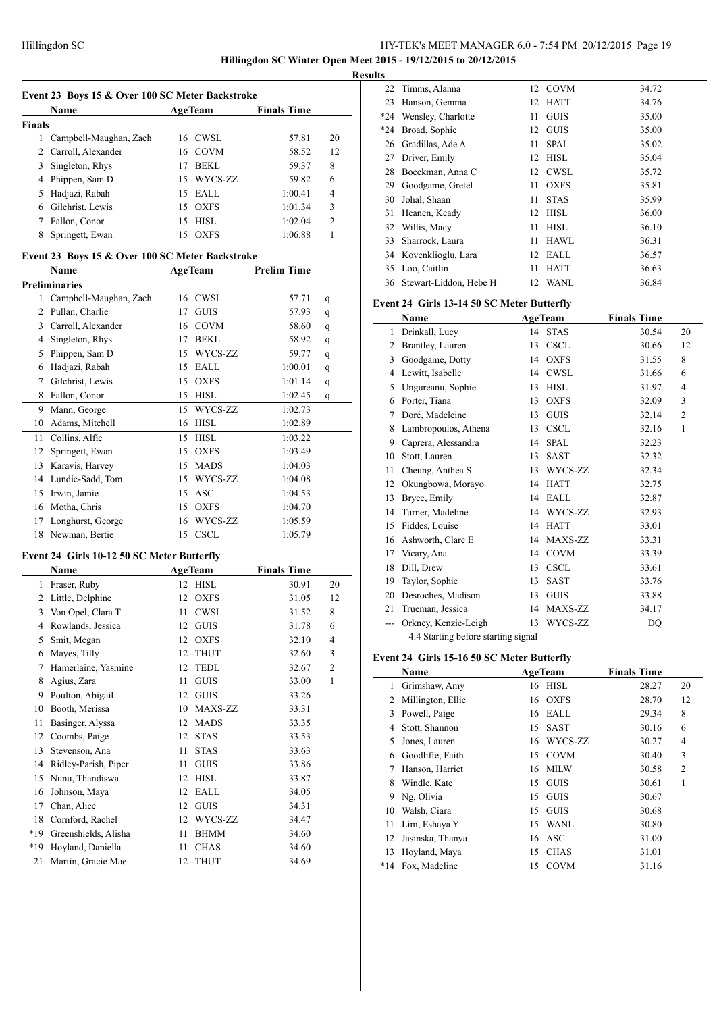**Hillingdon SC Winter Open Meet 2015 - 19/12/2015 to 20/12/2015 Results**

 $\overline{\phantom{a}}$ 

| Event 23 Boys 15 & Over 100 SC Meter Backstroke<br><b>AgeTeam</b><br><b>Finals Time</b><br>Name |                                            |         |                |                    |                          |  |  |  |  |
|-------------------------------------------------------------------------------------------------|--------------------------------------------|---------|----------------|--------------------|--------------------------|--|--|--|--|
| <b>Finals</b>                                                                                   |                                            |         |                |                    |                          |  |  |  |  |
| 1                                                                                               | Campbell-Maughan, Zach                     |         | 16 CWSL        | 57.81              | 20                       |  |  |  |  |
|                                                                                                 | 2 Carroll, Alexander                       |         | 16 COVM        | 58.52              | 12                       |  |  |  |  |
| 3                                                                                               | Singleton, Rhys                            |         | 17 BEKL        | 59.37              | 8                        |  |  |  |  |
| 4                                                                                               | Phippen, Sam D                             |         | 15 WYCS-ZZ     | 59.82              | 6                        |  |  |  |  |
| 5                                                                                               | Hadjazi, Rabah                             |         | 15 EALL        | 1:00.41            | 4                        |  |  |  |  |
|                                                                                                 | 6 Gilchrist, Lewis                         |         | 15 OXFS        | 1:01.34            | 3                        |  |  |  |  |
|                                                                                                 | 7 Fallon, Conor                            | 15      | <b>HISL</b>    | 1:02.04            | 2                        |  |  |  |  |
| 8                                                                                               | Springett, Ewan                            | 15      | <b>OXFS</b>    | 1:06.88            | 1                        |  |  |  |  |
|                                                                                                 |                                            |         |                |                    |                          |  |  |  |  |
| Event 23 Boys 15 & Over 100 SC Meter Backstroke<br><b>AgeTeam</b><br><b>Prelim Time</b><br>Name |                                            |         |                |                    |                          |  |  |  |  |
|                                                                                                 | <b>Preliminaries</b>                       |         |                |                    |                          |  |  |  |  |
| 1                                                                                               | Campbell-Maughan, Zach                     |         | 16 CWSL        | 57.71              | q                        |  |  |  |  |
|                                                                                                 | 2 Pullan, Charlie                          | 17      | <b>GUIS</b>    | 57.93              | q                        |  |  |  |  |
| 3                                                                                               | Carroll, Alexander                         |         | 16 COVM        | 58.60              | q                        |  |  |  |  |
|                                                                                                 | 4 Singleton, Rhys                          |         | 17 BEKL        | 58.92              | q                        |  |  |  |  |
| 5                                                                                               | Phippen, Sam D                             |         | 15 WYCS-ZZ     | 59.77              | q                        |  |  |  |  |
|                                                                                                 | 6 Hadjazi, Rabah                           |         | 15 EALL        | 1:00.01            | q                        |  |  |  |  |
| $\tau$                                                                                          | Gilchrist, Lewis                           |         | 15 OXFS        | 1:01.14            | q                        |  |  |  |  |
| 8                                                                                               | Fallon, Conor                              |         | 15 HISL        | 1:02.45            | q                        |  |  |  |  |
| 9                                                                                               | Mann, George                               | 15      | WYCS-ZZ        | 1:02.73            |                          |  |  |  |  |
| 10                                                                                              | Adams, Mitchell                            |         | 16 HISL        | 1:02.89            |                          |  |  |  |  |
| 11                                                                                              | Collins, Alfie                             | 15      | <b>HISL</b>    | 1:03.22            |                          |  |  |  |  |
| 12                                                                                              | Springett, Ewan                            | 15      | <b>OXFS</b>    | 1:03.49            |                          |  |  |  |  |
| 13                                                                                              | Karavis, Harvey                            |         | 15 MADS        | 1:04.03            |                          |  |  |  |  |
| 14                                                                                              | Lundie-Sadd, Tom                           |         | 15 WYCS-ZZ     | 1:04.08            |                          |  |  |  |  |
| 15                                                                                              | Irwin, Jamie                               |         | 15 ASC         | 1:04.53            |                          |  |  |  |  |
| 16                                                                                              | Motha, Chris                               |         | 15 OXFS        | 1:04.70            |                          |  |  |  |  |
| 17                                                                                              | Longhurst, George                          |         | 16 WYCS-ZZ     | 1:05.59            |                          |  |  |  |  |
| 18                                                                                              | Newman, Bertie                             |         | 15 CSCL        | 1:05.79            |                          |  |  |  |  |
|                                                                                                 |                                            |         |                |                    |                          |  |  |  |  |
|                                                                                                 | Event 24 Girls 10-12 50 SC Meter Butterfly |         |                |                    |                          |  |  |  |  |
|                                                                                                 | Name                                       |         | <b>AgeTeam</b> | <b>Finals Time</b> |                          |  |  |  |  |
|                                                                                                 | 1 Fraser, Ruby                             |         | 12 HISL        | 30.91              | 20                       |  |  |  |  |
| 2                                                                                               | Little, Delphine                           | 12      | <b>OXFS</b>    | 31.05              | 12                       |  |  |  |  |
| 3                                                                                               | Von Opel, Clara T                          | 11      | <b>CWSL</b>    | 31.52              | 8                        |  |  |  |  |
| 4                                                                                               | Rowlands, Jessica                          | 12      | ${\rm GUIS}$   | 31.78              | 6                        |  |  |  |  |
| 5                                                                                               | Smit, Megan                                | 12      | <b>OXFS</b>    | 32.10              | $\overline{\mathcal{L}}$ |  |  |  |  |
| 6                                                                                               | Mayes, Tilly                               | 12      | <b>THUT</b>    | 32.60              | 3                        |  |  |  |  |
| 7                                                                                               | Hamerlaine, Yasmine                        | 12      | <b>TEDL</b>    | 32.67              | $\boldsymbol{2}$         |  |  |  |  |
| 8                                                                                               | Agius, Zara                                | 11      | GUIS           | 33.00              | 1                        |  |  |  |  |
| 9                                                                                               | Poulton, Abigail                           | 12      | <b>GUIS</b>    | 33.26              |                          |  |  |  |  |
| 10                                                                                              | Booth, Merissa                             | 10      | MAXS-ZZ        | 33.31              |                          |  |  |  |  |
| 11                                                                                              | Basinger, Alyssa                           | 12      | <b>MADS</b>    | 33.35              |                          |  |  |  |  |
| 12                                                                                              | Coombs, Paige                              | 12      | <b>STAS</b>    | 33.53              |                          |  |  |  |  |
| 13                                                                                              | Stevenson, Ana                             | 11      | STAS           | 33.63              |                          |  |  |  |  |
| 14                                                                                              | Ridley-Parish, Piper                       | 11      | <b>GUIS</b>    | 33.86              |                          |  |  |  |  |
| 15                                                                                              | Nunu, Thandiswa                            | 12      | HISL           | 33.87              |                          |  |  |  |  |
| 16                                                                                              | Johnson, Maya                              | 12      | EALL           | 34.05              |                          |  |  |  |  |
| 17                                                                                              | Chan, Alice                                | $12 \,$ | <b>GUIS</b>    | 34.31              |                          |  |  |  |  |
| 18                                                                                              | Cornford, Rachel                           | 12      | WYCS-ZZ        | 34.47              |                          |  |  |  |  |
| *19                                                                                             | Greenshields, Alisha                       | 11      | BHMM           | 34.60              |                          |  |  |  |  |
| *19                                                                                             | Hoyland, Daniella                          | 11      | <b>CHAS</b>    | 34.60              |                          |  |  |  |  |
| 21                                                                                              | Martin, Gracie Mae                         | 12      | <b>THUT</b>    | 34.69              |                          |  |  |  |  |

| w     |                           |    |             |       |
|-------|---------------------------|----|-------------|-------|
|       | 22 Timms, Alanna          |    | 12 COVM     | 34.72 |
| 23    | Hanson, Gemma             | 12 | <b>HATT</b> | 34.76 |
| *24   | Wensley, Charlotte        | 11 | <b>GUIS</b> | 35.00 |
| $*24$ | Broad, Sophie             | 12 | <b>GUIS</b> | 35.00 |
| 26    | Gradillas, Ade A          | 11 | <b>SPAL</b> | 35.02 |
| 27    | Driver, Emily             | 12 | HISL        | 35.04 |
| 28    | Boeckman, Anna C          | 12 | CWSL        | 35.72 |
| 29    | Goodgame, Gretel          | 11 | <b>OXFS</b> | 35.81 |
| 30    | Johal, Shaan              | 11 | <b>STAS</b> | 35.99 |
| 31    | Heanen, Keady             | 12 | <b>HISL</b> | 36.00 |
|       | 32 Willis, Macy           | 11 | <b>HISL</b> | 36.10 |
| 33    | Sharrock, Laura           | 11 | <b>HAWL</b> | 36.31 |
|       | 34 Kovenklioglu, Lara     | 12 | EALL        | 36.57 |
|       | 35 Loo, Caitlin           | 11 | <b>HATT</b> | 36.63 |
|       | 36 Stewart-Liddon, Hebe H | 12 | <b>WANL</b> | 36.84 |

#### **Event 24 Girls 13-14 50 SC Meter Butterfly**

|    | Name                                                                                                                                                                                                                                                                                                                                                        |              | <b>AgeTeam</b> | <b>Finals Time</b> |                |
|----|-------------------------------------------------------------------------------------------------------------------------------------------------------------------------------------------------------------------------------------------------------------------------------------------------------------------------------------------------------------|--------------|----------------|--------------------|----------------|
|    |                                                                                                                                                                                                                                                                                                                                                             |              | <b>STAS</b>    |                    | 20             |
| 1  | Drinkall, Lucy                                                                                                                                                                                                                                                                                                                                              | 14           |                | 30.54              |                |
| 2  | Brantley, Lauren                                                                                                                                                                                                                                                                                                                                            | 13           | <b>CSCL</b>    | 30.66              | 12             |
| 3  | Goodgame, Dotty                                                                                                                                                                                                                                                                                                                                             | 14           | <b>OXFS</b>    | 31.55              | 8              |
| 4  | Lewitt, Isabelle                                                                                                                                                                                                                                                                                                                                            | 14           | <b>CWSL</b>    | 31.66              | 6              |
| 5  | Ungureanu, Sophie                                                                                                                                                                                                                                                                                                                                           | 13           | <b>HISL</b>    | 31.97              | $\overline{4}$ |
| 6  | Porter, Tiana                                                                                                                                                                                                                                                                                                                                               | 13           | <b>OXFS</b>    | 32.09              | 3              |
| 7  | Doré, Madeleine                                                                                                                                                                                                                                                                                                                                             | 13           | <b>GUIS</b>    | 32.14              | $\overline{2}$ |
| 8  | Lambropoulos, Athena                                                                                                                                                                                                                                                                                                                                        | 13           | <b>CSCL</b>    | 32.16              | $\mathbf{1}$   |
| 9  | Caprera, Alessandra                                                                                                                                                                                                                                                                                                                                         | 14           | <b>SPAL</b>    | 32.23              |                |
| 10 | Stott, Lauren                                                                                                                                                                                                                                                                                                                                               | 13           | <b>SAST</b>    | 32.32              |                |
| 11 | Cheung, Anthea S                                                                                                                                                                                                                                                                                                                                            | 13           | WYCS-ZZ        | 32.34              |                |
| 12 | Okungbowa, Morayo                                                                                                                                                                                                                                                                                                                                           | 14           | <b>HATT</b>    | 32.75              |                |
| 13 | Bryce, Emily                                                                                                                                                                                                                                                                                                                                                | 14           | EALL           | 32.87              |                |
| 14 | Turner, Madeline                                                                                                                                                                                                                                                                                                                                            | 14           | WYCS-ZZ        | 32.93              |                |
| 15 | Fiddes, Louise                                                                                                                                                                                                                                                                                                                                              | 14           | <b>HATT</b>    | 33.01              |                |
| 16 | Ashworth, Clare E                                                                                                                                                                                                                                                                                                                                           | 14           | MAXS-ZZ        | 33.31              |                |
| 17 | Vicary, Ana                                                                                                                                                                                                                                                                                                                                                 | 14           | <b>COVM</b>    | 33.39              |                |
| 18 | Dill, Drew                                                                                                                                                                                                                                                                                                                                                  | 13           | <b>CSCL</b>    | 33.61              |                |
| 19 | Taylor, Sophie                                                                                                                                                                                                                                                                                                                                              | 13           | SAST           | 33.76              |                |
| 20 | Desroches, Madison                                                                                                                                                                                                                                                                                                                                          | 13           | <b>GUIS</b>    | 33.88              |                |
| 21 | Trueman, Jessica                                                                                                                                                                                                                                                                                                                                            | 14           | MAXS-ZZ        | 34.17              |                |
|    | Orkney, Kenzie-Leigh                                                                                                                                                                                                                                                                                                                                        | 13           | WYCS-ZZ        | DQ                 |                |
|    | $\mathcal{A}$ $\mathcal{A}$ $\mathcal{O}$ $\mathcal{A}$ $\mathcal{A}$ $\mathcal{A}$ $\mathcal{A}$ $\mathcal{A}$ $\mathcal{A}$ $\mathcal{A}$ $\mathcal{A}$ $\mathcal{A}$ $\mathcal{A}$ $\mathcal{A}$ $\mathcal{A}$ $\mathcal{A}$ $\mathcal{A}$ $\mathcal{A}$ $\mathcal{A}$ $\mathcal{A}$ $\mathcal{A}$ $\mathcal{A}$ $\mathcal{A}$ $\mathcal{A}$ $\mathcal{$ | $\mathbf{r}$ |                |                    |                |

4.4 Starting before starting signal

### **Event 24 Girls 15-16 50 SC Meter Butterfly**

|       | Name              |    | <b>AgeTeam</b> | <b>Finals Time</b> |                |
|-------|-------------------|----|----------------|--------------------|----------------|
| 1     | Grimshaw, Amy     |    | 16 HISL        | 28.27              | 20             |
| 2     | Millington, Ellie |    | 16 OXFS        | 28.70              | 12             |
| 3     | Powell, Paige     |    | 16 EALL        | 29.34              | 8              |
| 4     | Stott, Shannon    | 15 | <b>SAST</b>    | 30.16              | 6              |
| 5     | Jones, Lauren     |    | 16 WYCS-ZZ     | 30.27              | 4              |
| 6     | Goodliffe, Faith  |    | 15 COVM        | 30.40              | 3              |
|       | Hanson, Harriet   |    | 16 MILW        | 30.58              | $\overline{2}$ |
| 8     | Windle, Kate      | 15 | <b>GUIS</b>    | 30.61              | 1              |
| 9     | Ng, Olivia        | 15 | GUIS           | 30.67              |                |
| 10    | Walsh, Ciara      | 15 | <b>GUIS</b>    | 30.68              |                |
| 11    | Lim, Eshaya Y     | 15 | WANL           | 30.80              |                |
| 12    | Jasinska, Thanya  |    | 16 ASC         | 31.00              |                |
| 13    | Hoyland, Maya     | 15 | <b>CHAS</b>    | 31.01              |                |
| $*14$ | Fox, Madeline     | 15 | <b>COVM</b>    | 31.16              |                |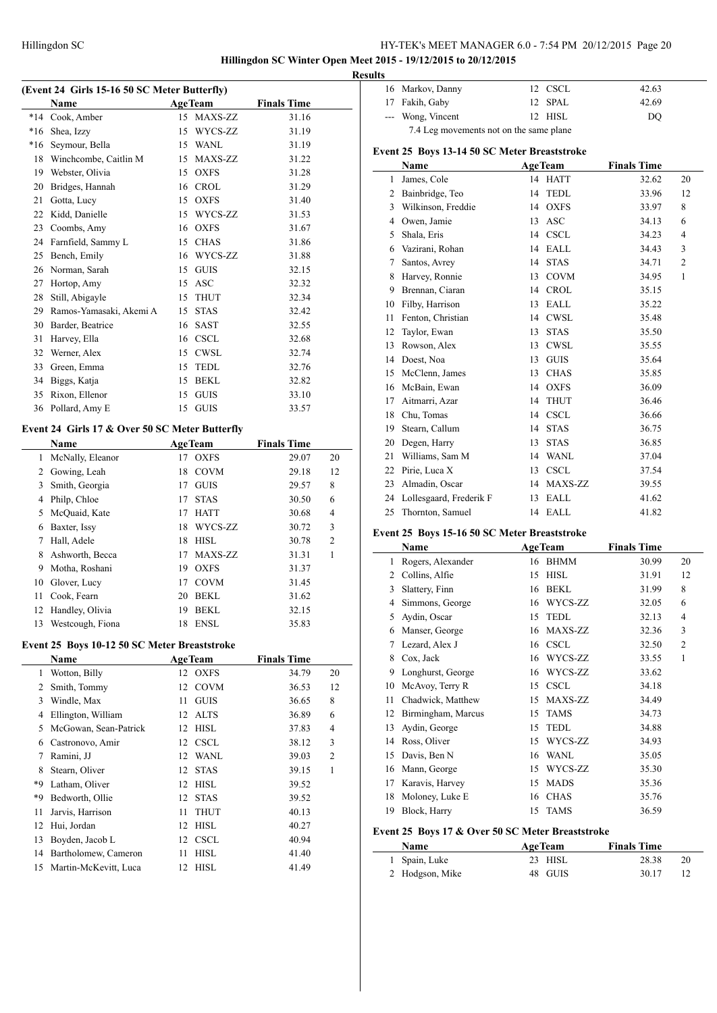**Hillingdon SC Winter Open Meet 2015 - 19/12/2015 to 20/12/2015**

 $\overline{\phantom{a}}$ 

 $\overline{a}$ 

 $\overline{a}$ 

# **(Event 24 Girls 15-16 50 SC Meter Butterfly)**

|       | Name                    | AgeTeam           | <b>Finals Time</b> |
|-------|-------------------------|-------------------|--------------------|
| $*14$ | Cook, Amber             | 15 MAXS-ZZ        | 31.16              |
| $*16$ | Shea, Izzy              | WYCS-ZZ<br>15     | 31.19              |
| $*16$ | Seymour, Bella          | WANL<br>15        | 31.19              |
| 18    | Winchcombe, Caitlin M   | MAXS-ZZ<br>15     | 31.22              |
| 19    | Webster, Olivia         | <b>OXFS</b><br>15 | 31.28              |
| 20    | Bridges, Hannah         | <b>CROL</b><br>16 | 31.29              |
| 21    | Gotta, Lucy             | <b>OXFS</b><br>15 | 31.40              |
| 22    | Kidd, Danielle          | WYCS-ZZ<br>15     | 31.53              |
| 23    | Coombs, Amy             | <b>OXFS</b><br>16 | 31.67              |
| 24    | Farnfield, Sammy L      | <b>CHAS</b><br>15 | 31.86              |
| 25    | Bench, Emily            | WYCS-ZZ<br>16     | 31.88              |
| 26    | Norman, Sarah           | <b>GUIS</b><br>15 | 32.15              |
| 27    | Hortop, Amy             | ASC<br>15         | 32.32              |
| 28    | Still, Abigayle         | <b>THUT</b><br>15 | 32.34              |
| 29    | Ramos-Yamasaki, Akemi A | <b>STAS</b><br>15 | 32.42              |
| 30    | Barder, Beatrice        | <b>SAST</b><br>16 | 32.55              |
| 31    | Harvey, Ella            | <b>CSCL</b><br>16 | 32.68              |
| 32    | Werner, Alex            | <b>CWSL</b><br>15 | 32.74              |
| 33    | Green, Emma             | <b>TEDL</b><br>15 | 32.76              |
| 34    | Biggs, Katja            | <b>BEKL</b><br>15 | 32.82              |
| 35    | Rixon, Ellenor          | <b>GUIS</b><br>15 | 33.10              |
| 36    | Pollard, Amy E          | <b>GUIS</b><br>15 | 33.57              |

# **Event 24 Girls 17 & Over 50 SC Meter Butterfly**

|    | Name             |    | <b>AgeTeam</b> | <b>Finals Time</b> |                |
|----|------------------|----|----------------|--------------------|----------------|
| 1  | McNally, Eleanor | 17 | <b>OXFS</b>    | 29.07              | 20             |
| 2  | Gowing, Leah     | 18 | <b>COVM</b>    | 29.18              | 12             |
| 3  | Smith, Georgia   | 17 | <b>GUIS</b>    | 29.57              | 8              |
| 4  | Philp, Chloe     | 17 | <b>STAS</b>    | 30.50              | 6              |
| 5  | McQuaid, Kate    | 17 | <b>HATT</b>    | 30.68              | 4              |
| 6  | Baxter, Issy     | 18 | WYCS-ZZ        | 30.72              | 3              |
| 7  | Hall, Adele      | 18 | <b>HISL</b>    | 30.78              | $\overline{2}$ |
| 8  | Ashworth, Becca  | 17 | MAXS-ZZ        | 31.31              | 1              |
| 9  | Motha, Roshani   | 19 | <b>OXFS</b>    | 31.37              |                |
| 10 | Glover, Lucy     | 17 | <b>COVM</b>    | 31.45              |                |
| 11 | Cook, Fearn      | 20 | <b>BEKL</b>    | 31.62              |                |
| 12 | Handley, Olivia  | 19 | <b>BEKL</b>    | 32.15              |                |
| 13 | Westcough, Fiona | 18 | <b>ENSL</b>    | 35.83              |                |

#### **Event 25 Boys 10-12 50 SC Meter Breaststroke**

|    | Name                  | <b>AgeTeam</b> |             | <b>Finals Time</b> |                |
|----|-----------------------|----------------|-------------|--------------------|----------------|
| 1  | Wotton, Billy         |                | 12 OXFS     | 34.79              | 20             |
| 2  | Smith, Tommy          | 12             | <b>COVM</b> | 36.53              | 12             |
| 3  | Windle, Max           | 11             | <b>GUIS</b> | 36.65              | 8              |
| 4  | Ellington, William    | 12             | ALTS        | 36.89              | 6              |
| 5  | McGowan, Sean-Patrick | 12             | <b>HISL</b> | 37.83              | 4              |
| 6  | Castronovo, Amir      |                | 12 CSCL     | 38.12              | 3              |
| 7  | Ramini, JJ            |                | 12 WANL     | 39.03              | $\overline{2}$ |
| 8  | Stearn, Oliver        | 12             | <b>STAS</b> | 39.15              | 1              |
| *9 | Latham, Oliver        | 12             | HISL        | 39.52              |                |
| *9 | Bedworth, Ollie       | 12             | STAS        | 39.52              |                |
| 11 | Jarvis, Harrison      | 11             | <b>THUT</b> | 40.13              |                |
| 12 | Hui, Jordan           | 12             | <b>HISL</b> | 40.27              |                |
| 13 | Boyden, Jacob L       |                | 12 CSCL     | 40.94              |                |
| 14 | Bartholomew, Cameron  | 11             | HISL        | 41.40              |                |
| 15 | Martin-McKevitt, Luca | 12             | HISL        | 41.49              |                |

|  | <b>Results</b> |                   |  |         |       |  |  |  |
|--|----------------|-------------------|--|---------|-------|--|--|--|
|  |                | 16 Markov, Danny  |  | 12 CSCL | 42.63 |  |  |  |
|  |                | 17 Fakih, Gaby    |  | 12 SPAL | 42.69 |  |  |  |
|  |                | --- Wong, Vincent |  | 12 HISL | DO    |  |  |  |
|  |                |                   |  |         |       |  |  |  |

#### **Event 25 Boys 13-14 50 SC Meter Breaststroke**

|    | Name                    | <b>AgeTeam</b> |             | <b>Finals Time</b> |                |
|----|-------------------------|----------------|-------------|--------------------|----------------|
| 1  | James, Cole             | 14             | <b>HATT</b> | 32.62              | 20             |
| 2  | Bainbridge, Teo         | 14             | <b>TEDL</b> | 33.96              | 12             |
| 3  | Wilkinson, Freddie      | 14             | <b>OXFS</b> | 33.97              | 8              |
| 4  | Owen, Jamie             | 13             | <b>ASC</b>  | 34.13              | 6              |
| 5  | Shala, Eris             | 14             | <b>CSCL</b> | 34.23              | $\overline{4}$ |
| 6  | Vazirani, Rohan         | 14             | EALL        | 34.43              | 3              |
| 7  | Santos, Avrey           | 14             | <b>STAS</b> | 34.71              | $\overline{2}$ |
| 8  | Harvey, Ronnie          | 13             | <b>COVM</b> | 34.95              | $\mathbf{1}$   |
| 9  | Brennan, Ciaran         | 14             | <b>CROL</b> | 35.15              |                |
| 10 | Filby, Harrison         | 13             | <b>EALL</b> | 35.22              |                |
| 11 | Fenton, Christian       | 14             | <b>CWSL</b> | 35.48              |                |
| 12 | Taylor, Ewan            | 13             | <b>STAS</b> | 35.50              |                |
| 13 | Rowson, Alex            | 13             | <b>CWSL</b> | 35.55              |                |
| 14 | Doest, Noa              | 13             | <b>GUIS</b> | 35.64              |                |
| 15 | McClenn, James          | 13             | <b>CHAS</b> | 35.85              |                |
| 16 | McBain, Ewan            | 14             | <b>OXFS</b> | 36.09              |                |
| 17 | Aitmarri, Azar          | 14             | <b>THUT</b> | 36.46              |                |
| 18 | Chu, Tomas              | 14             | <b>CSCL</b> | 36.66              |                |
| 19 | Stearn, Callum          | 14             | <b>STAS</b> | 36.75              |                |
| 20 | Degen, Harry            | 13             | <b>STAS</b> | 36.85              |                |
| 21 | Williams, Sam M         | 14             | <b>WANL</b> | 37.04              |                |
| 22 | Pirie, Luca X           | 13             | <b>CSCL</b> | 37.54              |                |
| 23 | Almadin, Oscar          | 14             | MAXS-ZZ     | 39.55              |                |
| 24 | Lollesgaard, Frederik F | 13             | EALL        | 41.62              |                |
| 25 | Thornton, Samuel        | 14             | <b>EALL</b> | 41.82              |                |

#### **Event 25 Boys 15-16 50 SC Meter Breaststroke**

|    | Name               |    | <b>AgeTeam</b> | <b>Finals Time</b> |                |
|----|--------------------|----|----------------|--------------------|----------------|
| 1  | Rogers, Alexander  | 16 | <b>BHMM</b>    | 30.99              | 20             |
| 2  | Collins, Alfie     | 15 | <b>HISL</b>    | 31.91              | 12             |
| 3  | Slattery, Finn     | 16 | <b>BEKL</b>    | 31.99              | 8              |
| 4  | Simmons, George    | 16 | WYCS-ZZ        | 32.05              | 6              |
| 5  | Aydin, Oscar       | 15 | <b>TEDL</b>    | 32.13              | 4              |
| 6  | Manser, George     | 16 | MAXS-ZZ        | 32.36              | 3              |
| 7  | Lezard, Alex J     | 16 | <b>CSCL</b>    | 32.50              | $\overline{2}$ |
| 8  | Cox, Jack          | 16 | WYCS-ZZ        | 33.55              | 1              |
| 9  | Longhurst, George  | 16 | WYCS-ZZ        | 33.62              |                |
| 10 | McAvoy, Terry R    | 15 | <b>CSCL</b>    | 34.18              |                |
| 11 | Chadwick, Matthew  | 15 | MAXS-ZZ        | 34.49              |                |
| 12 | Birmingham, Marcus | 15 | <b>TAMS</b>    | 34.73              |                |
| 13 | Aydin, George      | 15 | <b>TEDL</b>    | 34.88              |                |
| 14 | Ross, Oliver       | 15 | WYCS-ZZ        | 34.93              |                |
| 15 | Davis, Ben N       | 16 | <b>WANL</b>    | 35.05              |                |
| 16 | Mann, George       | 15 | WYCS-ZZ        | 35.30              |                |
| 17 | Karavis, Harvey    | 15 | <b>MADS</b>    | 35.36              |                |
| 18 | Moloney, Luke E    | 16 | <b>CHAS</b>    | 35.76              |                |
| 19 | Block, Harry       | 15 | <b>TAMS</b>    | 36.59              |                |

### **Event 25 Boys 17 & Over 50 SC Meter Breaststroke**

| <b>Name</b>     | <b>AgeTeam</b> | <b>Finals Time</b> |    |
|-----------------|----------------|--------------------|----|
| 1 Spain, Luke   | $23$ HISL      | 28.38              | 20 |
| 2 Hodgson, Mike | 48 GUIS        | 30.17              |    |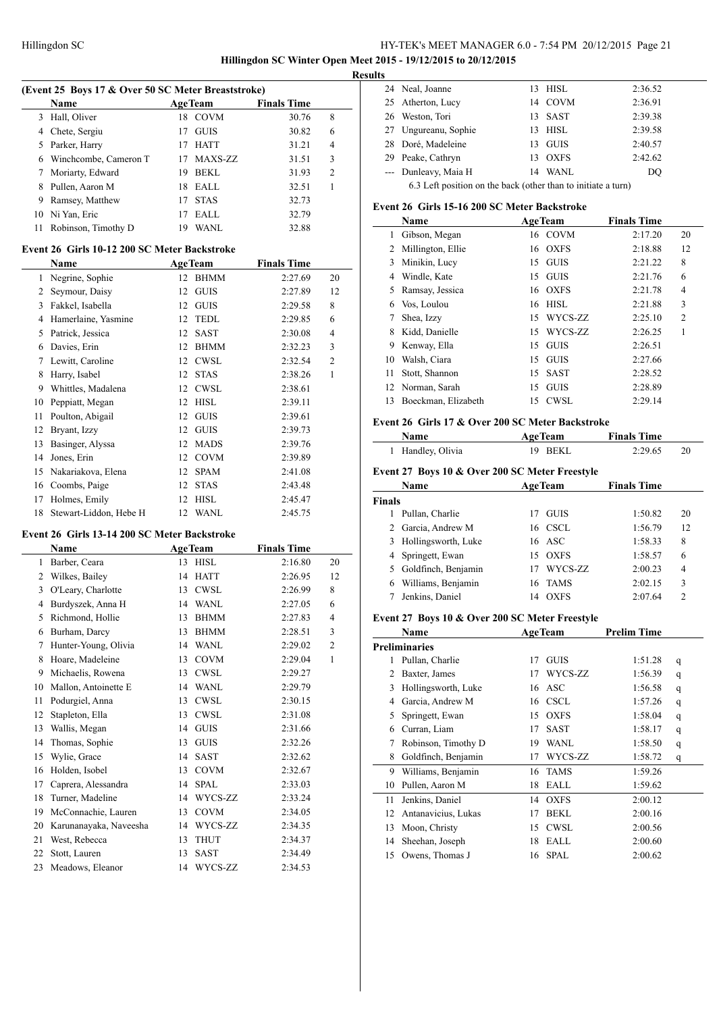$\overline{a}$ 

# HY-TEK's MEET MANAGER 6.0 - 7:54 PM 20/12/2015 Page 21 **Hillingdon SC Winter Open Meet 2015 - 19/12/2015 to 20/12/2015**

**Results**

 $\overline{a}$ 

| (Event 25 Boys 17 & Over 50 SC Meter Breaststroke) |                         |    |                |                    |                |  |
|----------------------------------------------------|-------------------------|----|----------------|--------------------|----------------|--|
|                                                    | Name                    |    | <b>AgeTeam</b> | <b>Finals Time</b> |                |  |
|                                                    | 3 Hall, Oliver          |    | 18 COVM        | 30.76              | 8              |  |
|                                                    | 4 Chete, Sergiu         | 17 | <b>GUIS</b>    | 30.82              | 6              |  |
|                                                    | 5 Parker, Harry         |    | 17 HATT        | 31.21              | $\overline{4}$ |  |
|                                                    | 6 Winchcombe, Cameron T |    | MAXS-ZZ        | 31.51              | $\mathbf{3}$   |  |

| 7 Moriarty, Edward     | 19 BEKL | 31.93 |  |
|------------------------|---------|-------|--|
| 8 Pullen, Aaron M      | 18 EALL | 32.51 |  |
| 9 Ramsey, Matthew      | 17 STAS | 32.73 |  |
| 10 Ni Yan, Eric        | 17 EALL | 32.79 |  |
| 11 Robinson, Timothy D | 19 WANL | 32.88 |  |

#### **Event 26 Girls 10-12 200 SC Meter Backstroke**

|    | Name                   |    | <b>AgeTeam</b> | <b>Finals Time</b> |                |
|----|------------------------|----|----------------|--------------------|----------------|
| 1  | Negrine, Sophie        |    | 12 BHMM        | 2:27.69            | 20             |
| 2  | Seymour, Daisy         | 12 | <b>GUIS</b>    | 2:27.89            | 12             |
| 3  | Fakkel, Isabella       | 12 | <b>GUIS</b>    | 2:29.58            | 8              |
| 4  | Hamerlaine, Yasmine    | 12 | <b>TEDL</b>    | 2:29.85            | 6              |
| 5  | Patrick, Jessica       | 12 | <b>SAST</b>    | 2:30.08            | 4              |
| 6  | Davies, Erin           | 12 | <b>BHMM</b>    | 2:32.23            | 3              |
| 7  | Lewitt, Caroline       | 12 | <b>CWSL</b>    | 2:32.54            | $\overline{c}$ |
| 8  | Harry, Isabel          | 12 | <b>STAS</b>    | 2:38.26            | 1              |
| 9  | Whittles, Madalena     | 12 | <b>CWSL</b>    | 2:38.61            |                |
| 10 | Peppiatt, Megan        | 12 | <b>HISL</b>    | 2:39.11            |                |
| 11 | Poulton, Abigail       | 12 | <b>GUIS</b>    | 2:39.61            |                |
| 12 | Bryant, Izzy           | 12 | <b>GUIS</b>    | 2:39.73            |                |
| 13 | Basinger, Alyssa       | 12 | <b>MADS</b>    | 2:39.76            |                |
| 14 | Jones, Erin            | 12 | <b>COVM</b>    | 2:39.89            |                |
| 15 | Nakariakova, Elena     | 12 | <b>SPAM</b>    | 2:41.08            |                |
| 16 | Coombs, Paige          | 12 | <b>STAS</b>    | 2:43.48            |                |
| 17 | Holmes, Emily          | 12 | <b>HISL</b>    | 2:45.47            |                |
| 18 | Stewart-Liddon, Hebe H |    | 12 WANL        | 2:45.75            |                |

#### **Event 26 Girls 13-14 200 SC Meter Backstroke**

|    | Name                   |    | <b>AgeTeam</b> | <b>Finals Time</b> |                |
|----|------------------------|----|----------------|--------------------|----------------|
| 1  | Barber, Ceara          |    | 13 HISL        | 2:16.80            | 20             |
| 2  | Wilkes, Bailey         | 14 | <b>HATT</b>    | 2:26.95            | 12             |
| 3  | O'Leary, Charlotte     | 13 | <b>CWSL</b>    | 2:26.99            | 8              |
| 4  | Burdyszek, Anna H      | 14 | <b>WANL</b>    | 2:27.05            | 6              |
| 5  | Richmond, Hollie       | 13 | <b>BHMM</b>    | 2:27.83            | 4              |
| 6  | Burham, Darcy          | 13 | <b>BHMM</b>    | 2:28.51            | 3              |
| 7  | Hunter-Young, Olivia   | 14 | <b>WANL</b>    | 2:29.02            | $\mathfrak{2}$ |
| 8  | Hoare, Madeleine       | 13 | <b>COVM</b>    | 2:29.04            | 1              |
| 9  | Michaelis, Rowena      | 13 | <b>CWSL</b>    | 2:29.27            |                |
| 10 | Mallon, Antoinette E   | 14 | <b>WANL</b>    | 2:29.79            |                |
| 11 | Podurgiel, Anna        | 13 | <b>CWSL</b>    | 2:30.15            |                |
| 12 | Stapleton, Ella        | 13 | <b>CWSL</b>    | 2:31.08            |                |
| 13 | Wallis, Megan          | 14 | <b>GUIS</b>    | 2:31.66            |                |
| 14 | Thomas, Sophie         | 13 | <b>GUIS</b>    | 2:32.26            |                |
| 15 | Wylie, Grace           | 14 | <b>SAST</b>    | 2:32.62            |                |
| 16 | Holden, Isobel         | 13 | <b>COVM</b>    | 2:32.67            |                |
| 17 | Caprera, Alessandra    | 14 | <b>SPAL</b>    | 2:33.03            |                |
| 18 | Turner, Madeline       | 14 | WYCS-ZZ        | 2:33.24            |                |
| 19 | McConnachie, Lauren    | 13 | <b>COVM</b>    | 2:34.05            |                |
| 20 | Karunanayaka, Naveesha | 14 | WYCS-ZZ        | 2:34.35            |                |
| 21 | West, Rebecca          | 13 | <b>THUT</b>    | 2:34.37            |                |
| 22 | Stott, Lauren          | 13 | <b>SAST</b>    | 2:34.49            |                |
| 23 | Meadows, Eleanor       | 14 | WYCS-ZZ        | 2:34.53            |                |

| 24 Neal, Joanne                                                                                                                                                                                                                | 13 HISL | 2:36.52 |
|--------------------------------------------------------------------------------------------------------------------------------------------------------------------------------------------------------------------------------|---------|---------|
| 25 Atherton, Lucy                                                                                                                                                                                                              | 14 COVM | 2:36.91 |
| 26 Weston, Tori                                                                                                                                                                                                                | 13 SAST | 2:39.38 |
| 27 Ungureanu, Sophie                                                                                                                                                                                                           | 13 HISL | 2:39.58 |
| 28 Doré, Madeleine                                                                                                                                                                                                             | 13 GUIS | 2:40.57 |
| 29 Peake, Cathryn                                                                                                                                                                                                              | 13 OXFS | 2:42.62 |
| --- Dunleavy, Maia H                                                                                                                                                                                                           | 14 WANL | DO      |
| the second control of the second control of the second control of the second control of the second control of the second control of the second control of the second control of the second control of the second control of th |         |         |

# 6.3 Left position on the back (other than to initiate a turn)

# **Event 26 Girls 15-16 200 SC Meter Backstroke**

|    | Name                |    | <b>AgeTeam</b> | <b>Finals Time</b> |                |
|----|---------------------|----|----------------|--------------------|----------------|
|    | Gibson, Megan       |    | 16 COVM        | 2:17.20            | 20             |
| 2  | Millington, Ellie   | 16 | <b>OXFS</b>    | 2:18.88            | 12             |
| 3  | Minikin, Lucy       | 15 | <b>GUIS</b>    | 2:21.22            | 8              |
| 4  | Windle, Kate        | 15 | <b>GUIS</b>    | 2:21.76            | 6              |
| 5. | Ramsay, Jessica     | 16 | <b>OXFS</b>    | 2:21.78            | 4              |
| 6  | Vos, Loulou         | 16 | <b>HISL</b>    | 2:21.88            | 3              |
|    | Shea, Izzy          | 15 | WYCS-ZZ        | 2:25.10            | $\overline{c}$ |
| 8  | Kidd, Danielle      | 15 | WYCS-ZZ        | 2:26.25            |                |
| 9  | Kenway, Ella        | 15 | <b>GUIS</b>    | 2:26.51            |                |
| 10 | Walsh, Ciara        | 15 | <b>GUIS</b>    | 2:27.66            |                |
| 11 | Stott, Shannon      | 15 | <b>SAST</b>    | 2:28.52            |                |
| 12 | Norman, Sarah       | 15 | <b>GUIS</b>    | 2:28.89            |                |
| 13 | Boeckman, Elizabeth | 15 | <b>CWSL</b>    | 2:29.14            |                |
|    |                     |    |                |                    |                |

#### **Event 26 Girls 17 & Over 200 SC Meter Backstroke**

| <b>Name</b>       | <b>AgeTeam</b> | <b>Finals Time</b> |  |
|-------------------|----------------|--------------------|--|
| 1 Handley, Olivia | 19 BEKL        | 2:29.65            |  |

# **Event 27 Boys 10 & Over 200 SC Meter Freestyle**

|        | <b>AgeTeam</b><br><b>Name</b> |    |             | <b>Finals Time</b> |                |  |
|--------|-------------------------------|----|-------------|--------------------|----------------|--|
| Finals |                               |    |             |                    |                |  |
|        | Pullan, Charlie               | 17 | <b>GUIS</b> | 1:50.82            | 20             |  |
|        | 2 Garcia, Andrew M            | 16 | <b>CSCL</b> | 1:56.79            | 12             |  |
| 3.     | Hollingsworth, Luke           |    | 16 ASC      | 1:58.33            | 8              |  |
|        | 4 Springett, Ewan             | 15 | <b>OXFS</b> | 1:58.57            | 6              |  |
|        | 5 Goldfinch, Benjamin         | 17 | WYCS-ZZ     | 2:00.23            | $\overline{4}$ |  |
| 6      | Williams, Benjamin            | 16 | <b>TAMS</b> | 2:02.15            | 3              |  |
|        | Jenkins, Daniel               | 14 | <b>OXFS</b> | 2:07.64            | $\mathfrak{D}$ |  |

#### **Event 27 Boys 10 & Over 200 SC Meter Freestyle**

|    | Name                 |    | <b>AgeTeam</b> | <b>Prelim Time</b> |   |
|----|----------------------|----|----------------|--------------------|---|
|    | <b>Preliminaries</b> |    |                |                    |   |
| 1  | Pullan, Charlie      | 17 | <b>GUIS</b>    | 1:51.28            | q |
| 2  | Baxter, James        | 17 | WYCS-ZZ        | 1:56.39            | q |
| 3  | Hollingsworth, Luke  | 16 | ASC            | 1:56.58            | q |
| 4  | Garcia, Andrew M     | 16 | <b>CSCL</b>    | 1:57.26            | q |
| 5  | Springett, Ewan      | 15 | <b>OXFS</b>    | 1:58.04            | q |
| 6  | Curran, Liam         | 17 | <b>SAST</b>    | 1:58.17            | q |
| 7  | Robinson, Timothy D  | 19 | <b>WANL</b>    | 1:58.50            | q |
| 8  | Goldfinch, Benjamin  | 17 | WYCS-ZZ        | 1:58.72            | q |
| 9  | Williams, Benjamin   | 16 | <b>TAMS</b>    | 1:59.26            |   |
| 10 | Pullen, Aaron M      | 18 | EALL           | 1:59.62            |   |
| 11 | Jenkins, Daniel      | 14 | <b>OXFS</b>    | 2:00.12            |   |
| 12 | Antanavicius, Lukas  | 17 | <b>BEKL</b>    | 2:00.16            |   |
| 13 | Moon, Christy        | 15 | <b>CWSL</b>    | 2:00.56            |   |
| 14 | Sheehan, Joseph      | 18 | EALL           | 2:00.60            |   |
| 15 | Owens, Thomas J      | 16 | <b>SPAL</b>    | 2:00.62            |   |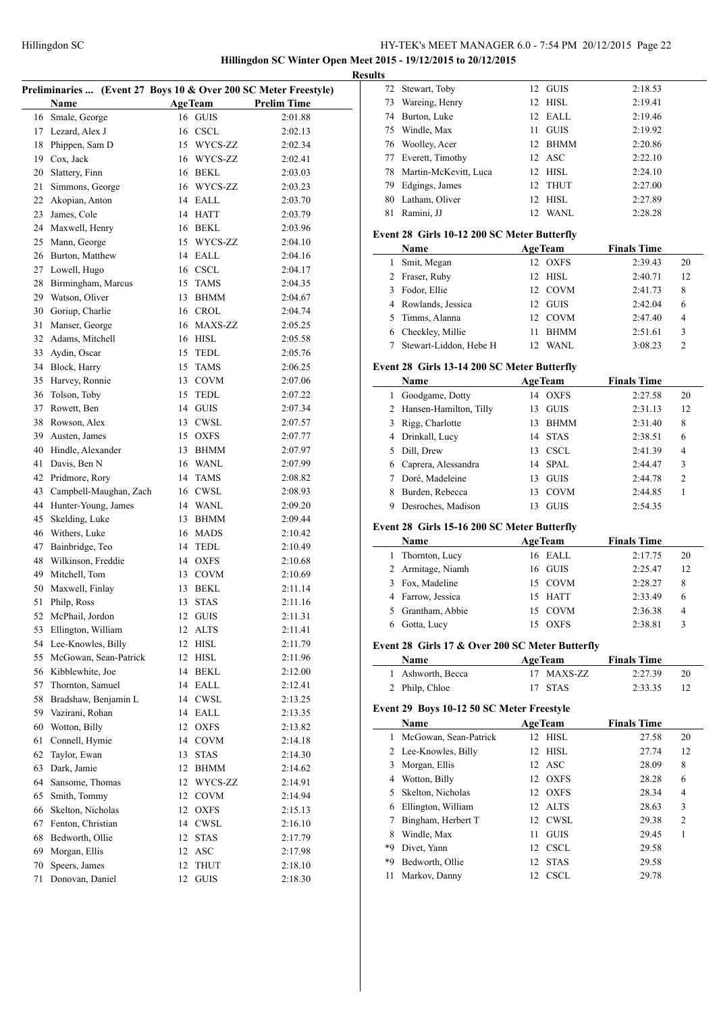**Hillingdon SC Winter Open Meet 2015 - 19/12/2015 to 20/12/2015 Results**

|    | Preliminaries  (Event 27 Boys 10 & Over 200 SC Meter Freestyle) |    |                |                    |
|----|-----------------------------------------------------------------|----|----------------|--------------------|
|    | Name                                                            |    | <b>AgeTeam</b> | <b>Prelim Time</b> |
| 16 | Smale, George                                                   | 16 | <b>GUIS</b>    | 2:01.88            |
| 17 | Lezard, Alex J                                                  | 16 | <b>CSCL</b>    | 2:02.13            |
| 18 | Phippen, Sam D                                                  | 15 | WYCS-ZZ        | 2:02.34            |
| 19 | Cox, Jack                                                       | 16 | WYCS-ZZ        | 2:02.41            |
| 20 | Slattery, Finn                                                  | 16 | BEKL           | 2:03.03            |
| 21 | Simmons, George                                                 | 16 | WYCS-ZZ        | 2:03.23            |
| 22 |                                                                 | 14 |                |                    |
|    | Akopian, Anton                                                  |    | EALL           | 2:03.70            |
| 23 | James, Cole                                                     | 14 | <b>HATT</b>    | 2:03.79            |
| 24 | Maxwell, Henry                                                  | 16 | <b>BEKL</b>    | 2:03.96            |
| 25 | Mann, George                                                    | 15 | WYCS-ZZ        | 2:04.10            |
| 26 | Burton, Matthew                                                 | 14 | EALL           | 2:04.16            |
| 27 | Lowell, Hugo                                                    | 16 | <b>CSCL</b>    | 2:04.17            |
| 28 | Birmingham, Marcus                                              | 15 | TAMS           | 2:04.35            |
| 29 | Watson, Oliver                                                  | 13 | <b>BHMM</b>    | 2:04.67            |
| 30 | Goriup, Charlie                                                 | 16 | <b>CROL</b>    | 2:04.74            |
| 31 | Manser, George                                                  | 16 | MAXS-ZZ        | 2:05.25            |
| 32 | Adams, Mitchell                                                 | 16 | <b>HISL</b>    | 2:05.58            |
| 33 | Aydin, Oscar                                                    | 15 | TEDL           | 2:05.76            |
| 34 | Block, Harry                                                    | 15 | TAMS           | 2:06.25            |
| 35 | Harvey, Ronnie                                                  | 13 | <b>COVM</b>    | 2:07.06            |
| 36 | Tolson, Toby                                                    | 15 | TEDL           | 2:07.22            |
| 37 | Rowett, Ben                                                     | 14 | GUIS           | 2:07.34            |
| 38 | Rowson, Alex                                                    |    | 13 CWSL        | 2:07.57            |
| 39 | Austen, James                                                   | 15 | <b>OXFS</b>    | 2:07.77            |
| 40 | Hindle, Alexander                                               | 13 | BHMM           | 2:07.97            |
| 41 | Davis, Ben N                                                    | 16 | <b>WANL</b>    | 2:07.99            |
| 42 | Pridmore, Rory                                                  | 14 | TAMS           | 2:08.82            |
| 43 | Campbell-Maughan, Zach                                          | 16 | CWSL           | 2:08.93            |
| 44 | Hunter-Young, James                                             | 14 | WANL           | 2:09.20            |
| 45 | Skelding, Luke                                                  | 13 | BHMM           | 2:09.44            |
| 46 | Withers, Luke                                                   | 16 | <b>MADS</b>    | 2:10.42            |
| 47 | Bainbridge, Teo                                                 | 14 | TEDL           | 2:10.49            |
| 48 | Wilkinson, Freddie                                              | 14 | <b>OXFS</b>    | 2:10.68            |
| 49 | Mitchell, Tom                                                   | 13 | <b>COVM</b>    | 2:10.69            |
| 50 | Maxwell, Finlay                                                 | 13 | <b>BEKL</b>    | 2:11.14            |
| 51 | Philp, Ross                                                     | 13 | <b>STAS</b>    | 2:11.16            |
| 52 | McPhail, Jordon                                                 |    | 12 GUIS        | 2:11.31            |
| 53 | Ellington, William                                              | 12 | <b>ALTS</b>    | 2:11.41            |
| 54 | Lee-Knowles, Billy                                              | 12 | HISL           | 2:11.79            |
| 55 | McGowan, Sean-Patrick                                           | 12 | HISL           | 2:11.96            |
| 56 | Kibblewhite, Joe                                                | 14 | <b>BEKL</b>    | 2:12.00            |
| 57 | Thornton, Samuel                                                | 14 | EALL           | 2:12.41            |
| 58 | Bradshaw, Benjamin L                                            | 14 | <b>CWSL</b>    | 2:13.25            |
| 59 | Vazirani, Rohan                                                 | 14 | EALL           | 2:13.35            |
| 60 | Wotton, Billy                                                   | 12 | <b>OXFS</b>    | 2:13.82            |
| 61 | Connell, Hymie                                                  | 14 | COVM           | 2:14.18            |
| 62 | Taylor, Ewan                                                    | 13 | STAS           | 2:14.30            |
|    | Dark, Jamie                                                     |    |                |                    |
| 63 |                                                                 | 12 | <b>BHMM</b>    | 2:14.62            |
| 64 | Sansome, Thomas                                                 | 12 | WYCS-ZZ        | 2:14.91            |
| 65 | Smith, Tommy                                                    | 12 | <b>COVM</b>    | 2:14.94            |
| 66 | Skelton, Nicholas                                               | 12 | <b>OXFS</b>    | 2:15.13            |
| 67 | Fenton, Christian                                               | 14 | <b>CWSL</b>    | 2:16.10            |
| 68 | Bedworth, Ollie                                                 | 12 | <b>STAS</b>    | 2:17.79            |
| 69 | Morgan, Ellis                                                   | 12 | ASC            | 2:17.98            |
| 70 | Speers, James                                                   | 12 | <b>THUT</b>    | 2:18.10            |
| 71 | Donovan, Daniel                                                 | 12 | <b>GUIS</b>    | 2:18.30            |

| ults           |                                                 |    |                           |                               |                |
|----------------|-------------------------------------------------|----|---------------------------|-------------------------------|----------------|
| 72             | Stewart, Toby                                   |    | 12 GUIS                   | 2:18.53                       |                |
| 73             | Wareing, Henry                                  |    | 12 HISL                   | 2:19.41                       |                |
|                | 74 Burton, Luke                                 |    | 12 EALL                   | 2:19.46                       |                |
|                | 75 Windle, Max                                  | 11 | <b>GUIS</b>               | 2:19.92                       |                |
|                | 76 Woolley, Acer                                |    | 12 BHMM                   | 2:20.86                       |                |
|                | 77 Everett, Timothy                             |    | 12 ASC                    | 2:22.10                       |                |
| 78             | Martin-McKevitt, Luca                           |    | 12 HISL                   | 2:24.10                       |                |
|                | 79 Edgings, James                               | 12 | <b>THUT</b>               | 2:27.00                       |                |
|                | 80 Latham, Oliver                               |    | 12 HISL                   | 2:27.89                       |                |
| 81             | Ramini, JJ                                      | 12 | <b>WANL</b>               | 2:28.28                       |                |
|                | Event 28 Girls 10-12 200 SC Meter Butterfly     |    |                           |                               |                |
|                | Name                                            |    | <b>AgeTeam</b>            | <b>Finals Time</b>            |                |
| 1              | Smit, Megan                                     |    | 12 OXFS                   | 2:39.43                       | 20             |
|                | 2 Fraser, Ruby                                  | 12 | HISL                      | 2:40.71                       | 12             |
|                | 3 Fodor, Ellie                                  |    | 12 COVM                   | 2:41.73                       | 8              |
|                | 4 Rowlands, Jessica                             |    | 12 GUIS                   | 2:42.04                       | 6              |
|                | 5 Timms, Alanna                                 |    | 12 COVM                   | 2:47.40                       | $\overline{4}$ |
|                | 6 Checkley, Millie                              | 11 | <b>BHMM</b>               | 2:51.61                       | 3              |
| $\tau$         | Stewart-Liddon, Hebe H                          |    | 12 WANL                   | 3:08.23                       | 2              |
|                | Event 28 Girls 13-14 200 SC Meter Butterfly     |    |                           |                               |                |
|                | Name                                            |    | <b>AgeTeam</b>            | <b>Finals Time</b>            |                |
| 1              | Goodgame, Dotty                                 |    | 14 OXFS                   | 2:27.58                       | 20             |
|                | 2 Hansen-Hamilton, Tilly                        | 13 | GUIS                      | 2:31.13                       | 12             |
| $\mathbf{3}$   | Rigg, Charlotte                                 | 13 | BHMM                      | 2:31.40                       | 8              |
|                | 4 Drinkall, Lucy                                |    | 14 STAS                   | 2:38.51                       | 6              |
|                | 5 Dill, Drew                                    |    | 13 CSCL                   | 2:41.39                       | $\overline{4}$ |
| 6              | Caprera, Alessandra                             |    | 14 SPAL                   | 2:44.47                       | 3              |
|                | 7 Doré, Madeleine                               |    | 13 GUIS                   | 2:44.78                       | 2              |
|                | 8 Burden, Rebecca                               | 13 | <b>COVM</b>               | 2:44.85                       | 1              |
| 9              | Desroches, Madison                              | 13 | <b>GUIS</b>               | 2:54.35                       |                |
|                | Event 28 Girls 15-16 200 SC Meter Butterfly     |    |                           |                               |                |
|                | Name                                            |    | <b>AgeTeam</b>            | <b>Finals Time</b>            |                |
| 1              | Thornton, Lucy                                  |    | 16 EALL                   | 2:17.75                       | 20             |
|                | 2 Armitage, Niamh                               |    | 16 GUIS                   | 2:25.47                       | 12             |
|                | 3 Fox, Madeline                                 |    | 15 COVM                   | 2:28.27                       | 8              |
|                | 4 Farrow, Jessica                               |    | 15 HATT                   | 2:33.49                       | 6              |
|                | 5 Grantham, Abbie                               | 15 | COVM                      | 2:36.38                       | 4              |
| 6              | Gotta, Lucy                                     | 15 | <b>OXFS</b>               | 2:38.81                       | 3              |
|                |                                                 |    |                           |                               |                |
|                | Event 28 Girls 17 & Over 200 SC Meter Butterfly |    |                           |                               |                |
| 1              | Name<br>Ashworth, Becca                         | 17 | <b>AgeTeam</b><br>MAXS-ZZ | <b>Finals Time</b><br>2:27.39 | 20             |
| $\overline{2}$ |                                                 | 17 | <b>STAS</b>               | 2:33.35                       | 12             |
|                | Philp, Chloe                                    |    |                           |                               |                |

# **Event 29 Boys 10-12 50 SC Meter Freestyle**

|    | <b>Name</b>           | <b>AgeTeam</b>     | <b>Finals Time</b> |                |
|----|-----------------------|--------------------|--------------------|----------------|
| 1  | McGowan, Sean-Patrick | HISL<br>12         | 27.58              | 20             |
|    | 2 Lee-Knowles, Billy  | HISL<br>12         | 27.74              | 12             |
| 3  | Morgan, Ellis         | 12 ASC             | 28.09              | 8              |
| 4  | Wotton, Billy         | OXFS<br>12         | 28.28              | 6              |
| 5  | Skelton, Nicholas     | OXFS<br>12         | 28.34              | 4              |
| 6  | Ellington, William    | <b>ALTS</b><br>12. | 28.63              | 3              |
| 7  | Bingham, Herbert T    | 12 CWSL            | 29.38              | $\overline{2}$ |
| 8  | Windle, Max           | <b>GUIS</b><br>11  | 29.45              | 1              |
| *9 | Divet, Yann           | <b>CSCL</b><br>12  | 29.58              |                |
| *9 | Bedworth, Ollie       | <b>STAS</b><br>12  | 29.58              |                |
| 11 | Markov, Danny         | <b>CSCL</b><br>12  | 29.78              |                |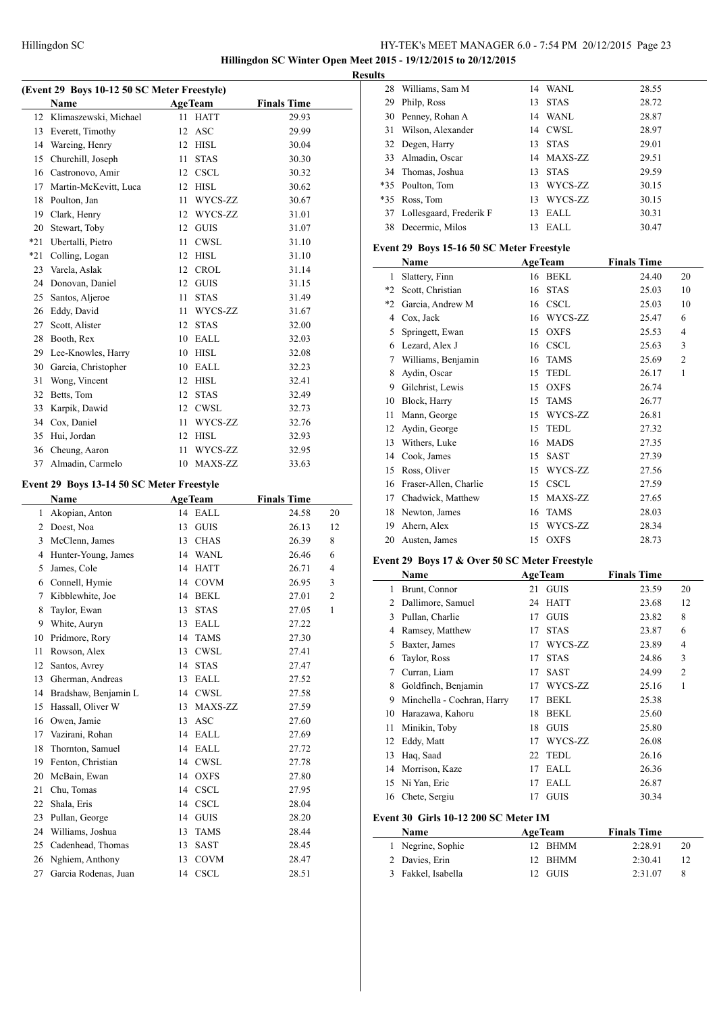**Hillingdon SC Winter Open Meet 2015 - 19/12/2015 to 20/12/2015**

|  | (Event 29 Boys 10-12 50 SC Meter Freestyle) |  |
|--|---------------------------------------------|--|

|     | (EVEIIL 29 DOYS 10-12 SU SC MEIEF FFEESLYIE) |    |                |                    |    |
|-----|----------------------------------------------|----|----------------|--------------------|----|
|     | Name                                         |    | <b>AgeTeam</b> | <b>Finals Time</b> |    |
| 12  | Klimaszewski, Michael                        | 11 | <b>HATT</b>    | 29.93              |    |
| 13  | Everett, Timothy                             | 12 | ASC            | 29.99              |    |
| 14  | Wareing, Henry                               |    | 12 HISL        | 30.04              |    |
| 15  | Churchill, Joseph                            | 11 | <b>STAS</b>    | 30.30              |    |
| 16  | Castronovo, Amir                             |    | 12 CSCL        | 30.32              |    |
| 17  | Martin-McKevitt, Luca                        |    | 12 HISL        | 30.62              |    |
| 18  | Poulton, Jan                                 | 11 | WYCS-ZZ        | 30.67              |    |
| 19  | Clark, Henry                                 |    | 12 WYCS-ZZ     | 31.01              |    |
| 20  | Stewart, Toby                                |    | 12 GUIS        | 31.07              |    |
| *21 | Ubertalli, Pietro                            | 11 | CWSL           | 31.10              |    |
| *21 | Colling, Logan                               |    | 12 HISL        | 31.10              |    |
| 23  | Varela, Aslak                                |    | 12 CROL        | 31.14              |    |
| 24  | Donovan, Daniel                              |    | 12 GUIS        | 31.15              |    |
| 25  | Santos, Aljeroe                              | 11 | <b>STAS</b>    | 31.49              |    |
| 26  | Eddy, David                                  | 11 | WYCS-ZZ        | 31.67              |    |
| 27  | Scott, Alister                               | 12 | <b>STAS</b>    | 32.00              |    |
| 28  | Booth, Rex                                   |    | 10 EALL        | 32.03              |    |
| 29  | Lee-Knowles, Harry                           |    | 10 HISL        | 32.08              |    |
| 30  | Garcia, Christopher                          |    | 10 EALL        | 32.23              |    |
| 31  |                                              |    |                |                    |    |
|     | Wong, Vincent                                |    | 12 HISL        | 32.41              |    |
| 32  | Betts, Tom                                   |    | 12 STAS        | 32.49              |    |
| 33  | Karpik, Dawid                                |    | 12 CWSL        | 32.73              |    |
| 34  | Cox, Daniel                                  | 11 | WYCS-ZZ        | 32.76              |    |
| 35  | Hui, Jordan                                  |    | 12 HISL        | 32.93              |    |
| 36  | Cheung, Aaron                                | 11 | WYCS-ZZ        | 32.95              |    |
| 37  | Almadin, Carmelo                             |    | 10 MAXS-ZZ     | 33.63              |    |
|     | Event 29 Boys 13-14 50 SC Meter Freestyle    |    |                |                    |    |
|     |                                              |    |                |                    |    |
|     |                                              |    |                |                    |    |
|     | <b>Name</b>                                  |    | AgeTeam        | <b>Finals Time</b> |    |
| 1   | Akopian, Anton                               |    | 14 EALL        | 24.58              | 20 |
| 2   | Doest, Noa                                   | 13 | <b>GUIS</b>    | 26.13              | 12 |
| 3   | McClenn, James                               |    | 13 CHAS        | 26.39              | 8  |
| 4   | Hunter-Young, James                          |    | 14 WANL        | 26.46              | 6  |
| 5   | James, Cole                                  |    | 14 HATT        | 26.71              | 4  |
| 6   | Connell, Hymie                               |    | 14 COVM        | 26.95              | 3  |
| 7   | Kibblewhite, Joe                             |    | 14 BEKL        | 27.01              | 2  |
| 8   | Taylor, Ewan                                 | 13 | <b>STAS</b>    | 27.05              | 1  |
| 9   | White, Auryn                                 | 13 | EALL           | 27.22              |    |
| 10  | Pridmore, Rory                               | 14 | <b>TAMS</b>    | 27.30              |    |
| 11  | Rowson, Alex                                 | 13 | CWSL           | 27.41              |    |
| 12  | Santos, Avrey                                | 14 | <b>STAS</b>    | 27.47              |    |
| 13  | Gherman, Andreas                             | 13 | EALL           | 27.52              |    |
| 14  | Bradshaw, Benjamin L                         | 14 | CWSL           | 27.58              |    |
| 15  | Hassall, Oliver W                            | 13 | MAXS-ZZ        | 27.59              |    |
| 16  | Owen, Jamie                                  | 13 | <b>ASC</b>     | 27.60              |    |
| 17  | Vazirani, Rohan                              | 14 | EALL           | 27.69              |    |
| 18  | Thornton, Samuel                             | 14 | EALL           | 27.72              |    |
| 19  | Fenton, Christian                            | 14 | <b>CWSL</b>    | 27.78              |    |
| 20  | McBain, Ewan                                 | 14 | <b>OXFS</b>    | 27.80              |    |
| 21  | Chu, Tomas                                   | 14 | CSCL           | 27.95              |    |
| 22  | Shala, Eris                                  |    | 14 CSCL        | 28.04              |    |
| 23  | Pullan, George                               |    | 14 GUIS        | 28.20              |    |
| 24  | Williams, Joshua                             | 13 | <b>TAMS</b>    | 28.44              |    |
| 25  | Cadenhead, Thomas                            | 13 | SAST           | 28.45              |    |
| 26  | Nghiem, Anthony                              | 13 | <b>COVM</b>    | 28.47              |    |

| <b>Results</b> |                            |    |            |       |
|----------------|----------------------------|----|------------|-------|
|                | 28 Williams, Sam M         |    | 14 WANL    | 28.55 |
| 29             | Philp, Ross                |    | 13 STAS    | 28.72 |
|                | 30 Penney, Rohan A         |    | 14 WANL    | 28.87 |
|                | 31 Wilson, Alexander       |    | 14 CWSL    | 28.97 |
|                | 32 Degen, Harry            |    | 13 STAS    | 29.01 |
|                | 33 Almadin, Oscar          |    | 14 MAXS-ZZ | 29.51 |
|                | 34 Thomas, Joshua          |    | 13 STAS    | 29.59 |
|                | *35 Poulton, Tom           |    | 13 WYCS-ZZ | 30.15 |
|                | *35 Ross, Tom              |    | 13 WYCS-ZZ | 30.15 |
|                | 37 Lollesgaard, Frederik F | 13 | EALL       | 30.31 |
|                | 38 Decermic, Milos         | 13 | EALL       | 30.47 |

# **Event 29 Boys 15-16 50 SC Meter Freestyle**

|         | Name                  | <b>AgeTeam</b>    | <b>Finals Time</b> |                |
|---------|-----------------------|-------------------|--------------------|----------------|
| 1       | Slattery, Finn        | <b>BEKL</b><br>16 | 24.40              | 20             |
| $*_{2}$ | Scott, Christian      | <b>STAS</b><br>16 | 25.03              | 10             |
| $*2$    | Garcia, Andrew M      | <b>CSCL</b><br>16 | 25.03              | 10             |
| 4       | Cox, Jack             | WYCS-ZZ<br>16     | 25.47              | 6              |
| 5       | Springett, Ewan       | <b>OXFS</b><br>15 | 25.53              | $\overline{4}$ |
| 6       | Lezard, Alex J        | <b>CSCL</b><br>16 | 25.63              | 3              |
| 7       | Williams, Benjamin    | <b>TAMS</b><br>16 | 25.69              | $\overline{2}$ |
| 8       | Aydin, Oscar          | <b>TEDL</b><br>15 | 26.17              | 1              |
| 9       | Gilchrist, Lewis      | <b>OXFS</b><br>15 | 26.74              |                |
| 10      | Block, Harry          | <b>TAMS</b><br>15 | 26.77              |                |
| 11      | Mann, George          | WYCS-ZZ<br>15     | 26.81              |                |
| 12      | Aydin, George         | <b>TEDL</b><br>15 | 27.32              |                |
| 13      | Withers, Luke         | <b>MADS</b><br>16 | 27.35              |                |
| 14      | Cook, James           | SAST<br>15        | 27.39              |                |
| 15      | Ross, Oliver          | WYCS-ZZ<br>15     | 27.56              |                |
| 16      | Fraser-Allen, Charlie | <b>CSCL</b><br>15 | 27.59              |                |
| 17      | Chadwick, Matthew     | MAXS-ZZ<br>15     | 27.65              |                |
| 18      | Newton, James         | <b>TAMS</b><br>16 | 28.03              |                |
| 19      | Ahern, Alex           | WYCS-ZZ<br>15     | 28.34              |                |
| 20      | Austen, James         | <b>OXFS</b><br>15 | 28.73              |                |

# **Event 29 Boys 17 & Over 50 SC Meter Freestyle**

|    | Name                       |    | <b>AgeTeam</b> | <b>Finals Time</b> |                |
|----|----------------------------|----|----------------|--------------------|----------------|
| 1  | Brunt, Connor              | 21 | <b>GUIS</b>    | 23.59              | 20             |
| 2  | Dallimore, Samuel          | 24 | <b>HATT</b>    | 23.68              | 12             |
| 3  | Pullan, Charlie            | 17 | <b>GUIS</b>    | 23.82              | 8              |
| 4  | Ramsey, Matthew            | 17 | <b>STAS</b>    | 23.87              | 6              |
| 5  | Baxter, James              | 17 | WYCS-ZZ        | 23.89              | 4              |
| 6  | Taylor, Ross               | 17 | <b>STAS</b>    | 24.86              | 3              |
| 7  | Curran, Liam               | 17 | <b>SAST</b>    | 24.99              | $\overline{2}$ |
| 8  | Goldfinch, Benjamin        | 17 | WYCS-ZZ        | 25.16              | 1              |
| 9  | Minchella - Cochran, Harry | 17 | BEKL           | 25.38              |                |
| 10 | Harazawa, Kahoru           | 18 | <b>BEKL</b>    | 25.60              |                |
| 11 | Minikin, Toby              | 18 | <b>GUIS</b>    | 25.80              |                |
| 12 | Eddy, Matt                 | 17 | WYCS-ZZ        | 26.08              |                |
| 13 | Haq, Saad                  | 22 | <b>TEDL</b>    | 26.16              |                |
| 14 | Morrison, Kaze             | 17 | EALL           | 26.36              |                |
| 15 | Ni Yan, Eric               | 17 | EALL           | 26.87              |                |
| 16 | Chete, Sergiu              | 17 | <b>GUIS</b>    | 30.34              |                |

#### **Event 30 Girls 10-12 200 SC Meter IM**

 $\overline{a}$ 

| <b>Name</b>        | <b>AgeTeam</b> | <b>Finals Time</b> |  |
|--------------------|----------------|--------------------|--|
| 1 Negrine, Sophie  | 12 BHMM        | 2:28.91<br>20      |  |
| 2 Davies, Erin     | 12 BHMM        | 2:30.41<br>12      |  |
| 3 Fakkel, Isabella | 12 GUIS        | 2:31.07            |  |